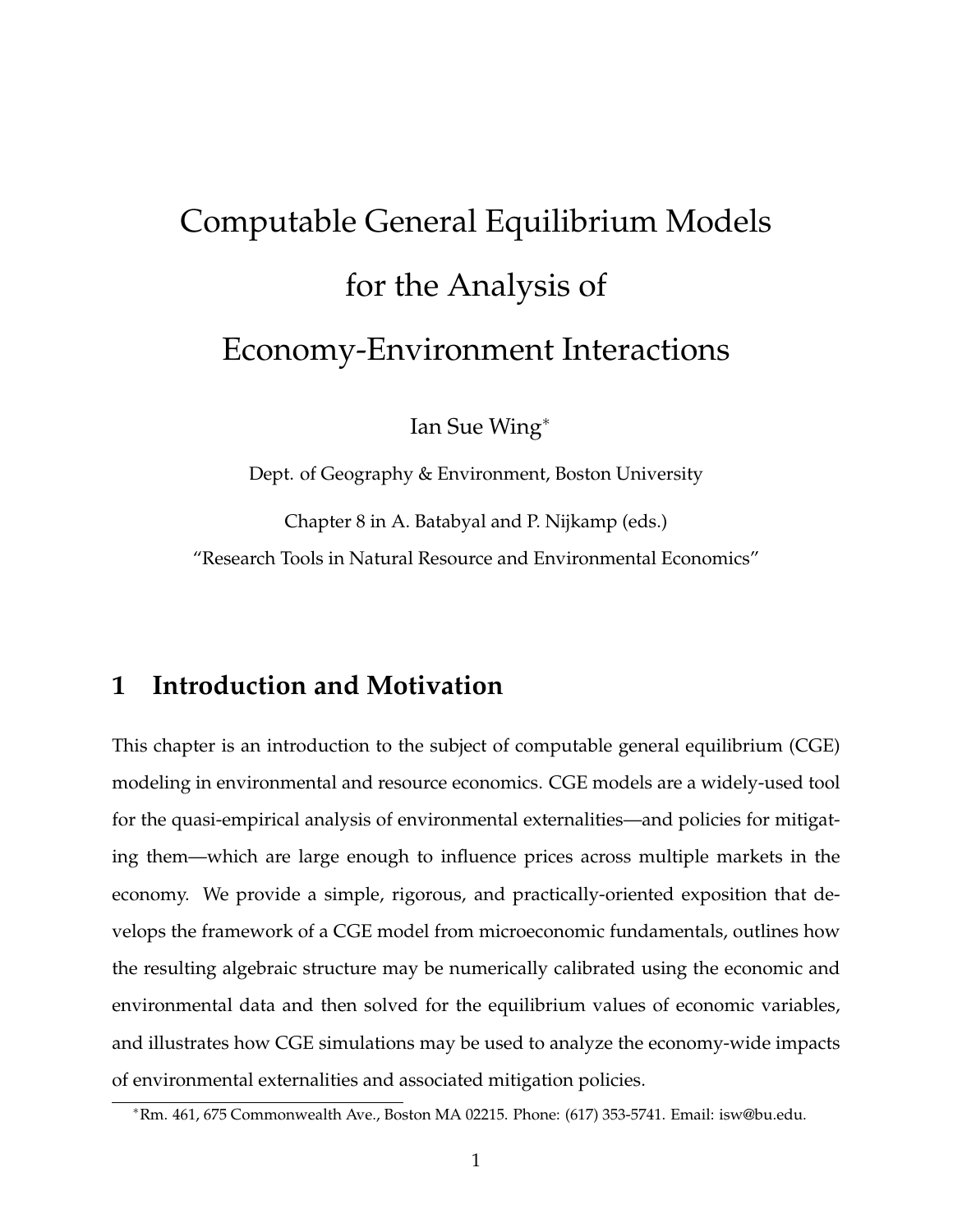# Computable General Equilibrium Models for the Analysis of Economy-Environment Interactions

Ian Sue Wing<sup>∗</sup>

Dept. of Geography & Environment, Boston University Chapter 8 in A. Batabyal and P. Nijkamp (eds.) "Research Tools in Natural Resource and Environmental Economics"

## **1 Introduction and Motivation**

This chapter is an introduction to the subject of computable general equilibrium (CGE) modeling in environmental and resource economics. CGE models are a widely-used tool for the quasi-empirical analysis of environmental externalities—and policies for mitigating them—which are large enough to influence prices across multiple markets in the economy. We provide a simple, rigorous, and practically-oriented exposition that develops the framework of a CGE model from microeconomic fundamentals, outlines how the resulting algebraic structure may be numerically calibrated using the economic and environmental data and then solved for the equilibrium values of economic variables, and illustrates how CGE simulations may be used to analyze the economy-wide impacts of environmental externalities and associated mitigation policies.

<sup>∗</sup>Rm. 461, 675 Commonwealth Ave., Boston MA 02215. Phone: (617) 353-5741. Email: isw@bu.edu.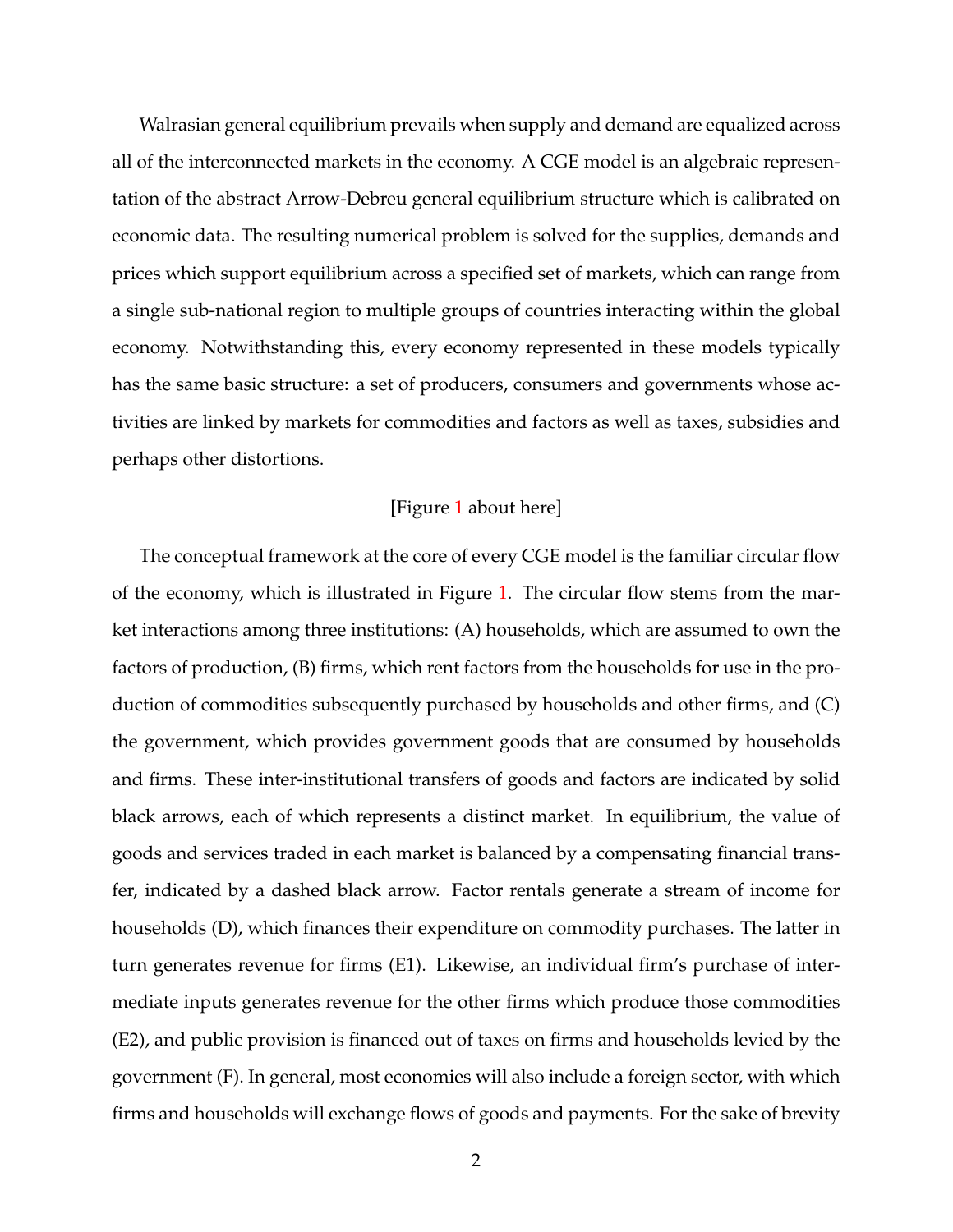Walrasian general equilibrium prevails when supply and demand are equalized across all of the interconnected markets in the economy. A CGE model is an algebraic representation of the abstract Arrow-Debreu general equilibrium structure which is calibrated on economic data. The resulting numerical problem is solved for the supplies, demands and prices which support equilibrium across a specified set of markets, which can range from a single sub-national region to multiple groups of countries interacting within the global economy. Notwithstanding this, every economy represented in these models typically has the same basic structure: a set of producers, consumers and governments whose activities are linked by markets for commodities and factors as well as taxes, subsidies and perhaps other distortions.

#### [Figure [1](#page-45-0) about here]

The conceptual framework at the core of every CGE model is the familiar circular flow of the economy, which is illustrated in Figure [1.](#page-45-0) The circular flow stems from the market interactions among three institutions: (A) households, which are assumed to own the factors of production, (B) firms, which rent factors from the households for use in the production of commodities subsequently purchased by households and other firms, and (C) the government, which provides government goods that are consumed by households and firms. These inter-institutional transfers of goods and factors are indicated by solid black arrows, each of which represents a distinct market. In equilibrium, the value of goods and services traded in each market is balanced by a compensating financial transfer, indicated by a dashed black arrow. Factor rentals generate a stream of income for households (D), which finances their expenditure on commodity purchases. The latter in turn generates revenue for firms (E1). Likewise, an individual firm's purchase of intermediate inputs generates revenue for the other firms which produce those commodities (E2), and public provision is financed out of taxes on firms and households levied by the government (F). In general, most economies will also include a foreign sector, with which firms and households will exchange flows of goods and payments. For the sake of brevity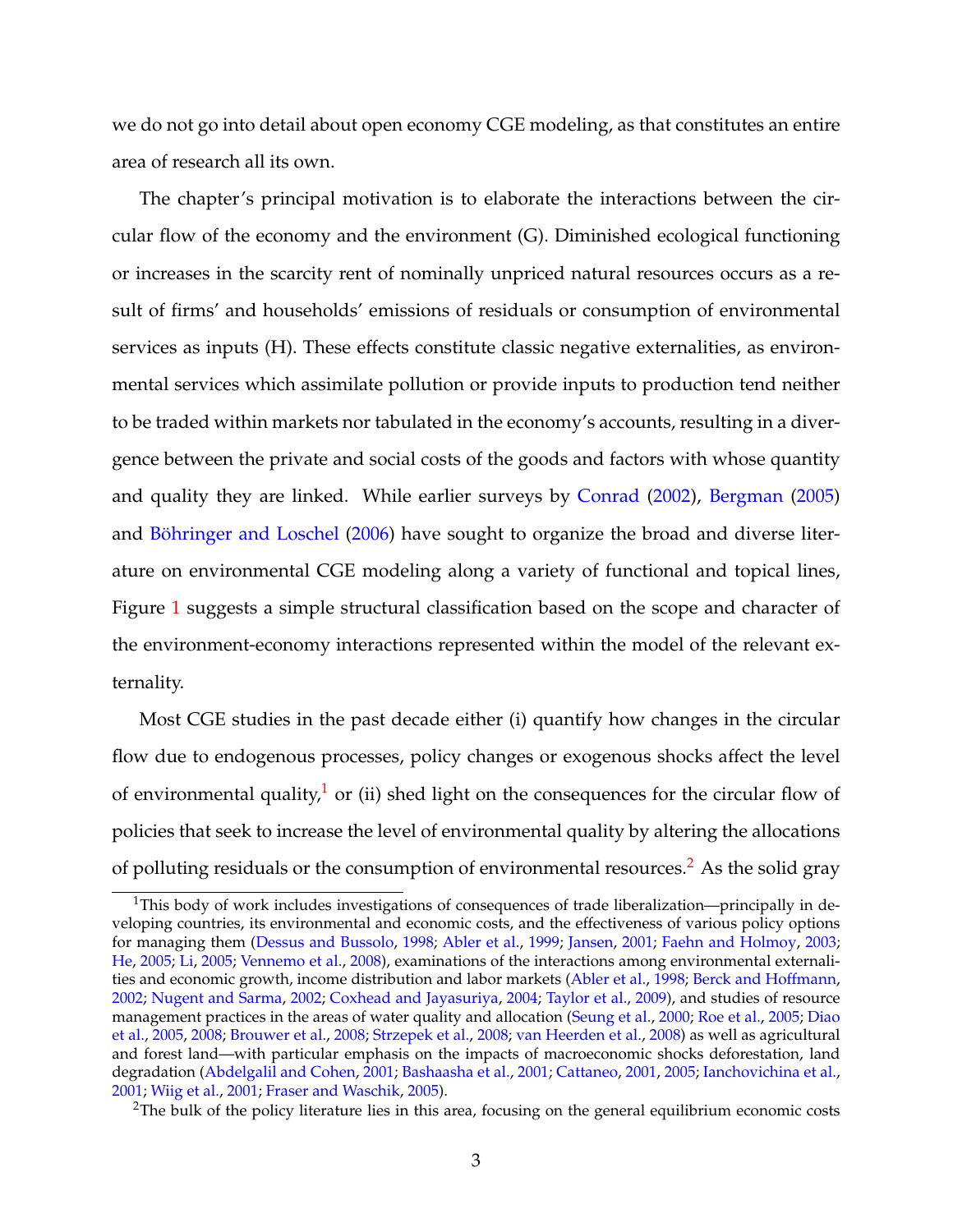we do not go into detail about open economy CGE modeling, as that constitutes an entire area of research all its own.

The chapter's principal motivation is to elaborate the interactions between the circular flow of the economy and the environment (G). Diminished ecological functioning or increases in the scarcity rent of nominally unpriced natural resources occurs as a result of firms' and households' emissions of residuals or consumption of environmental services as inputs (H). These effects constitute classic negative externalities, as environmental services which assimilate pollution or provide inputs to production tend neither to be traded within markets nor tabulated in the economy's accounts, resulting in a divergence between the private and social costs of the goods and factors with whose quantity and quality they are linked. While earlier surveys by [Conrad](#page-52-0) [\(2002\)](#page-52-0), [Bergman](#page-50-0) [\(2005\)](#page-50-0) and [Böhringer and Loschel](#page-50-1) [\(2006\)](#page-50-1) have sought to organize the broad and diverse literature on environmental CGE modeling along a variety of functional and topical lines, Figure [1](#page-45-0) suggests a simple structural classification based on the scope and character of the environment-economy interactions represented within the model of the relevant externality.

Most CGE studies in the past decade either (i) quantify how changes in the circular flow due to endogenous processes, policy changes or exogenous shocks affect the level of environmental quality,<sup>[1](#page-2-0)</sup> or (ii) shed light on the consequences for the circular flow of policies that seek to increase the level of environmental quality by altering the allocations of polluting residuals or the consumption of environmental resources.<sup>[2](#page-2-1)</sup> As the solid gray

<span id="page-2-0"></span><sup>&</sup>lt;sup>1</sup>This body of work includes investigations of consequences of trade liberalization—principally in developing countries, its environmental and economic costs, and the effectiveness of various policy options for managing them [\(Dessus and Bussolo,](#page-53-0) [1998;](#page-53-0) [Abler et al.,](#page-48-0) [1999;](#page-48-0) [Jansen,](#page-56-0) [2001;](#page-56-0) [Faehn and Holmoy,](#page-54-0) [2003;](#page-54-0) [He,](#page-55-0) [2005;](#page-55-0) [Li,](#page-57-0) [2005;](#page-57-0) [Vennemo et al.,](#page-62-0) [2008\)](#page-62-0), examinations of the interactions among environmental externalities and economic growth, income distribution and labor markets [\(Abler et al.,](#page-48-1) [1998;](#page-48-1) [Berck and Hoffmann,](#page-50-2) [2002;](#page-50-2) [Nugent and Sarma,](#page-58-0) [2002;](#page-58-0) [Coxhead and Jayasuriya,](#page-53-1) [2004;](#page-53-1) [Taylor et al.,](#page-61-0) [2009\)](#page-61-0), and studies of resource management practices in the areas of water quality and allocation [\(Seung et al.,](#page-61-1) [2000;](#page-61-1) [Roe et al.,](#page-60-0) [2005;](#page-60-0) [Diao](#page-53-2) [et al.,](#page-53-2) [2005,](#page-53-2) [2008;](#page-53-3) [Brouwer et al.,](#page-52-1) [2008;](#page-52-1) [Strzepek et al.,](#page-61-2) [2008;](#page-61-2) [van Heerden et al.,](#page-62-1) [2008\)](#page-62-1) as well as agricultural and forest land—with particular emphasis on the impacts of macroeconomic shocks deforestation, land degradation [\(Abdelgalil and Cohen,](#page-48-2) [2001;](#page-48-2) [Bashaasha et al.,](#page-49-0) [2001;](#page-49-0) [Cattaneo,](#page-52-2) [2001,](#page-52-2) [2005;](#page-52-3) [Ianchovichina et al.,](#page-56-1) [2001;](#page-56-1) [Wiig et al.,](#page-62-2) [2001;](#page-62-2) [Fraser and Waschik,](#page-55-1) [2005\)](#page-55-1).

<span id="page-2-1"></span><sup>&</sup>lt;sup>2</sup>The bulk of the policy literature lies in this area, focusing on the general equilibrium economic costs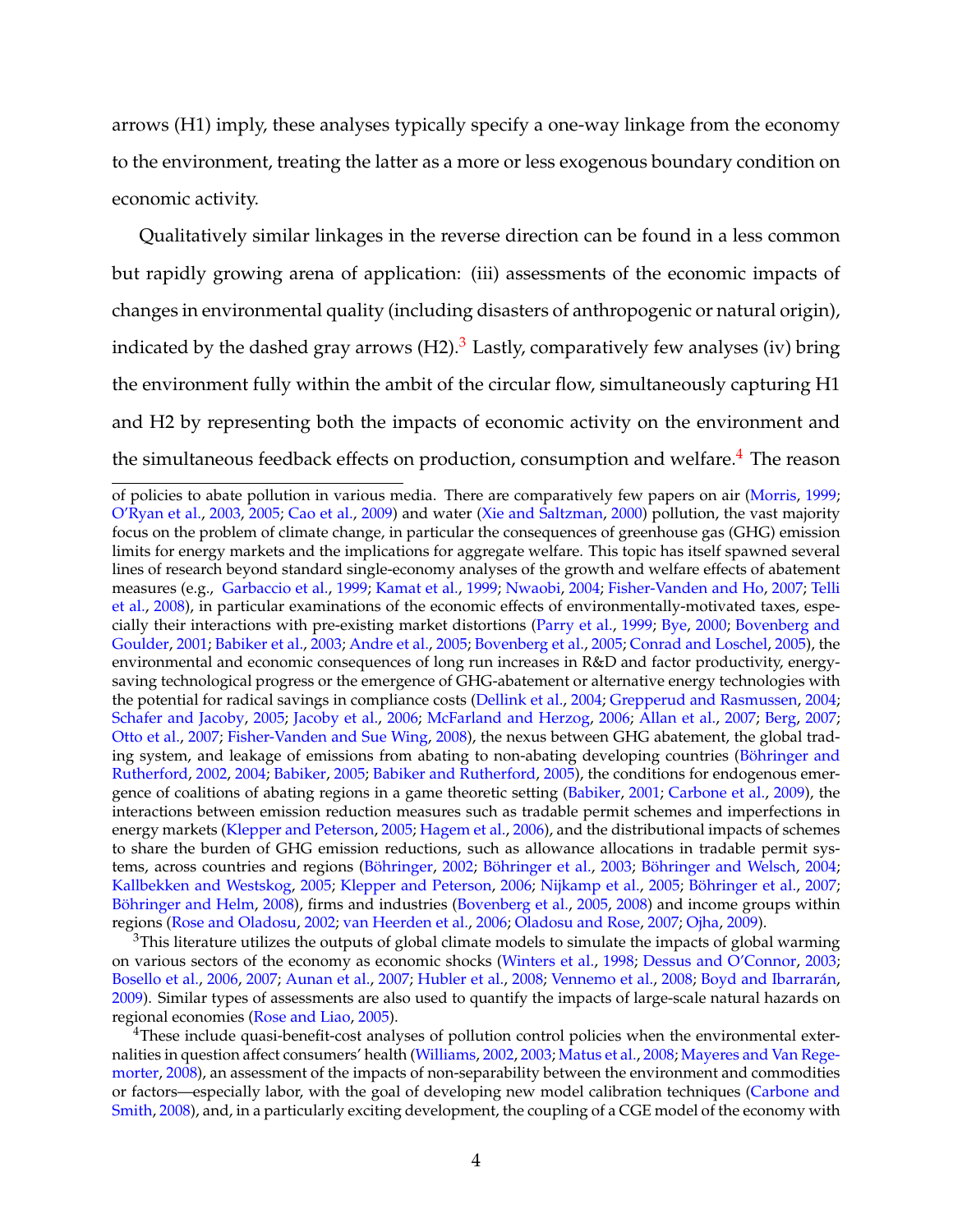arrows (H1) imply, these analyses typically specify a one-way linkage from the economy to the environment, treating the latter as a more or less exogenous boundary condition on economic activity.

Qualitatively similar linkages in the reverse direction can be found in a less common but rapidly growing arena of application: (iii) assessments of the economic impacts of changes in environmental quality (including disasters of anthropogenic or natural origin), indicated by the dashed gray arrows  $(H2)$ .<sup>[3](#page-3-0)</sup> Lastly, comparatively few analyses (iv) bring the environment fully within the ambit of the circular flow, simultaneously capturing H1 and H2 by representing both the impacts of economic activity on the environment and the simultaneous feedback effects on production, consumption and welfare.<sup>[4](#page-3-1)</sup> The reason

<span id="page-3-0"></span> $3$ This literature utilizes the outputs of global climate models to simulate the impacts of global warming on various sectors of the economy as economic shocks [\(Winters et al.,](#page-63-1) [1998;](#page-63-1) [Dessus and O'Connor,](#page-53-6) [2003;](#page-53-6) [Bosello et al.,](#page-51-5) [2006,](#page-51-5) [2007;](#page-51-6) [Aunan et al.,](#page-48-5) [2007;](#page-48-5) [Hubler et al.,](#page-55-6) [2008;](#page-55-6) [Vennemo et al.,](#page-62-0) [2008;](#page-62-0) [Boyd and Ibarrarán,](#page-51-7) [2009\)](#page-51-7). Similar types of assessments are also used to quantify the impacts of large-scale natural hazards on regional economies [\(Rose and Liao,](#page-60-3) [2005\)](#page-60-3).

<span id="page-3-1"></span><sup>4</sup>These include quasi-benefit-cost analyses of pollution control policies when the environmental externalities in question affect consumers' health [\(Williams,](#page-62-4) [2002,](#page-62-4) [2003;](#page-62-5) [Matus et al.,](#page-58-4) [2008;](#page-58-4) [Mayeres and Van Rege](#page-58-5)[morter,](#page-58-5) [2008\)](#page-58-5), an assessment of the impacts of non-separability between the environment and commodities or factors—especially labor, with the goal of developing new model calibration techniques [\(Carbone and](#page-52-7) [Smith,](#page-52-7) [2008\)](#page-52-7), and, in a particularly exciting development, the coupling of a CGE model of the economy with

of policies to abate pollution in various media. There are comparatively few papers on air [\(Morris,](#page-58-1) [1999;](#page-58-1) [O'Ryan et al.,](#page-59-0) [2003,](#page-59-0) [2005;](#page-59-1) [Cao et al.,](#page-52-4) [2009\)](#page-52-4) and water [\(Xie and Saltzman,](#page-63-0) [2000\)](#page-63-0) pollution, the vast majority focus on the problem of climate change, in particular the consequences of greenhouse gas (GHG) emission limits for energy markets and the implications for aggregate welfare. This topic has itself spawned several lines of research beyond standard single-economy analyses of the growth and welfare effects of abatement measures (e.g., [Garbaccio et al.,](#page-55-2) [1999;](#page-55-2) [Kamat et al.,](#page-56-2) [1999;](#page-56-2) [Nwaobi,](#page-59-2) [2004;](#page-59-2) [Fisher-Vanden and Ho,](#page-54-1) [2007;](#page-54-1) [Telli](#page-61-3) [et al.,](#page-61-3) [2008\)](#page-61-3), in particular examinations of the economic effects of environmentally-motivated taxes, especially their interactions with pre-existing market distortions [\(Parry et al.,](#page-59-3) [1999;](#page-59-3) [Bye,](#page-52-5) [2000;](#page-52-5) [Bovenberg and](#page-51-0) [Goulder,](#page-51-0) [2001;](#page-51-0) [Babiker et al.,](#page-49-1) [2003;](#page-49-1) [Andre et al.,](#page-48-3) [2005;](#page-48-3) [Bovenberg et al.,](#page-51-1) [2005;](#page-51-1) [Conrad and Loschel,](#page-53-4) [2005\)](#page-53-4), the environmental and economic consequences of long run increases in R&D and factor productivity, energysaving technological progress or the emergence of GHG-abatement or alternative energy technologies with the potential for radical savings in compliance costs [\(Dellink et al.,](#page-53-5) [2004;](#page-53-5) [Grepperud and Rasmussen,](#page-55-3) [2004;](#page-55-3) [Schafer and Jacoby,](#page-60-1) [2005;](#page-60-1) [Jacoby et al.,](#page-56-3) [2006;](#page-56-3) [McFarland and Herzog,](#page-58-2) [2006;](#page-58-2) [Allan et al.,](#page-48-4) [2007;](#page-48-4) [Berg,](#page-50-3) [2007;](#page-50-3) [Otto et al.,](#page-59-4) [2007;](#page-59-4) [Fisher-Vanden and Sue Wing,](#page-55-4) [2008\)](#page-55-4), the nexus between GHG abatement, the global trading system, and leakage of emissions from abating to non-abating developing countries [\(Böhringer and](#page-50-4) [Rutherford,](#page-50-4) [2002,](#page-50-4) [2004;](#page-51-2) [Babiker,](#page-49-2) [2005;](#page-49-2) [Babiker and Rutherford,](#page-49-3) [2005\)](#page-49-3), the conditions for endogenous emergence of coalitions of abating regions in a game theoretic setting [\(Babiker,](#page-49-4) [2001;](#page-49-4) [Carbone et al.,](#page-52-6) [2009\)](#page-52-6), the interactions between emission reduction measures such as tradable permit schemes and imperfections in energy markets [\(Klepper and Peterson,](#page-57-1) [2005;](#page-57-1) [Hagem et al.,](#page-55-5) [2006\)](#page-55-5), and the distributional impacts of schemes to share the burden of GHG emission reductions, such as allowance allocations in tradable permit systems, across countries and regions [\(Böhringer,](#page-50-5) [2002;](#page-50-5) [Böhringer et al.,](#page-50-6) [2003;](#page-50-6) [Böhringer and Welsch,](#page-51-3) [2004;](#page-51-3) [Kallbekken and Westskog,](#page-56-4) [2005;](#page-56-4) [Klepper and Peterson,](#page-57-2) [2006;](#page-57-2) [Nijkamp et al.,](#page-58-3) [2005;](#page-58-3) [Böhringer et al.,](#page-50-7) [2007;](#page-50-7) [Böhringer and Helm,](#page-50-8) [2008\)](#page-50-8), firms and industries [\(Bovenberg et al.,](#page-51-1) [2005,](#page-51-1) [2008\)](#page-51-4) and income groups within regions [\(Rose and Oladosu,](#page-60-2) [2002;](#page-60-2) [van Heerden et al.,](#page-62-3) [2006;](#page-62-3) [Oladosu and Rose,](#page-59-5) [2007;](#page-59-5) [Ojha,](#page-59-6) [2009\)](#page-59-6).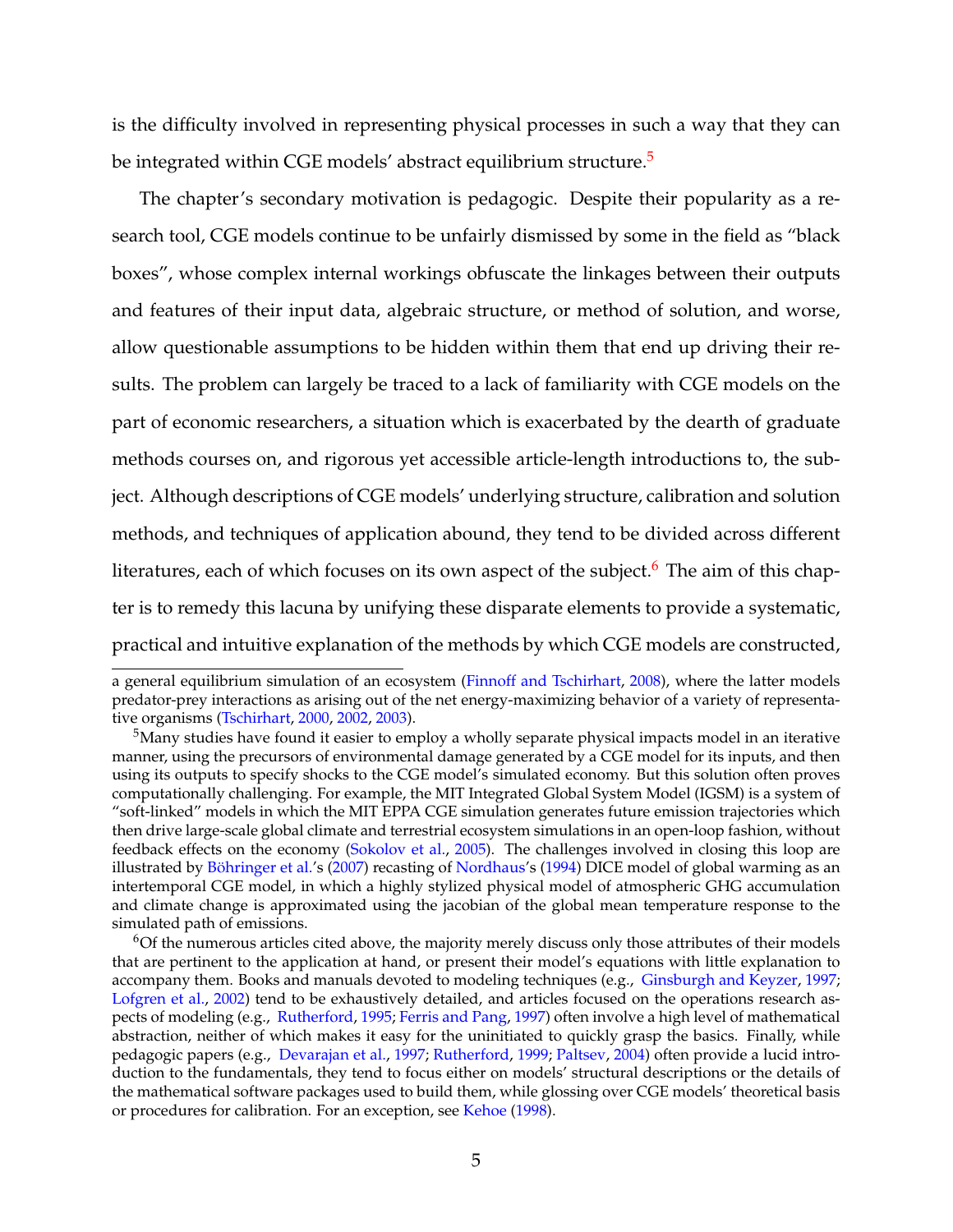is the difficulty involved in representing physical processes in such a way that they can be integrated within CGE models' abstract equilibrium structure.<sup>[5](#page-4-0)</sup>

The chapter's secondary motivation is pedagogic. Despite their popularity as a research tool, CGE models continue to be unfairly dismissed by some in the field as "black boxes", whose complex internal workings obfuscate the linkages between their outputs and features of their input data, algebraic structure, or method of solution, and worse, allow questionable assumptions to be hidden within them that end up driving their results. The problem can largely be traced to a lack of familiarity with CGE models on the part of economic researchers, a situation which is exacerbated by the dearth of graduate methods courses on, and rigorous yet accessible article-length introductions to, the subject. Although descriptions of CGE models' underlying structure, calibration and solution methods, and techniques of application abound, they tend to be divided across different literatures, each of which focuses on its own aspect of the subject.<sup>[6](#page-4-1)</sup> The aim of this chapter is to remedy this lacuna by unifying these disparate elements to provide a systematic, practical and intuitive explanation of the methods by which CGE models are constructed,

a general equilibrium simulation of an ecosystem [\(Finnoff and Tschirhart,](#page-54-2) [2008\)](#page-54-2), where the latter models predator-prey interactions as arising out of the net energy-maximizing behavior of a variety of representative organisms [\(Tschirhart,](#page-62-6) [2000,](#page-62-6) [2002,](#page-62-7) [2003\)](#page-62-8).

<span id="page-4-0"></span> $5$ Many studies have found it easier to employ a wholly separate physical impacts model in an iterative manner, using the precursors of environmental damage generated by a CGE model for its inputs, and then using its outputs to specify shocks to the CGE model's simulated economy. But this solution often proves computationally challenging. For example, the MIT Integrated Global System Model (IGSM) is a system of "soft-linked" models in which the MIT EPPA CGE simulation generates future emission trajectories which then drive large-scale global climate and terrestrial ecosystem simulations in an open-loop fashion, without feedback effects on the economy [\(Sokolov et al.,](#page-61-4) [2005\)](#page-61-4). The challenges involved in closing this loop are illustrated by [Böhringer et al.'](#page-50-9)s [\(2007\)](#page-50-9) recasting of [Nordhaus'](#page-58-6)s [\(1994\)](#page-58-6) DICE model of global warming as an intertemporal CGE model, in which a highly stylized physical model of atmospheric GHG accumulation and climate change is approximated using the jacobian of the global mean temperature response to the simulated path of emissions.

<span id="page-4-1"></span><sup>6</sup>Of the numerous articles cited above, the majority merely discuss only those attributes of their models that are pertinent to the application at hand, or present their model's equations with little explanation to accompany them. Books and manuals devoted to modeling techniques (e.g., [Ginsburgh and Keyzer,](#page-55-7) [1997;](#page-55-7) [Lofgren et al.,](#page-57-3) [2002\)](#page-57-3) tend to be exhaustively detailed, and articles focused on the operations research aspects of modeling (e.g., [Rutherford,](#page-60-4) [1995;](#page-60-4) [Ferris and Pang,](#page-54-3) [1997\)](#page-54-3) often involve a high level of mathematical abstraction, neither of which makes it easy for the uninitiated to quickly grasp the basics. Finally, while pedagogic papers (e.g., [Devarajan et al.,](#page-53-7) [1997;](#page-53-7) [Rutherford,](#page-60-5) [1999;](#page-60-5) [Paltsev,](#page-59-7) [2004\)](#page-59-7) often provide a lucid introduction to the fundamentals, they tend to focus either on models' structural descriptions or the details of the mathematical software packages used to build them, while glossing over CGE models' theoretical basis or procedures for calibration. For an exception, see [Kehoe](#page-56-5) [\(1998\)](#page-56-5).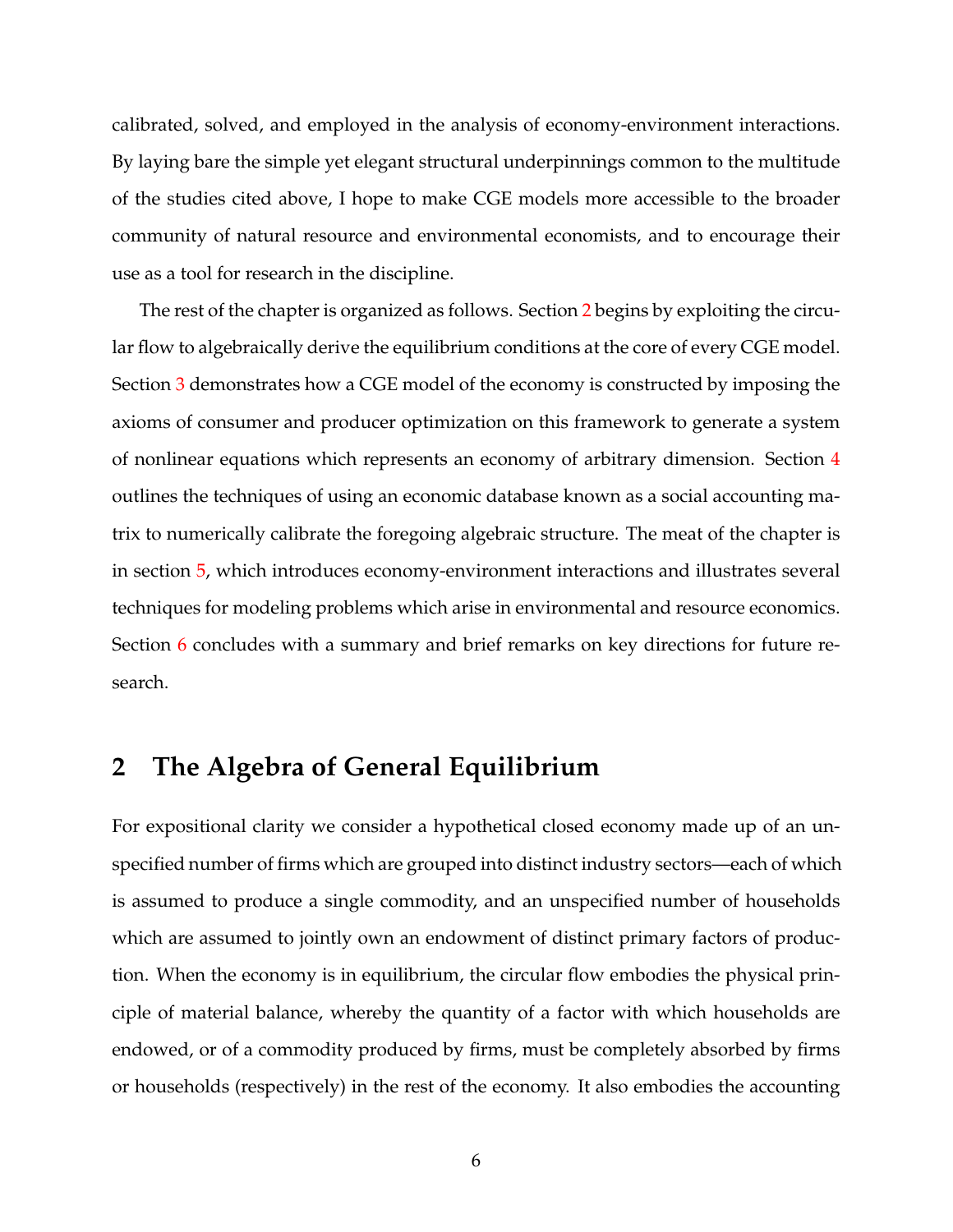calibrated, solved, and employed in the analysis of economy-environment interactions. By laying bare the simple yet elegant structural underpinnings common to the multitude of the studies cited above, I hope to make CGE models more accessible to the broader community of natural resource and environmental economists, and to encourage their use as a tool for research in the discipline.

The rest of the chapter is organized as follows. Section [2](#page-5-0) begins by exploiting the circular flow to algebraically derive the equilibrium conditions at the core of every CGE model. Section [3](#page-12-0) demonstrates how a CGE model of the economy is constructed by imposing the axioms of consumer and producer optimization on this framework to generate a system of nonlinear equations which represents an economy of arbitrary dimension. Section [4](#page-15-0) outlines the techniques of using an economic database known as a social accounting matrix to numerically calibrate the foregoing algebraic structure. The meat of the chapter is in section [5,](#page-19-0) which introduces economy-environment interactions and illustrates several techniques for modeling problems which arise in environmental and resource economics. Section [6](#page-43-0) concludes with a summary and brief remarks on key directions for future research.

## <span id="page-5-0"></span>**2 The Algebra of General Equilibrium**

For expositional clarity we consider a hypothetical closed economy made up of an unspecified number of firms which are grouped into distinct industry sectors—each of which is assumed to produce a single commodity, and an unspecified number of households which are assumed to jointly own an endowment of distinct primary factors of production. When the economy is in equilibrium, the circular flow embodies the physical principle of material balance, whereby the quantity of a factor with which households are endowed, or of a commodity produced by firms, must be completely absorbed by firms or households (respectively) in the rest of the economy. It also embodies the accounting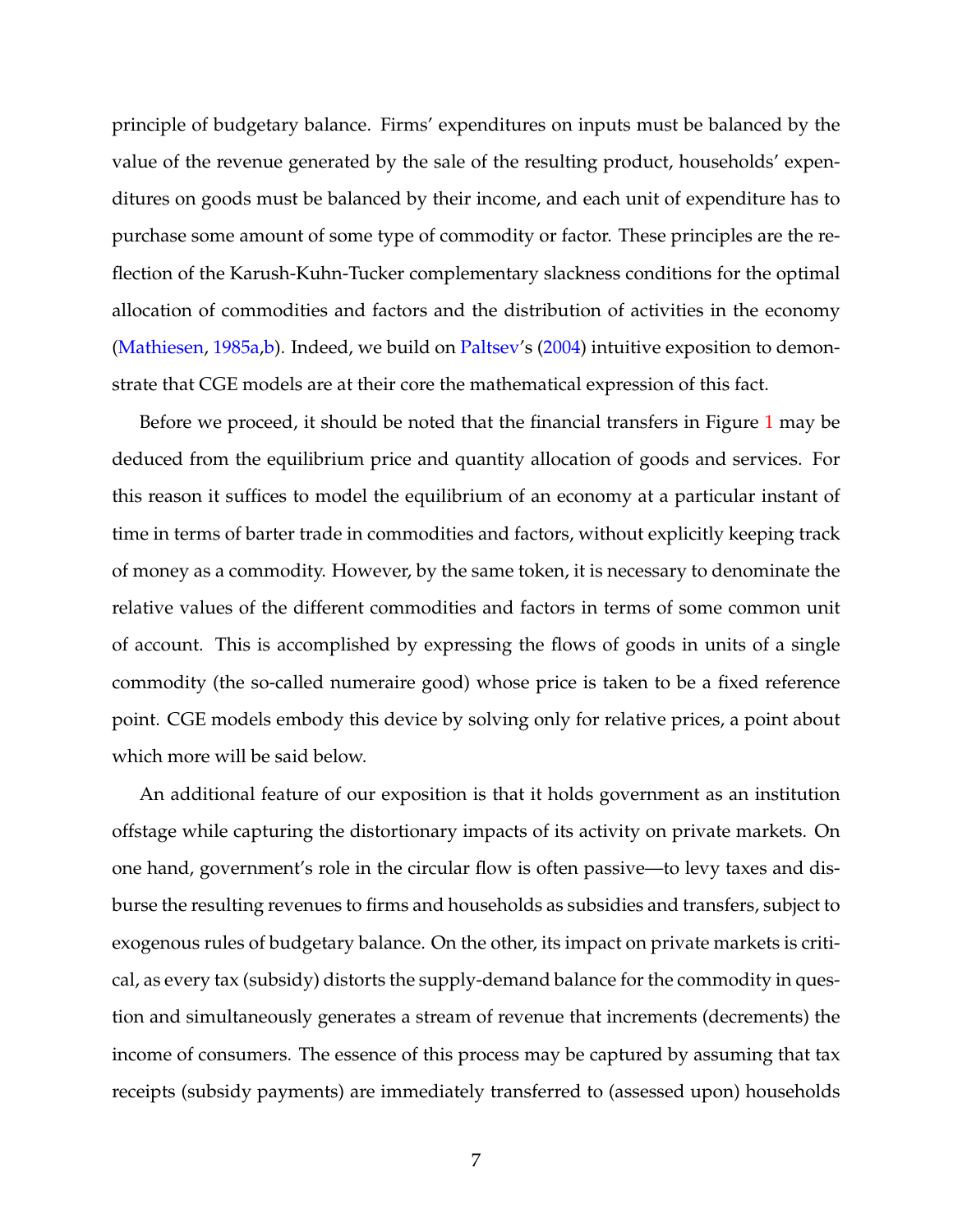principle of budgetary balance. Firms' expenditures on inputs must be balanced by the value of the revenue generated by the sale of the resulting product, households' expenditures on goods must be balanced by their income, and each unit of expenditure has to purchase some amount of some type of commodity or factor. These principles are the reflection of the Karush-Kuhn-Tucker complementary slackness conditions for the optimal allocation of commodities and factors and the distribution of activities in the economy [\(Mathiesen,](#page-57-4) [1985a,](#page-57-4)[b\)](#page-58-7). Indeed, we build on [Paltsev'](#page-59-7)s [\(2004\)](#page-59-7) intuitive exposition to demonstrate that CGE models are at their core the mathematical expression of this fact.

Before we proceed, it should be noted that the financial transfers in Figure [1](#page-45-0) may be deduced from the equilibrium price and quantity allocation of goods and services. For this reason it suffices to model the equilibrium of an economy at a particular instant of time in terms of barter trade in commodities and factors, without explicitly keeping track of money as a commodity. However, by the same token, it is necessary to denominate the relative values of the different commodities and factors in terms of some common unit of account. This is accomplished by expressing the flows of goods in units of a single commodity (the so-called numeraire good) whose price is taken to be a fixed reference point. CGE models embody this device by solving only for relative prices, a point about which more will be said below.

An additional feature of our exposition is that it holds government as an institution offstage while capturing the distortionary impacts of its activity on private markets. On one hand, government's role in the circular flow is often passive—to levy taxes and disburse the resulting revenues to firms and households as subsidies and transfers, subject to exogenous rules of budgetary balance. On the other, its impact on private markets is critical, as every tax (subsidy) distorts the supply-demand balance for the commodity in question and simultaneously generates a stream of revenue that increments (decrements) the income of consumers. The essence of this process may be captured by assuming that tax receipts (subsidy payments) are immediately transferred to (assessed upon) households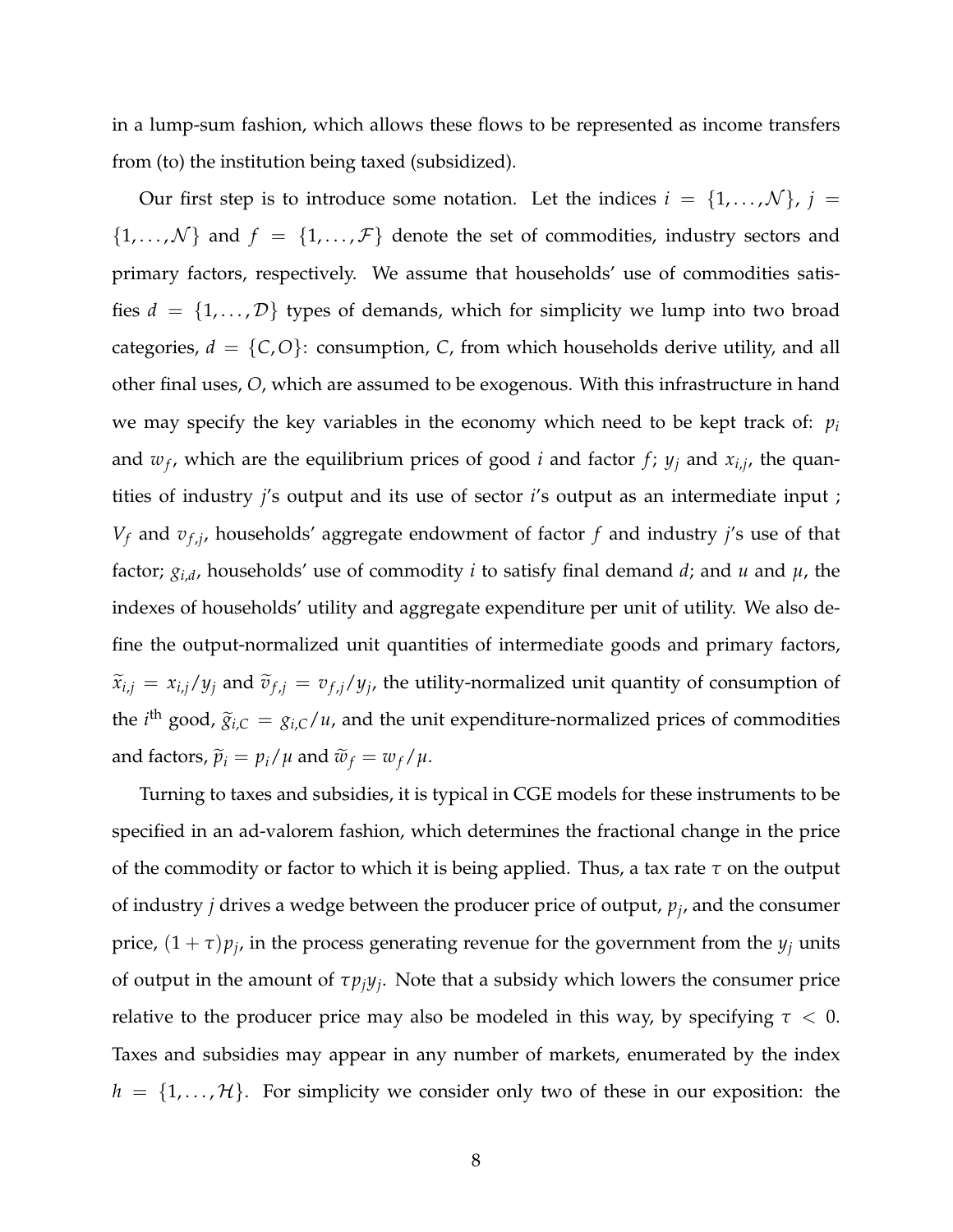in a lump-sum fashion, which allows these flows to be represented as income transfers from (to) the institution being taxed (subsidized).

Our first step is to introduce some notation. Let the indices  $i = \{1, \ldots, \mathcal{N}\}, j =$  ${1, ..., N}$  and  $f = {1, ..., F}$  denote the set of commodities, industry sectors and primary factors, respectively. We assume that households' use of commodities satisfies  $d = \{1, ..., D\}$  types of demands, which for simplicity we lump into two broad categories,  $d = \{C, O\}$ : consumption, *C*, from which households derive utility, and all other final uses, *O*, which are assumed to be exogenous. With this infrastructure in hand we may specify the key variables in the economy which need to be kept track of: *p<sup>i</sup>* and  $w_f$ , which are the equilibrium prices of good *i* and factor  $f$ ;  $y_j$  and  $x_{i,j}$ , the quantities of industry *j*'s output and its use of sector *i*'s output as an intermediate input ; *V<sup>f</sup>* and *v<sup>f</sup>* ,*<sup>j</sup>* , households' aggregate endowment of factor *f* and industry *j*'s use of that factor; *gi*,*<sup>d</sup>* , households' use of commodity *i* to satisfy final demand *d*; and *u* and *µ*, the indexes of households' utility and aggregate expenditure per unit of utility. We also define the output-normalized unit quantities of intermediate goods and primary factors,  $\widetilde{x}_{i,j} = x_{i,j}/y_j$  and  $\widetilde{v}_{f,j} = v_{f,j}/y_j$ , the utility-normalized unit quantity of consumption of the *i*<sup>th</sup> good,  $\tilde{g}_{i,C} = g_{i,C}/u$ , and the unit expenditure-normalized prices of commodities and factors,  $\tilde{p}_i = p_i / \mu$  and  $\tilde{w}_f = w_f / \mu$ .

Turning to taxes and subsidies, it is typical in CGE models for these instruments to be specified in an ad-valorem fashion, which determines the fractional change in the price of the commodity or factor to which it is being applied. Thus, a tax rate *τ* on the output of industry *j* drives a wedge between the producer price of output, *p<sup>j</sup>* , and the consumer price,  $(1 + \tau)p_j$ , in the process generating revenue for the government from the  $y_j$  units of output in the amount of *τpjy<sup>j</sup>* . Note that a subsidy which lowers the consumer price relative to the producer price may also be modeled in this way, by specifying  $\tau < 0$ . Taxes and subsidies may appear in any number of markets, enumerated by the index  $h = \{1, \ldots, \mathcal{H}\}\.$  For simplicity we consider only two of these in our exposition: the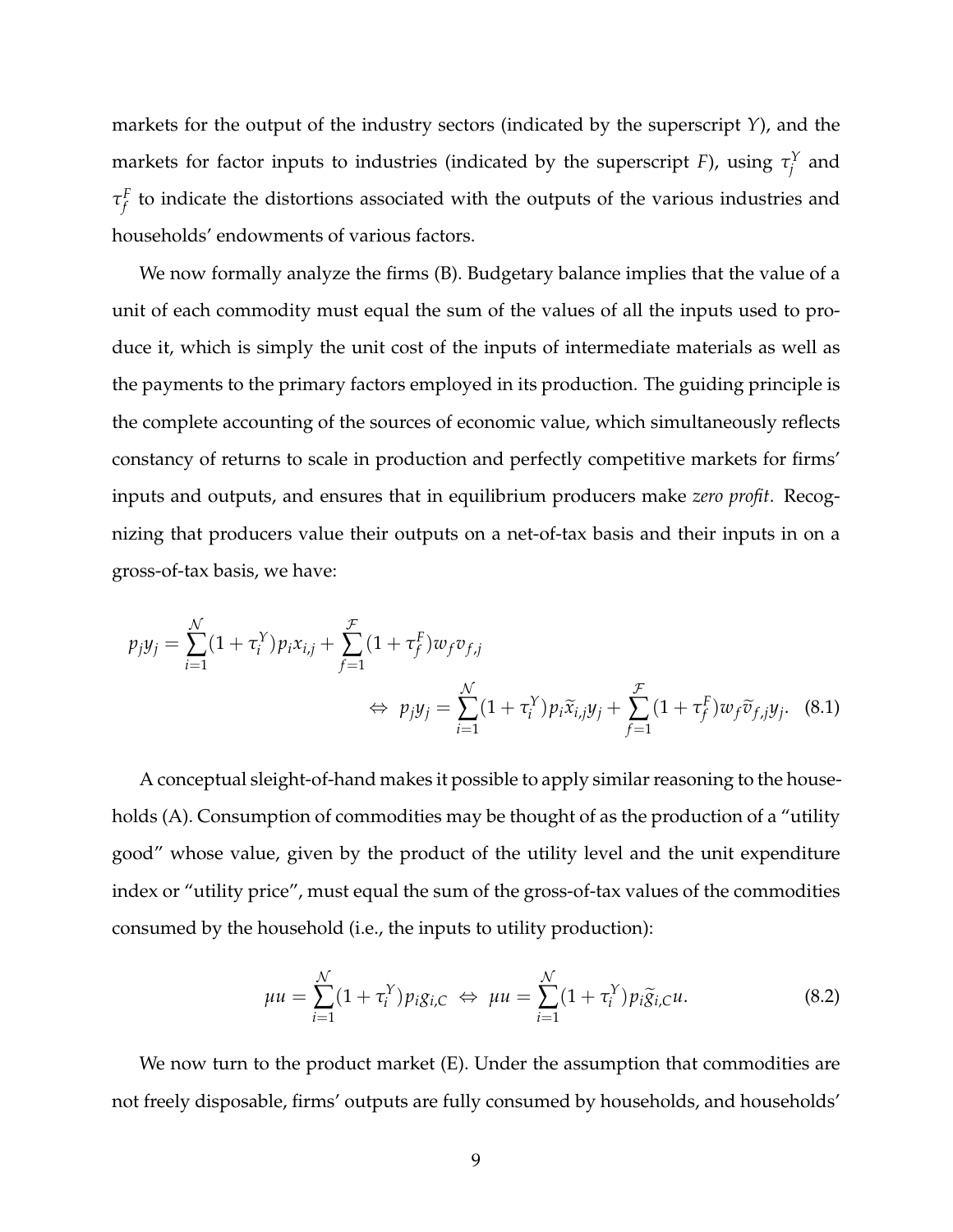markets for the output of the industry sectors (indicated by the superscript *Y*), and the markets for factor inputs to industries (indicated by the superscript *F*), using  $\tau_i^Y$  $j^{\prime}$  and *τ F f* to indicate the distortions associated with the outputs of the various industries and households' endowments of various factors.

We now formally analyze the firms (B). Budgetary balance implies that the value of a unit of each commodity must equal the sum of the values of all the inputs used to produce it, which is simply the unit cost of the inputs of intermediate materials as well as the payments to the primary factors employed in its production. The guiding principle is the complete accounting of the sources of economic value, which simultaneously reflects constancy of returns to scale in production and perfectly competitive markets for firms' inputs and outputs, and ensures that in equilibrium producers make *zero profit*. Recognizing that producers value their outputs on a net-of-tax basis and their inputs in on a gross-of-tax basis, we have:

$$
p_j y_j = \sum_{i=1}^{N} (1 + \tau_i^Y) p_i x_{i,j} + \sum_{f=1}^{F} (1 + \tau_f^F) w_f v_{f,j}
$$
  
\n
$$
\Leftrightarrow p_j y_j = \sum_{i=1}^{N} (1 + \tau_i^Y) p_i \tilde{x}_{i,j} y_j + \sum_{f=1}^{F} (1 + \tau_f^F) w_f \tilde{v}_{f,j} y_j. \tag{8.1}
$$

A conceptual sleight-of-hand makes it possible to apply similar reasoning to the households (A). Consumption of commodities may be thought of as the production of a "utility good" whose value, given by the product of the utility level and the unit expenditure index or "utility price", must equal the sum of the gross-of-tax values of the commodities consumed by the household (i.e., the inputs to utility production):

<span id="page-8-1"></span><span id="page-8-0"></span>
$$
\mu u = \sum_{i=1}^{N} (1 + \tau_i^Y) p_i g_{i,C} \iff \mu u = \sum_{i=1}^{N} (1 + \tau_i^Y) p_i \widetilde{g}_{i,C} u.
$$
 (8.2)

We now turn to the product market (E). Under the assumption that commodities are not freely disposable, firms' outputs are fully consumed by households, and households'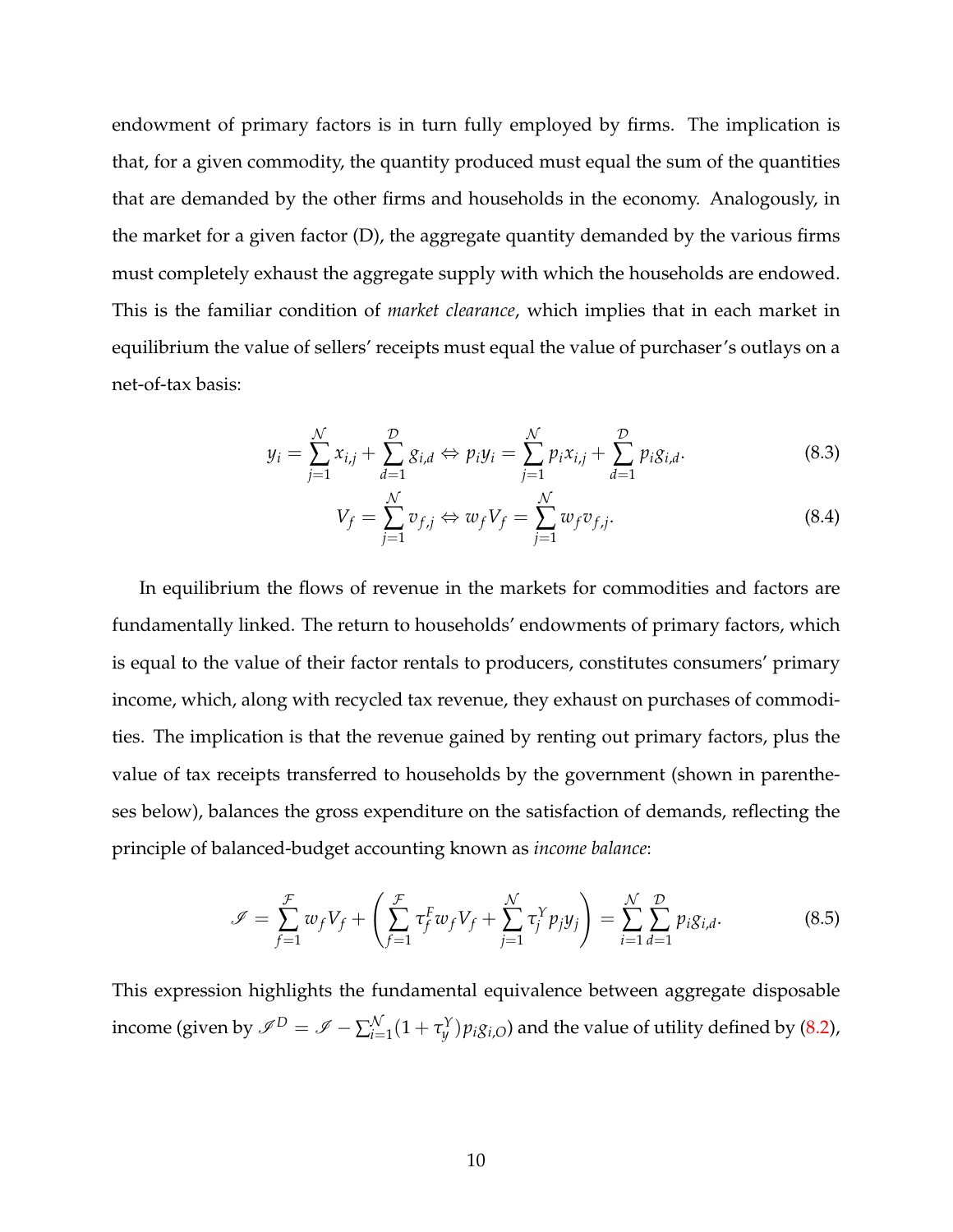endowment of primary factors is in turn fully employed by firms. The implication is that, for a given commodity, the quantity produced must equal the sum of the quantities that are demanded by the other firms and households in the economy. Analogously, in the market for a given factor (D), the aggregate quantity demanded by the various firms must completely exhaust the aggregate supply with which the households are endowed. This is the familiar condition of *market clearance*, which implies that in each market in equilibrium the value of sellers' receipts must equal the value of purchaser's outlays on a net-of-tax basis:

$$
y_i = \sum_{j=1}^{N} x_{i,j} + \sum_{d=1}^{D} g_{i,d} \Leftrightarrow p_i y_i = \sum_{j=1}^{N} p_i x_{i,j} + \sum_{d=1}^{D} p_i g_{i,d}.
$$
 (8.3)

<span id="page-9-1"></span><span id="page-9-0"></span>
$$
V_f = \sum_{j=1}^{N} v_{f,j} \Leftrightarrow w_f V_f = \sum_{j=1}^{N} w_f v_{f,j}.
$$
\n(8.4)

In equilibrium the flows of revenue in the markets for commodities and factors are fundamentally linked. The return to households' endowments of primary factors, which is equal to the value of their factor rentals to producers, constitutes consumers' primary income, which, along with recycled tax revenue, they exhaust on purchases of commodities. The implication is that the revenue gained by renting out primary factors, plus the value of tax receipts transferred to households by the government (shown in parentheses below), balances the gross expenditure on the satisfaction of demands, reflecting the principle of balanced-budget accounting known as *income balance*:

<span id="page-9-2"></span>
$$
\mathscr{I} = \sum_{f=1}^{\mathcal{F}} w_f V_f + \left( \sum_{f=1}^{\mathcal{F}} \tau_f^F w_f V_f + \sum_{j=1}^{\mathcal{N}} \tau_j^Y p_j y_j \right) = \sum_{i=1}^{\mathcal{N}} \sum_{d=1}^{\mathcal{D}} p_i g_{i,d}.
$$
 (8.5)

This expression highlights the fundamental equivalence between aggregate disposable income (given by  $\mathscr{I}^D = \mathscr{I} - \sum_{i=1}^{\mathcal{N}}$  $\int_{i=1}^{N}(1+\tau_{y}^{Y})p_{i}g_{i,O}$  and the value of utility defined by [\(8.2\)](#page-8-0),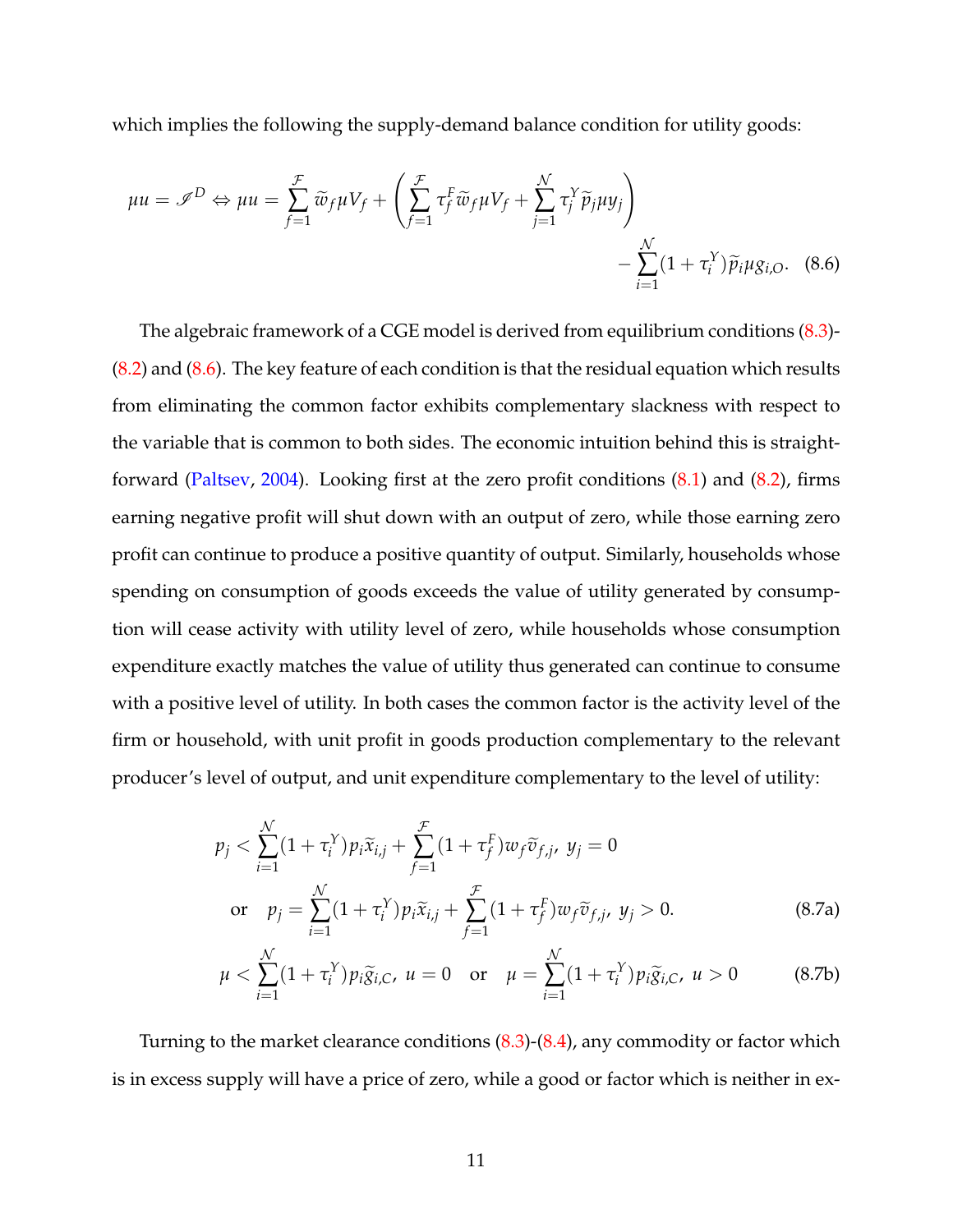which implies the following the supply-demand balance condition for utility goods:

<span id="page-10-0"></span>
$$
\mu u = \mathscr{I}^D \Leftrightarrow \mu u = \sum_{f=1}^{\mathcal{F}} \widetilde{w}_f \mu V_f + \left( \sum_{f=1}^{\mathcal{F}} \tau_f^F \widetilde{w}_f \mu V_f + \sum_{j=1}^{\mathcal{N}} \tau_j^Y \widetilde{p}_j \mu y_j \right) - \sum_{i=1}^{\mathcal{N}} (1 + \tau_i^Y) \widetilde{p}_i \mu g_{i,O}. \tag{8.6}
$$

The algebraic framework of a CGE model is derived from equilibrium conditions [\(8.3\)](#page-9-0)-  $(8.2)$  and  $(8.6)$ . The key feature of each condition is that the residual equation which results from eliminating the common factor exhibits complementary slackness with respect to the variable that is common to both sides. The economic intuition behind this is straightforward [\(Paltsev,](#page-59-7) [2004\)](#page-59-7). Looking first at the zero profit conditions [\(8.1\)](#page-8-1) and [\(8.2\)](#page-8-0), firms earning negative profit will shut down with an output of zero, while those earning zero profit can continue to produce a positive quantity of output. Similarly, households whose spending on consumption of goods exceeds the value of utility generated by consumption will cease activity with utility level of zero, while households whose consumption expenditure exactly matches the value of utility thus generated can continue to consume with a positive level of utility. In both cases the common factor is the activity level of the firm or household, with unit profit in goods production complementary to the relevant producer's level of output, and unit expenditure complementary to the level of utility:

$$
p_j < \sum_{i=1}^{N} (1 + \tau_i^Y) p_i \tilde{x}_{i,j} + \sum_{f=1}^{T} (1 + \tau_f^F) w_f \tilde{v}_{f,j}, \ y_j = 0
$$
\nor

\n
$$
p_j = \sum_{i=1}^{N} (1 + \tau_i^Y) p_i \tilde{x}_{i,j} + \sum_{f=1}^{T} (1 + \tau_f^F) w_f \tilde{v}_{f,j}, \ y_j > 0.
$$
\n(8.7a)

<span id="page-10-1"></span>
$$
\mu < \sum_{i=1}^{N} (1 + \tau_i^Y) p_i \widetilde{g}_{i,C}, \ u = 0 \quad \text{or} \quad \mu = \sum_{i=1}^{N} (1 + \tau_i^Y) p_i \widetilde{g}_{i,C}, \ u > 0 \tag{8.7b}
$$

Turning to the market clearance conditions [\(8.3\)](#page-9-0)-[\(8.4\)](#page-9-1), any commodity or factor which is in excess supply will have a price of zero, while a good or factor which is neither in ex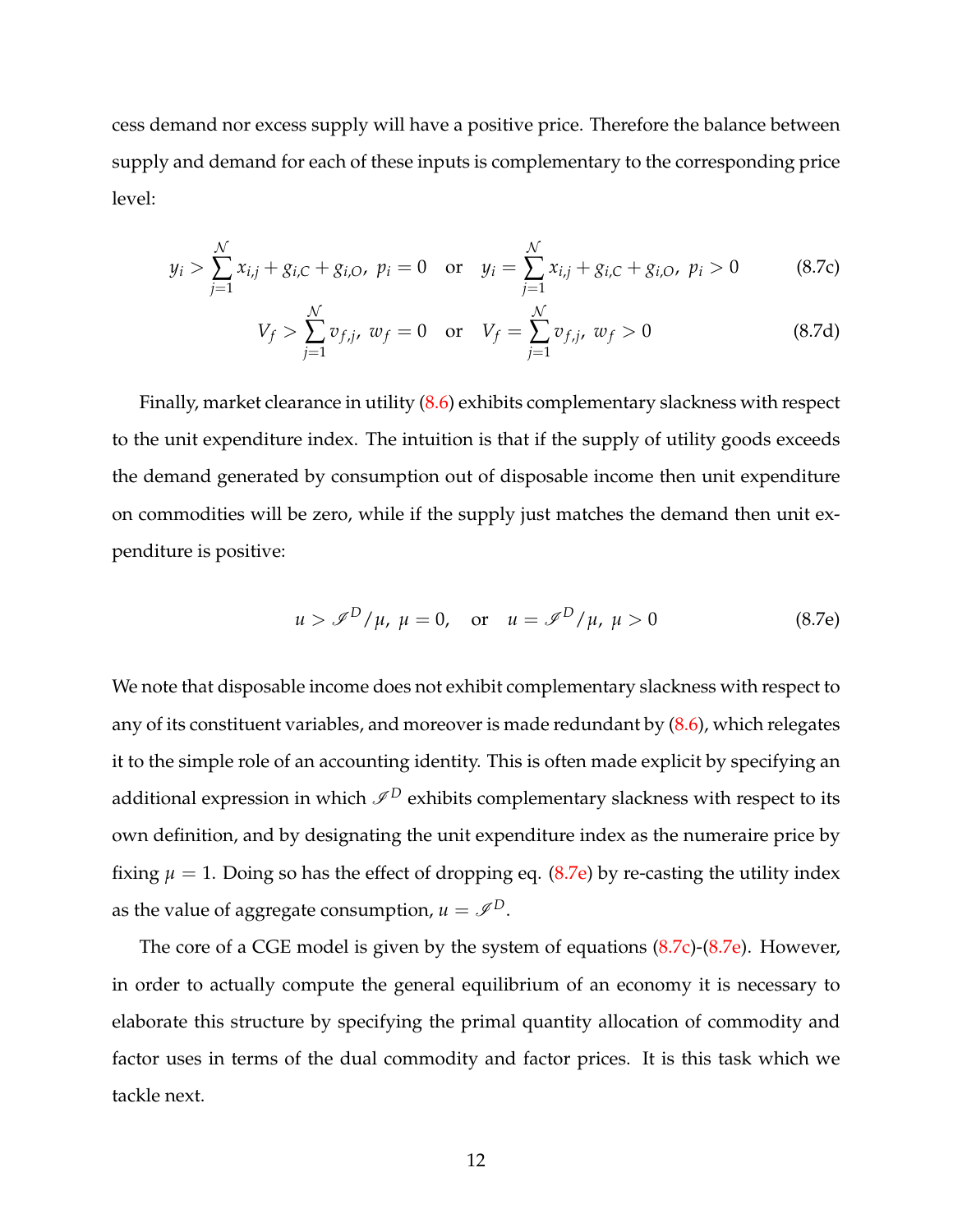cess demand nor excess supply will have a positive price. Therefore the balance between supply and demand for each of these inputs is complementary to the corresponding price level:

$$
y_i > \sum_{j=1}^{N} x_{i,j} + g_{i,C} + g_{i,O}, \ p_i = 0 \quad \text{or} \quad y_i = \sum_{j=1}^{N} x_{i,j} + g_{i,C} + g_{i,O}, \ p_i > 0 \tag{8.7c}
$$

<span id="page-11-1"></span>
$$
V_f > \sum_{j=1}^{N} v_{f,j}, \ w_f = 0 \quad \text{or} \quad V_f = \sum_{j=1}^{N} v_{f,j}, \ w_f > 0 \tag{8.7d}
$$

Finally, market clearance in utility [\(8.6\)](#page-10-0) exhibits complementary slackness with respect to the unit expenditure index. The intuition is that if the supply of utility goods exceeds the demand generated by consumption out of disposable income then unit expenditure on commodities will be zero, while if the supply just matches the demand then unit expenditure is positive:

<span id="page-11-0"></span>
$$
u > \mathcal{I}^D / \mu
$$
,  $\mu = 0$ , or  $u = \mathcal{I}^D / \mu$ ,  $\mu > 0$  (8.7e)

We note that disposable income does not exhibit complementary slackness with respect to any of its constituent variables, and moreover is made redundant by  $(8.6)$ , which relegates it to the simple role of an accounting identity. This is often made explicit by specifying an additional expression in which  $\mathcal{I}^D$  exhibits complementary slackness with respect to its own definition, and by designating the unit expenditure index as the numeraire price by fixing  $\mu = 1$ . Doing so has the effect of dropping eq. [\(8.7e\)](#page-11-0) by re-casting the utility index as the value of aggregate consumption,  $u = \mathcal{I}^D$ .

The core of a CGE model is given by the system of equations [\(8.7c\)](#page-11-1)-[\(8.7e\)](#page-11-0). However, in order to actually compute the general equilibrium of an economy it is necessary to elaborate this structure by specifying the primal quantity allocation of commodity and factor uses in terms of the dual commodity and factor prices. It is this task which we tackle next.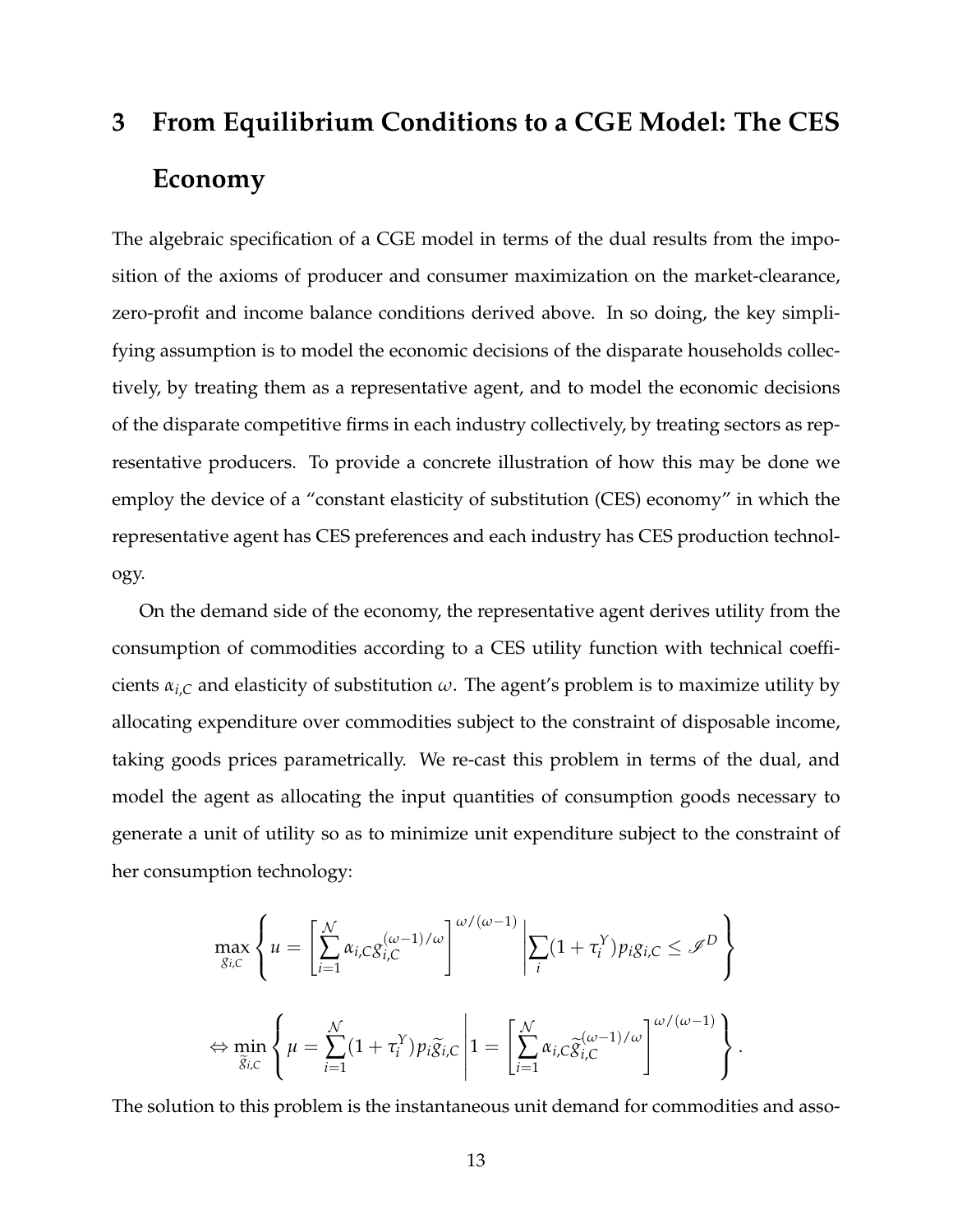## <span id="page-12-0"></span>**3 From Equilibrium Conditions to a CGE Model: The CES Economy**

The algebraic specification of a CGE model in terms of the dual results from the imposition of the axioms of producer and consumer maximization on the market-clearance, zero-profit and income balance conditions derived above. In so doing, the key simplifying assumption is to model the economic decisions of the disparate households collectively, by treating them as a representative agent, and to model the economic decisions of the disparate competitive firms in each industry collectively, by treating sectors as representative producers. To provide a concrete illustration of how this may be done we employ the device of a "constant elasticity of substitution (CES) economy" in which the representative agent has CES preferences and each industry has CES production technology.

On the demand side of the economy, the representative agent derives utility from the consumption of commodities according to a CES utility function with technical coefficients  $\alpha_{i,C}$  and elasticity of substitution  $\omega$ . The agent's problem is to maximize utility by allocating expenditure over commodities subject to the constraint of disposable income, taking goods prices parametrically. We re-cast this problem in terms of the dual, and model the agent as allocating the input quantities of consumption goods necessary to generate a unit of utility so as to minimize unit expenditure subject to the constraint of her consumption technology:

$$
\max_{g_{i,C}} \left\{ u = \left[ \sum_{i=1}^{N} \alpha_{i,C} g_{i,C}^{(\omega-1)/\omega} \right]^{\omega/(\omega-1)} \middle| \sum_{i} (1 + \tau_i^Y) p_i g_{i,C} \leq \mathcal{I}^D \right\}
$$
  

$$
\Leftrightarrow \min_{\widetilde{g}_{i,C}} \left\{ \mu = \sum_{i=1}^{N} (1 + \tau_i^Y) p_i \widetilde{g}_{i,C} \middle| 1 = \left[ \sum_{i=1}^{N} \alpha_{i,C} \widetilde{g}_{i,C}^{(\omega-1)/\omega} \right]^{\omega/(\omega-1)} \right\}.
$$

The solution to this problem is the instantaneous unit demand for commodities and asso-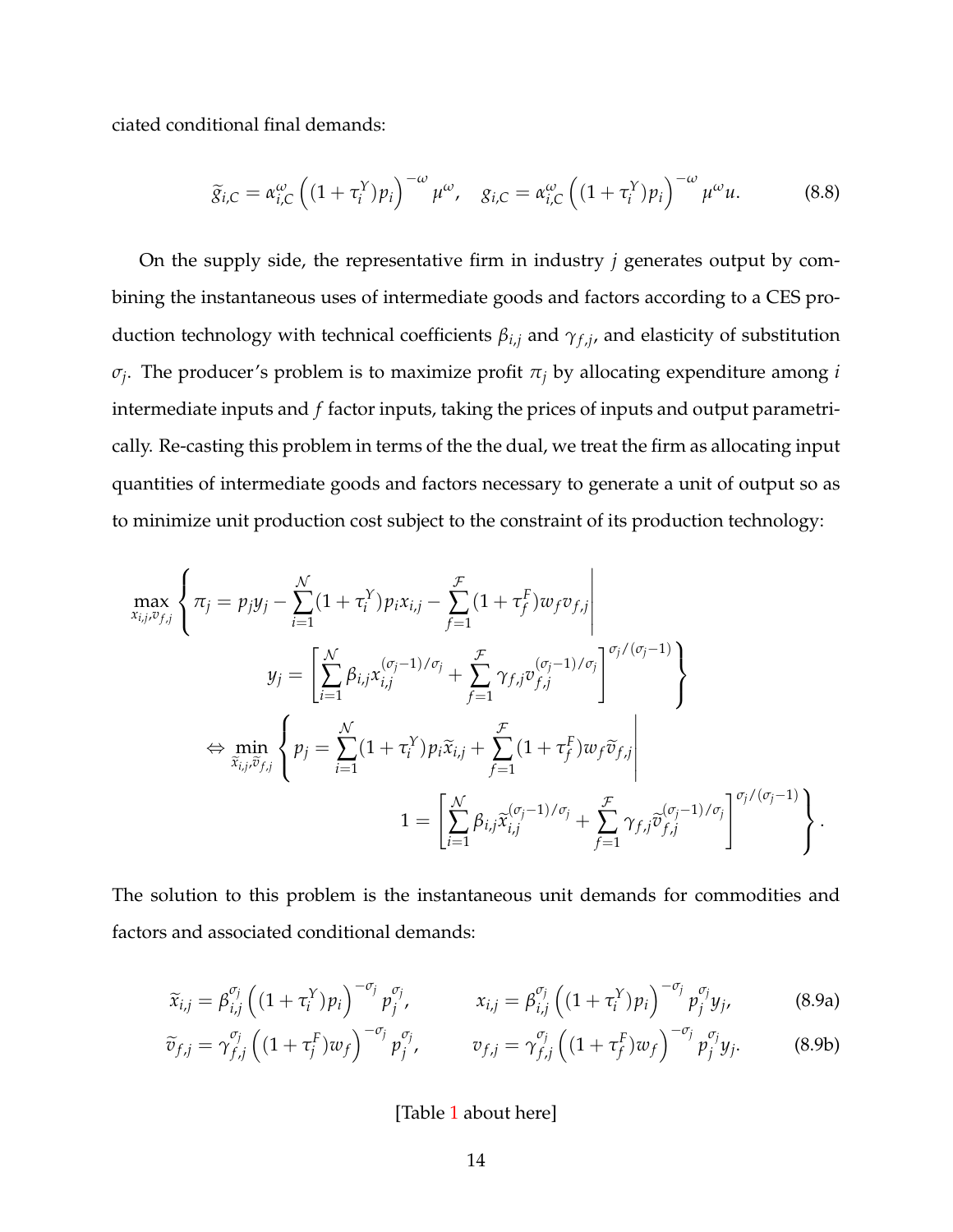ciated conditional final demands:

<span id="page-13-0"></span>
$$
\widetilde{g}_{i,C} = \alpha_{i,C}^{\omega} \left( (1 + \tau_i^Y) p_i \right)^{-\omega} \mu^{\omega}, \quad g_{i,C} = \alpha_{i,C}^{\omega} \left( (1 + \tau_i^Y) p_i \right)^{-\omega} \mu^{\omega} u. \tag{8.8}
$$

On the supply side, the representative firm in industry *j* generates output by combining the instantaneous uses of intermediate goods and factors according to a CES production technology with technical coefficients *βi*,*<sup>j</sup>* and *γ<sup>f</sup>* ,*<sup>j</sup>* , and elasticity of substitution *σj* . The producer's problem is to maximize profit *π<sup>j</sup>* by allocating expenditure among *i* intermediate inputs and *f* factor inputs, taking the prices of inputs and output parametrically. Re-casting this problem in terms of the the dual, we treat the firm as allocating input quantities of intermediate goods and factors necessary to generate a unit of output so as to minimize unit production cost subject to the constraint of its production technology:

$$
\max_{x_{i,j},v_{f,j}}\left\{\pi_j = p_jy_j - \sum_{i=1}^{\mathcal{N}}(1+\tau_i^Y)p_ix_{i,j} - \sum_{f=1}^{\mathcal{F}}(1+\tau_f^F)w_fv_{f,j}\Big| \ny_j = \left[\sum_{i=1}^{\mathcal{N}}\beta_{i,j}x_{i,j}^{(\sigma_j-1)/\sigma_j} + \sum_{f=1}^{\mathcal{F}}\gamma_{f,j}v_{f,j}^{(\sigma_j-1)/\sigma_j}\right]^{\sigma_j/(\sigma_j-1)}\right\} \n\Leftrightarrow \min_{\tilde{x}_{i,j},\tilde{v}_{f,j}}\left\{p_j = \sum_{i=1}^{\mathcal{N}}(1+\tau_i^Y)p_i\tilde{x}_{i,j} + \sum_{f=1}^{\mathcal{F}}(1+\tau_f^F)w_f\tilde{v}_{f,j}\right| \n1 = \left[\sum_{i=1}^{\mathcal{N}}\beta_{i,j}\tilde{x}_{i,j}^{(\sigma_j-1)/\sigma_j} + \sum_{f=1}^{\mathcal{F}}\gamma_{f,j}\tilde{v}_{f,j}^{(\sigma_j-1)/\sigma_j}\right]^{\sigma_j/(\sigma_j-1)}\right\}.
$$

The solution to this problem is the instantaneous unit demands for commodities and factors and associated conditional demands:

$$
\widetilde{x}_{i,j} = \beta_{i,j}^{\sigma_j} \left( (1 + \tau_i^Y) p_i \right)^{-\sigma_j} p_j^{\sigma_j}, \qquad x_{i,j} = \beta_{i,j}^{\sigma_j} \left( (1 + \tau_i^Y) p_i \right)^{-\sigma_j} p_j^{\sigma_j} y_j, \qquad (8.9a)
$$

$$
\widetilde{v}_{f,j} = \gamma_{f,j}^{\sigma_j} \left( (1 + \tau_j^F) w_f \right)^{-\sigma_j} p_j^{\sigma_j}, \qquad v_{f,j} = \gamma_{f,j}^{\sigma_j} \left( (1 + \tau_j^F) w_f \right)^{-\sigma_j} p_j^{\sigma_j} y_j. \tag{8.9b}
$$

<span id="page-13-1"></span>[Table [1](#page-47-0) about here]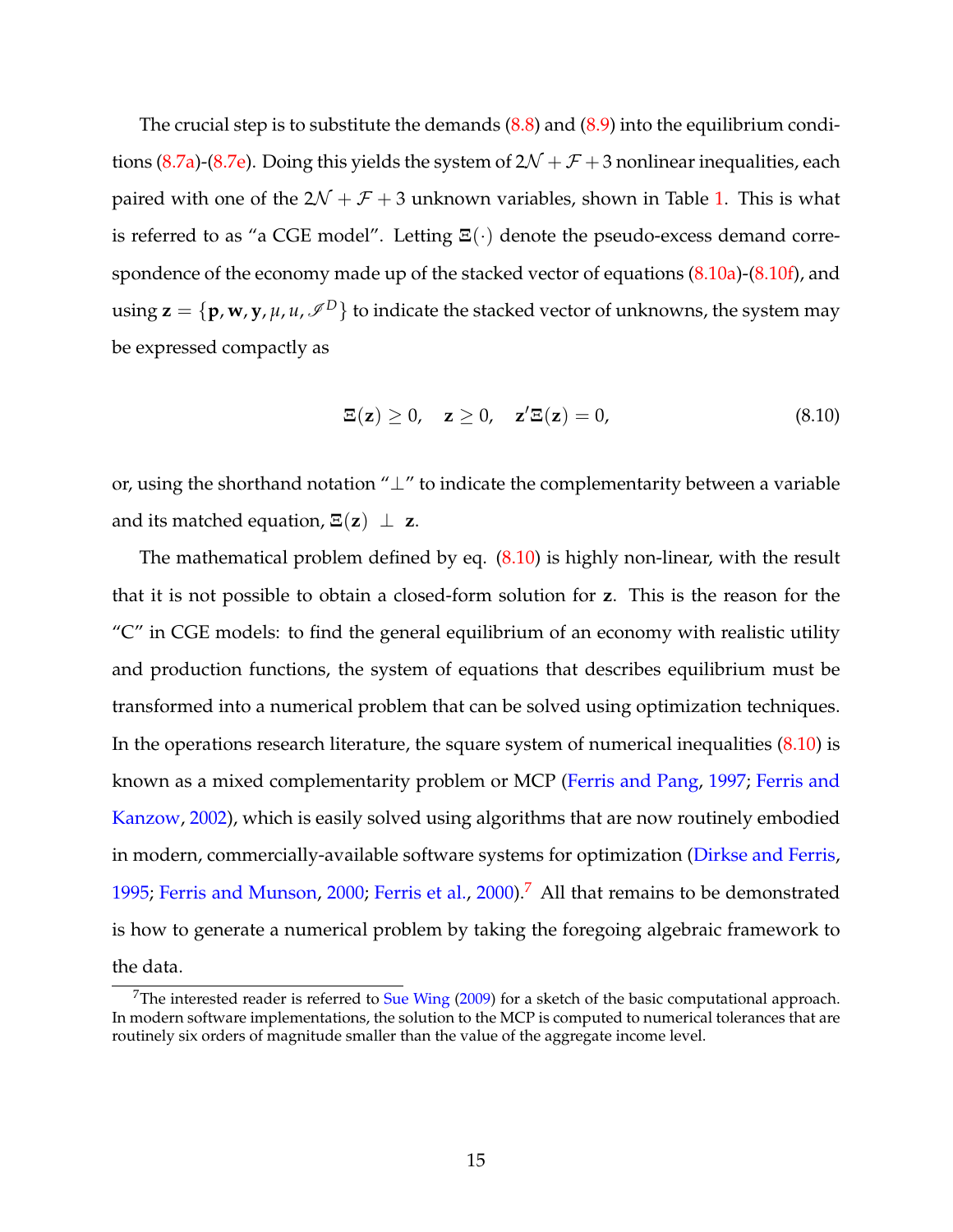The crucial step is to substitute the demands  $(8.8)$  and  $(8.9)$  into the equilibrium condi-tions [\(8.7a\)](#page-10-1)-[\(8.7e\)](#page-11-0). Doing this yields the system of  $2\mathcal{N} + \mathcal{F} + 3$  nonlinear inequalities, each paired with one of the  $2\mathcal{N} + \mathcal{F} + 3$  unknown variables, shown in Table [1.](#page-47-0) This is what is referred to as "a CGE model". Letting **Ξ**(·) denote the pseudo-excess demand correspondence of the economy made up of the stacked vector of equations [\(8.10a\)](#page-47-1)-[\(8.10f\)](#page-47-2), and using  $\mathbf{z} = \{ \mathbf{p}, \mathbf{w}, \mathbf{y}, \mu, u, \mathcal{I}^D \}$  to indicate the stacked vector of unknowns, the system may be expressed compactly as

<span id="page-14-0"></span>
$$
\Xi(z) \ge 0, \quad z \ge 0, \quad z' \Xi(z) = 0,
$$
\n(8.10)

or, using the shorthand notation "⊥" to indicate the complementarity between a variable and its matched equation,  $\Xi(z) \perp z$ .

The mathematical problem defined by eq.  $(8.10)$  is highly non-linear, with the result that it is not possible to obtain a closed-form solution for **z**. This is the reason for the "C" in CGE models: to find the general equilibrium of an economy with realistic utility and production functions, the system of equations that describes equilibrium must be transformed into a numerical problem that can be solved using optimization techniques. In the operations research literature, the square system of numerical inequalities [\(8.10\)](#page-14-0) is known as a mixed complementarity problem or MCP [\(Ferris and Pang,](#page-54-3) [1997;](#page-54-3) [Ferris and](#page-54-4) [Kanzow,](#page-54-4) [2002\)](#page-54-4), which is easily solved using algorithms that are now routinely embodied in modern, commercially-available software systems for optimization [\(Dirkse and Ferris,](#page-54-5) [1995;](#page-54-5) [Ferris and Munson,](#page-54-6) [2000;](#page-54-6) [Ferris et al.,](#page-54-7) [2000\)](#page-54-7).[7](#page-14-1) All that remains to be demonstrated is how to generate a numerical problem by taking the foregoing algebraic framework to the data.

<span id="page-14-1"></span><sup>&</sup>lt;sup>7</sup>The interested reader is referred to [Sue Wing](#page-61-5)  $(2009)$  for a sketch of the basic computational approach. In modern software implementations, the solution to the MCP is computed to numerical tolerances that are routinely six orders of magnitude smaller than the value of the aggregate income level.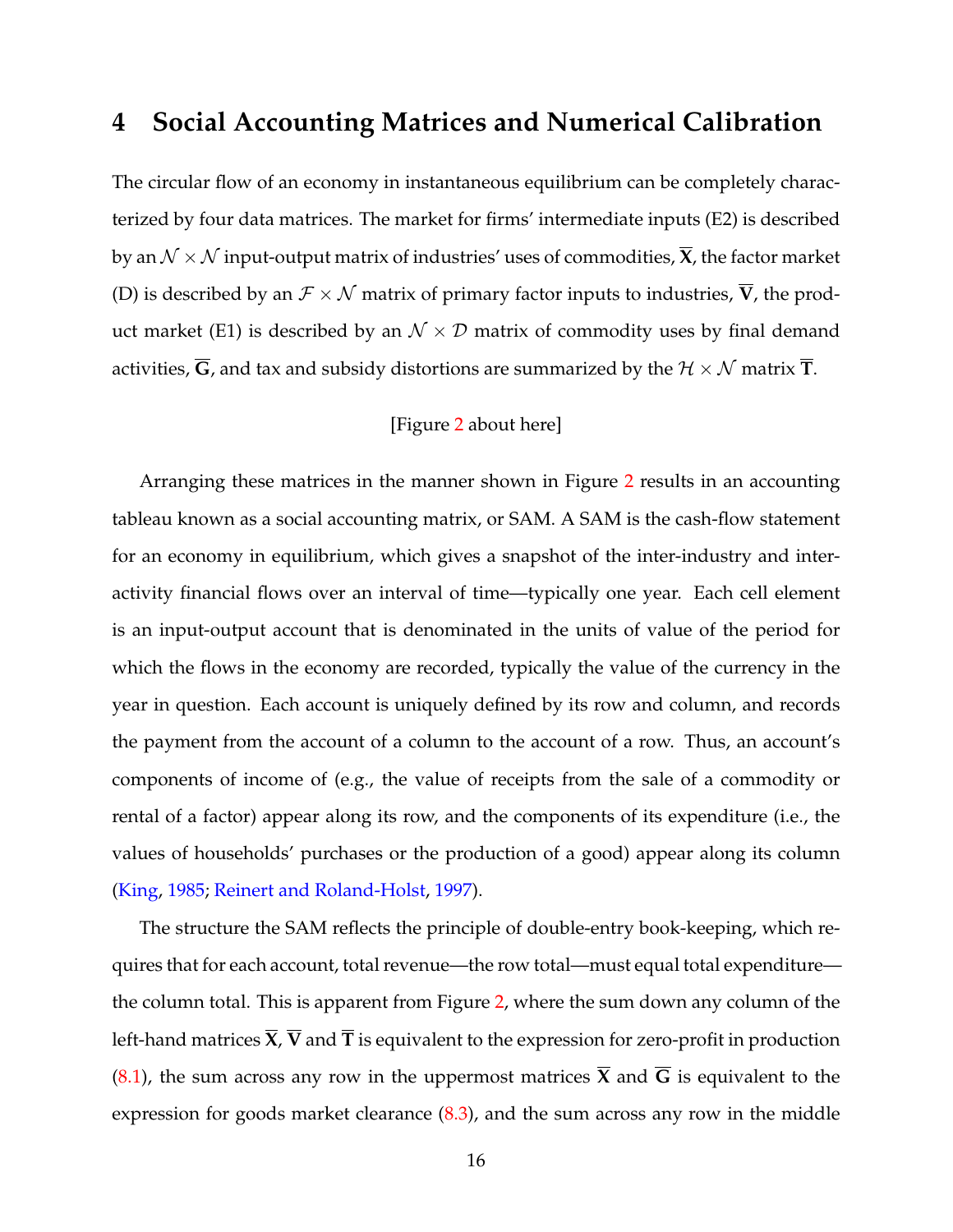### <span id="page-15-0"></span>**4 Social Accounting Matrices and Numerical Calibration**

The circular flow of an economy in instantaneous equilibrium can be completely characterized by four data matrices. The market for firms' intermediate inputs (E2) is described by an  $\mathcal{N} \times \mathcal{N}$  input-output matrix of industries' uses of commodities,  $\overline{X}$ , the factor market (D) is described by an  $\mathcal{F} \times \mathcal{N}$  matrix of primary factor inputs to industries,  $\overline{V}$ , the product market (E1) is described by an  $\mathcal{N} \times \mathcal{D}$  matrix of commodity uses by final demand activities,  $\overline{G}$ , and tax and subsidy distortions are summarized by the  $H \times N$  matrix  $\overline{T}$ .

#### [Figure [2](#page-46-0) about here]

Arranging these matrices in the manner shown in Figure [2](#page-46-0) results in an accounting tableau known as a social accounting matrix, or SAM. A SAM is the cash-flow statement for an economy in equilibrium, which gives a snapshot of the inter-industry and interactivity financial flows over an interval of time—typically one year. Each cell element is an input-output account that is denominated in the units of value of the period for which the flows in the economy are recorded, typically the value of the currency in the year in question. Each account is uniquely defined by its row and column, and records the payment from the account of a column to the account of a row. Thus, an account's components of income of (e.g., the value of receipts from the sale of a commodity or rental of a factor) appear along its row, and the components of its expenditure (i.e., the values of households' purchases or the production of a good) appear along its column [\(King,](#page-57-5) [1985;](#page-57-5) [Reinert and Roland-Holst,](#page-60-6) [1997\)](#page-60-6).

The structure the SAM reflects the principle of double-entry book-keeping, which requires that for each account, total revenue—the row total—must equal total expenditure the column total. This is apparent from Figure [2,](#page-46-0) where the sum down any column of the left-hand matrices  $\overline{X}$ ,  $\overline{V}$  and  $\overline{T}$  is equivalent to the expression for zero-profit in production  $(8.1)$ , the sum across any row in the uppermost matrices  $\bar{X}$  and  $\bar{G}$  is equivalent to the expression for goods market clearance [\(8.3\)](#page-9-0), and the sum across any row in the middle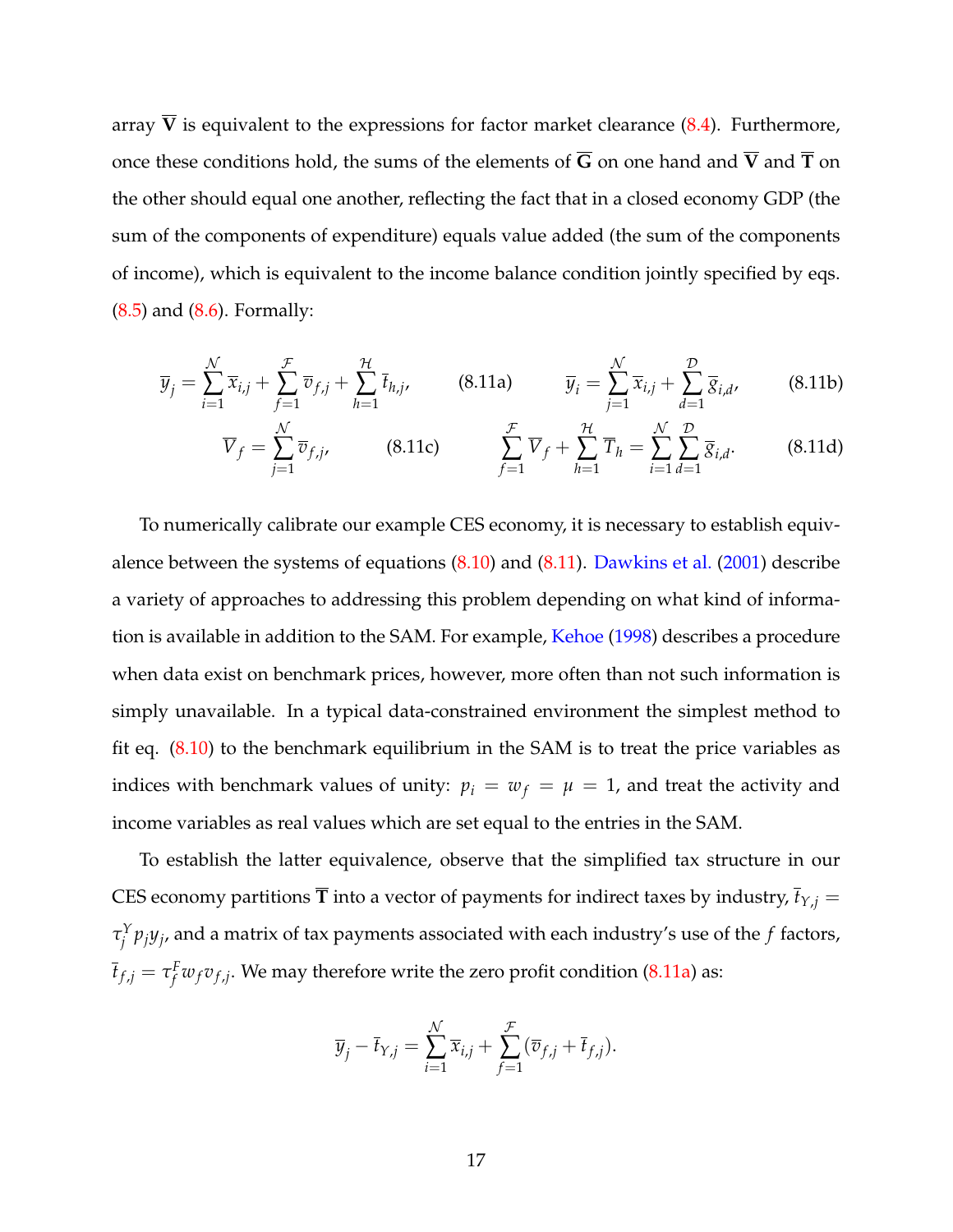array  $\overline{V}$  is equivalent to the expressions for factor market clearance  $(8.4)$ . Furthermore, once these conditions hold, the sums of the elements of  $\overline{G}$  on one hand and  $\overline{V}$  and  $\overline{T}$  on the other should equal one another, reflecting the fact that in a closed economy GDP (the sum of the components of expenditure) equals value added (the sum of the components of income), which is equivalent to the income balance condition jointly specified by eqs. [\(8.5\)](#page-9-2) and [\(8.6\)](#page-10-0). Formally:

<span id="page-16-1"></span><span id="page-16-0"></span>
$$
\overline{y}_j = \sum_{i=1}^N \overline{x}_{i,j} + \sum_{f=1}^{\mathcal{F}} \overline{v}_{f,j} + \sum_{h=1}^{\mathcal{H}} \overline{t}_{h,j},
$$
 (8.11a) 
$$
\overline{y}_i = \sum_{j=1}^N \overline{x}_{i,j} + \sum_{d=1}^{\mathcal{D}} \overline{g}_{i,d},
$$
 (8.11b)

$$
\overline{V}_f = \sum_{j=1}^{\mathcal{N}} \overline{v}_{f,j}, \qquad (8.11c) \qquad \sum_{f=1}^{\mathcal{F}} \overline{V}_f + \sum_{h=1}^{\mathcal{H}} \overline{T}_h = \sum_{i=1}^{\mathcal{N}} \sum_{d=1}^{\mathcal{D}} \overline{g}_{i,d}. \qquad (8.11d)
$$

To numerically calibrate our example CES economy, it is necessary to establish equivalence between the systems of equations  $(8.10)$  and  $(8.11)$ . [Dawkins et al.](#page-53-8)  $(2001)$  describe a variety of approaches to addressing this problem depending on what kind of information is available in addition to the SAM. For example, [Kehoe](#page-56-5) [\(1998\)](#page-56-5) describes a procedure when data exist on benchmark prices, however, more often than not such information is simply unavailable. In a typical data-constrained environment the simplest method to fit eq. [\(8.10\)](#page-14-0) to the benchmark equilibrium in the SAM is to treat the price variables as indices with benchmark values of unity:  $p_i = w_f = \mu = 1$ , and treat the activity and income variables as real values which are set equal to the entries in the SAM.

To establish the latter equivalence, observe that the simplified tax structure in our CES economy partitions  $\overline{T}$  into a vector of payments for indirect taxes by industry,  $\overline{t}_{Y,j}$  = *τ Y j pjy<sup>j</sup>* , and a matrix of tax payments associated with each industry's use of the *f* factors,  $\overline{t}_{f,j} = \tau_f^F w_f v_{f,j}.$  We may therefore write the zero profit condition [\(8.11a\)](#page-16-1) as:

$$
\overline{y}_j - \overline{t}_{Y,j} = \sum_{i=1}^N \overline{x}_{i,j} + \sum_{f=1}^{\mathcal{F}} (\overline{v}_{f,j} + \overline{t}_{f,j}).
$$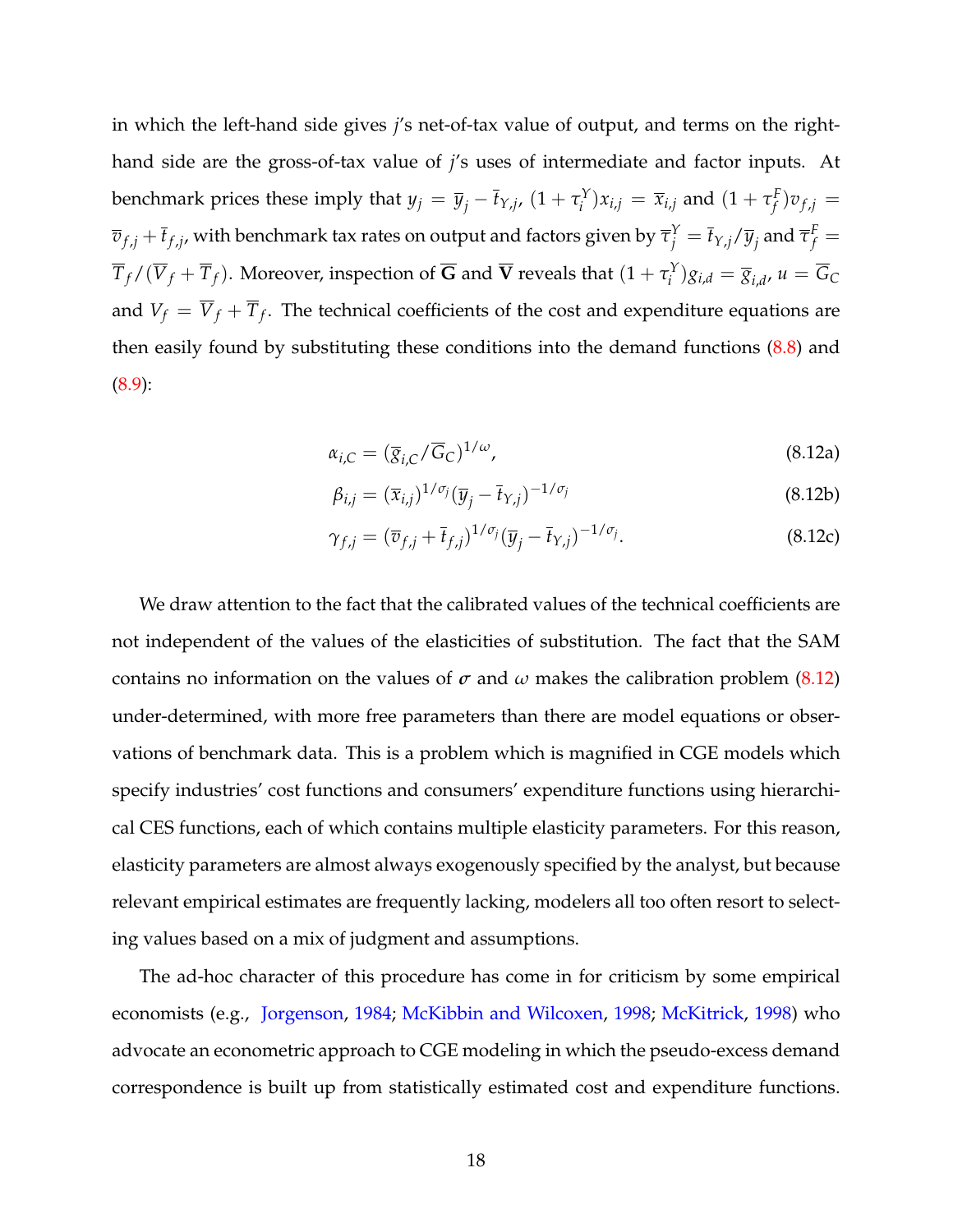in which the left-hand side gives *j*'s net-of-tax value of output, and terms on the righthand side are the gross-of-tax value of *j*'s uses of intermediate and factor inputs. At benchmark prices these imply that  $y_j = \overline{y}_j - \overline{t}_{Y,j}$ ,  $(1 + \tau_i^Y)$  $\overline{x}_{i,j}^{Y}$ ) $x_{i,j} = \overline{x}_{i,j}$  and  $(1 + \tau_f^F)$  $f^F_j$ ) $v_{f,j}$  =  $\overline{v}_{f,j}+\overline{t}_{f,j}$ , with benchmark tax rates on output and factors given by  $\overline{\tau}_j^Y=\overline{t}_{Y,j}/\overline{y}_j$  and  $\overline{\tau}_f^F=0$  $\overline{T}_f/(\overline{V}_f + \overline{T}_f)$ . Moreover, inspection of  $\overline{\bf G}$  and  $\overline{\bf V}$  reveals that  $(1 + \tau_i^Y)$  $\overline{G}_i^Y$ ) $g_{i,d} = \overline{g}_{i,d}$ ,  $u = \overline{G}_C$ and  $V_f = \overline{V}_f + \overline{T}_f$ . The technical coefficients of the cost and expenditure equations are then easily found by substituting these conditions into the demand functions [\(8.8\)](#page-13-0) and [\(8.9\)](#page-13-1):

<span id="page-17-0"></span>
$$
\alpha_{i,C} = (\overline{g}_{i,C}/\overline{G}_C)^{1/\omega},\tag{8.12a}
$$

$$
\beta_{i,j} = (\overline{x}_{i,j})^{1/\sigma_j} (\overline{y}_j - \overline{t}_{Y,j})^{-1/\sigma_j}
$$
\n(8.12b)

$$
\gamma_{f,j} = (\overline{v}_{f,j} + \overline{t}_{f,j})^{1/\sigma_j} (\overline{y}_j - \overline{t}_{Y,j})^{-1/\sigma_j}.
$$
\n(8.12c)

We draw attention to the fact that the calibrated values of the technical coefficients are not independent of the values of the elasticities of substitution. The fact that the SAM contains no information on the values of  $\sigma$  and  $\omega$  makes the calibration problem [\(8.12\)](#page-17-0) under-determined, with more free parameters than there are model equations or observations of benchmark data. This is a problem which is magnified in CGE models which specify industries' cost functions and consumers' expenditure functions using hierarchical CES functions, each of which contains multiple elasticity parameters. For this reason, elasticity parameters are almost always exogenously specified by the analyst, but because relevant empirical estimates are frequently lacking, modelers all too often resort to selecting values based on a mix of judgment and assumptions.

The ad-hoc character of this procedure has come in for criticism by some empirical economists (e.g., [Jorgenson,](#page-56-6) [1984;](#page-56-6) [McKibbin and Wilcoxen,](#page-58-8) [1998;](#page-58-8) [McKitrick,](#page-58-9) [1998\)](#page-58-9) who advocate an econometric approach to CGE modeling in which the pseudo-excess demand correspondence is built up from statistically estimated cost and expenditure functions.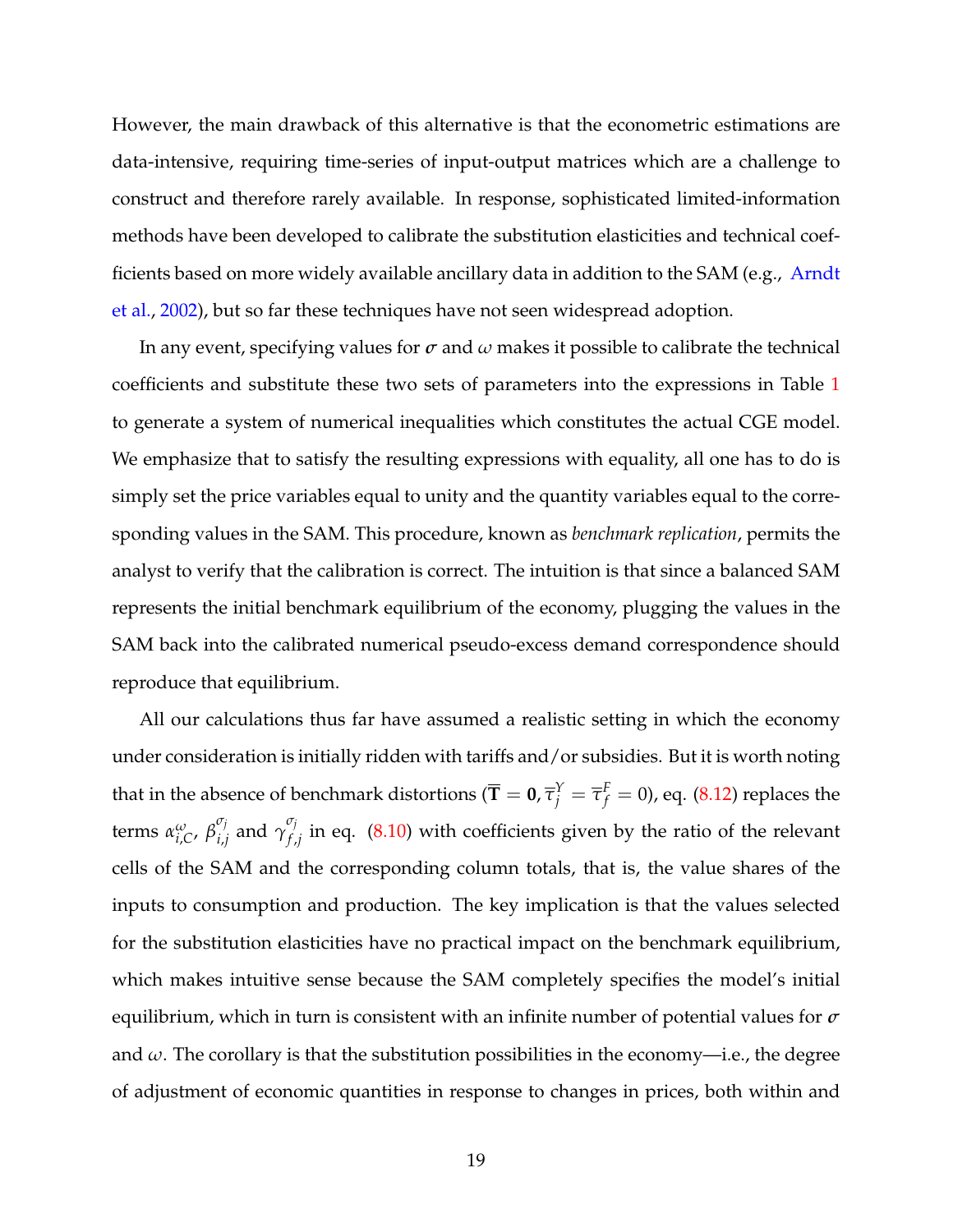However, the main drawback of this alternative is that the econometric estimations are data-intensive, requiring time-series of input-output matrices which are a challenge to construct and therefore rarely available. In response, sophisticated limited-information methods have been developed to calibrate the substitution elasticities and technical coef-ficients based on more widely available ancillary data in addition to the SAM (e.g., [Arndt](#page-48-6) [et al.,](#page-48-6) [2002\)](#page-48-6), but so far these techniques have not seen widespread adoption.

In any event, specifying values for *σ* and *ω* makes it possible to calibrate the technical coefficients and substitute these two sets of parameters into the expressions in Table [1](#page-47-0) to generate a system of numerical inequalities which constitutes the actual CGE model. We emphasize that to satisfy the resulting expressions with equality, all one has to do is simply set the price variables equal to unity and the quantity variables equal to the corresponding values in the SAM. This procedure, known as *benchmark replication*, permits the analyst to verify that the calibration is correct. The intuition is that since a balanced SAM represents the initial benchmark equilibrium of the economy, plugging the values in the SAM back into the calibrated numerical pseudo-excess demand correspondence should reproduce that equilibrium.

All our calculations thus far have assumed a realistic setting in which the economy under consideration is initially ridden with tariffs and/or subsidies. But it is worth noting that in the absence of benchmark distortions ( $\overline{\bf T}={\bf 0}$ ,  $\overline\tau_j^Y=\overline\tau_f^F=0$ ), eq. [\(8.12\)](#page-17-0) replaces the terms *α ω i*,*C* , *β σj*  $\sigma_j$ <sub>*i*,*j*</sub> and  $\gamma_{f}^{\sigma_j}$  $f_{f,j}^{f}$  in eq.  $(8.10)$  with coefficients given by the ratio of the relevant cells of the SAM and the corresponding column totals, that is, the value shares of the inputs to consumption and production. The key implication is that the values selected for the substitution elasticities have no practical impact on the benchmark equilibrium, which makes intuitive sense because the SAM completely specifies the model's initial equilibrium, which in turn is consistent with an infinite number of potential values for *σ* and  $\omega$ . The corollary is that the substitution possibilities in the economy—i.e., the degree of adjustment of economic quantities in response to changes in prices, both within and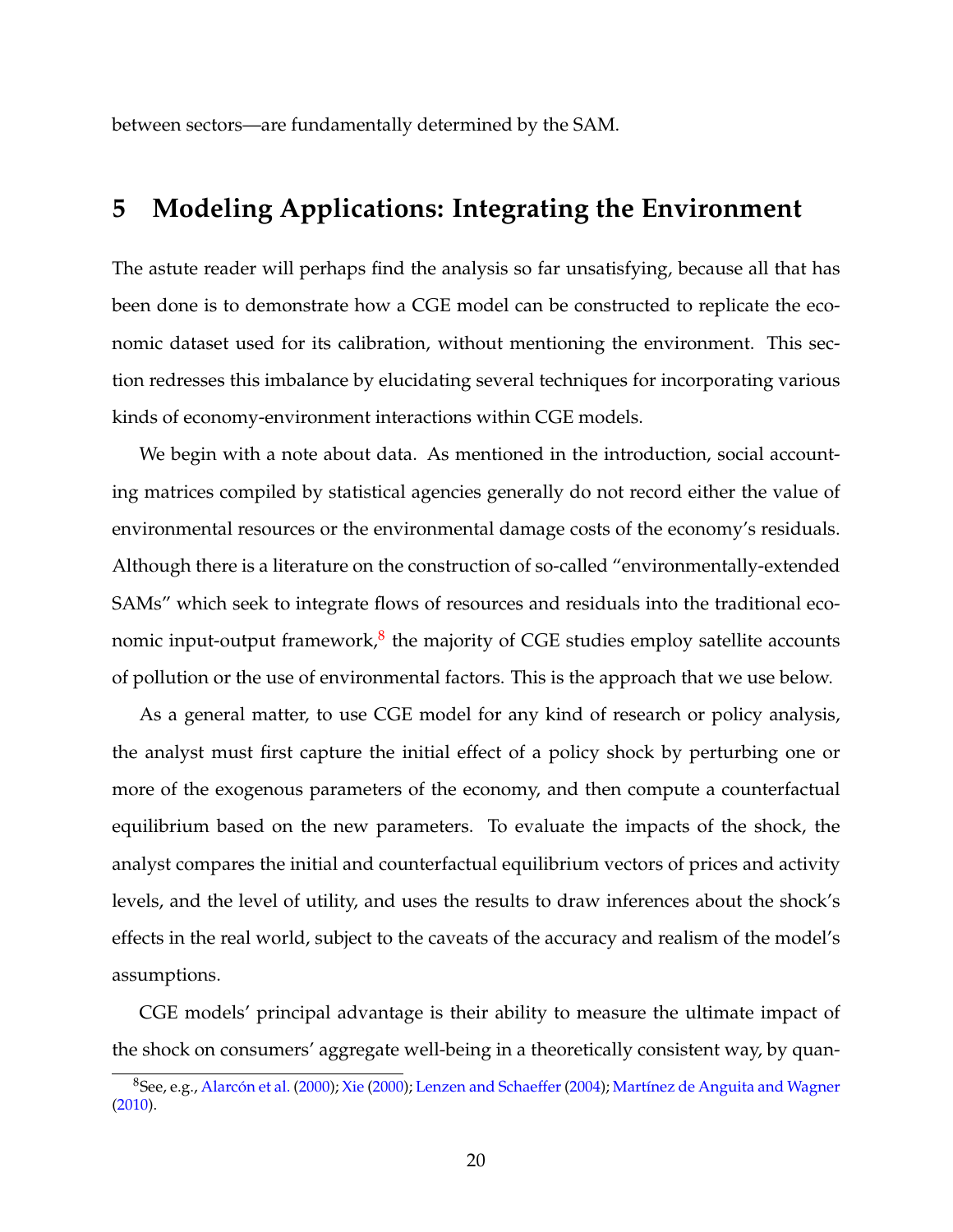between sectors—are fundamentally determined by the SAM.

## <span id="page-19-0"></span>**5 Modeling Applications: Integrating the Environment**

The astute reader will perhaps find the analysis so far unsatisfying, because all that has been done is to demonstrate how a CGE model can be constructed to replicate the economic dataset used for its calibration, without mentioning the environment. This section redresses this imbalance by elucidating several techniques for incorporating various kinds of economy-environment interactions within CGE models.

We begin with a note about data. As mentioned in the introduction, social accounting matrices compiled by statistical agencies generally do not record either the value of environmental resources or the environmental damage costs of the economy's residuals. Although there is a literature on the construction of so-called "environmentally-extended SAMs" which seek to integrate flows of resources and residuals into the traditional eco-nomic input-output framework,<sup>[8](#page-19-1)</sup> the majority of CGE studies employ satellite accounts of pollution or the use of environmental factors. This is the approach that we use below.

As a general matter, to use CGE model for any kind of research or policy analysis, the analyst must first capture the initial effect of a policy shock by perturbing one or more of the exogenous parameters of the economy, and then compute a counterfactual equilibrium based on the new parameters. To evaluate the impacts of the shock, the analyst compares the initial and counterfactual equilibrium vectors of prices and activity levels, and the level of utility, and uses the results to draw inferences about the shock's effects in the real world, subject to the caveats of the accuracy and realism of the model's assumptions.

CGE models' principal advantage is their ability to measure the ultimate impact of the shock on consumers' aggregate well-being in a theoretically consistent way, by quan-

<span id="page-19-1"></span><sup>8</sup>See, e.g., [Alarcón et al.](#page-48-7) [\(2000\)](#page-48-7); [Xie](#page-63-2) [\(2000\)](#page-63-2); [Lenzen and Schaeffer](#page-57-6) [\(2004\)](#page-57-6); [Martínez de Anguita and Wagner](#page-57-7) [\(2010\)](#page-57-7).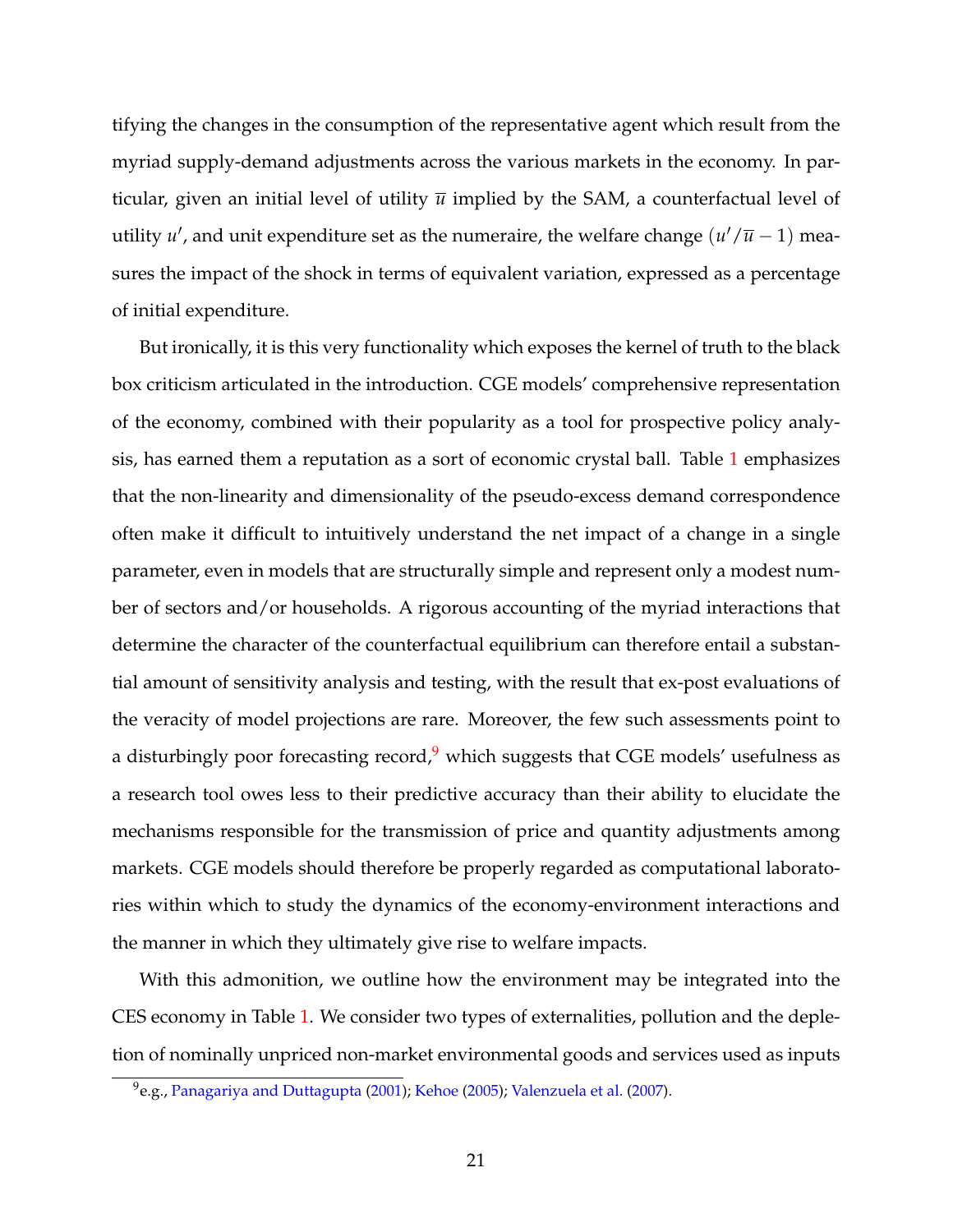tifying the changes in the consumption of the representative agent which result from the myriad supply-demand adjustments across the various markets in the economy. In particular, given an initial level of utility  $\bar{u}$  implied by the SAM, a counterfactual level of utility *u'*, and unit expenditure set as the numeraire, the welfare change  $(u'/\overline{u}-1)$  measures the impact of the shock in terms of equivalent variation, expressed as a percentage of initial expenditure.

But ironically, it is this very functionality which exposes the kernel of truth to the black box criticism articulated in the introduction. CGE models' comprehensive representation of the economy, combined with their popularity as a tool for prospective policy analysis, has earned them a reputation as a sort of economic crystal ball. Table [1](#page-47-0) emphasizes that the non-linearity and dimensionality of the pseudo-excess demand correspondence often make it difficult to intuitively understand the net impact of a change in a single parameter, even in models that are structurally simple and represent only a modest number of sectors and/or households. A rigorous accounting of the myriad interactions that determine the character of the counterfactual equilibrium can therefore entail a substantial amount of sensitivity analysis and testing, with the result that ex-post evaluations of the veracity of model projections are rare. Moreover, the few such assessments point to a disturbingly poor forecasting record, $9$  which suggests that CGE models' usefulness as a research tool owes less to their predictive accuracy than their ability to elucidate the mechanisms responsible for the transmission of price and quantity adjustments among markets. CGE models should therefore be properly regarded as computational laboratories within which to study the dynamics of the economy-environment interactions and the manner in which they ultimately give rise to welfare impacts.

With this admonition, we outline how the environment may be integrated into the CES economy in Table [1.](#page-47-0) We consider two types of externalities, pollution and the depletion of nominally unpriced non-market environmental goods and services used as inputs

<span id="page-20-0"></span> $^{9}$ e.g., [Panagariya and Duttagupta](#page-59-8) [\(2001\)](#page-59-8); [Kehoe](#page-56-7) [\(2005\)](#page-56-7); [Valenzuela et al.](#page-62-9) [\(2007\)](#page-62-9).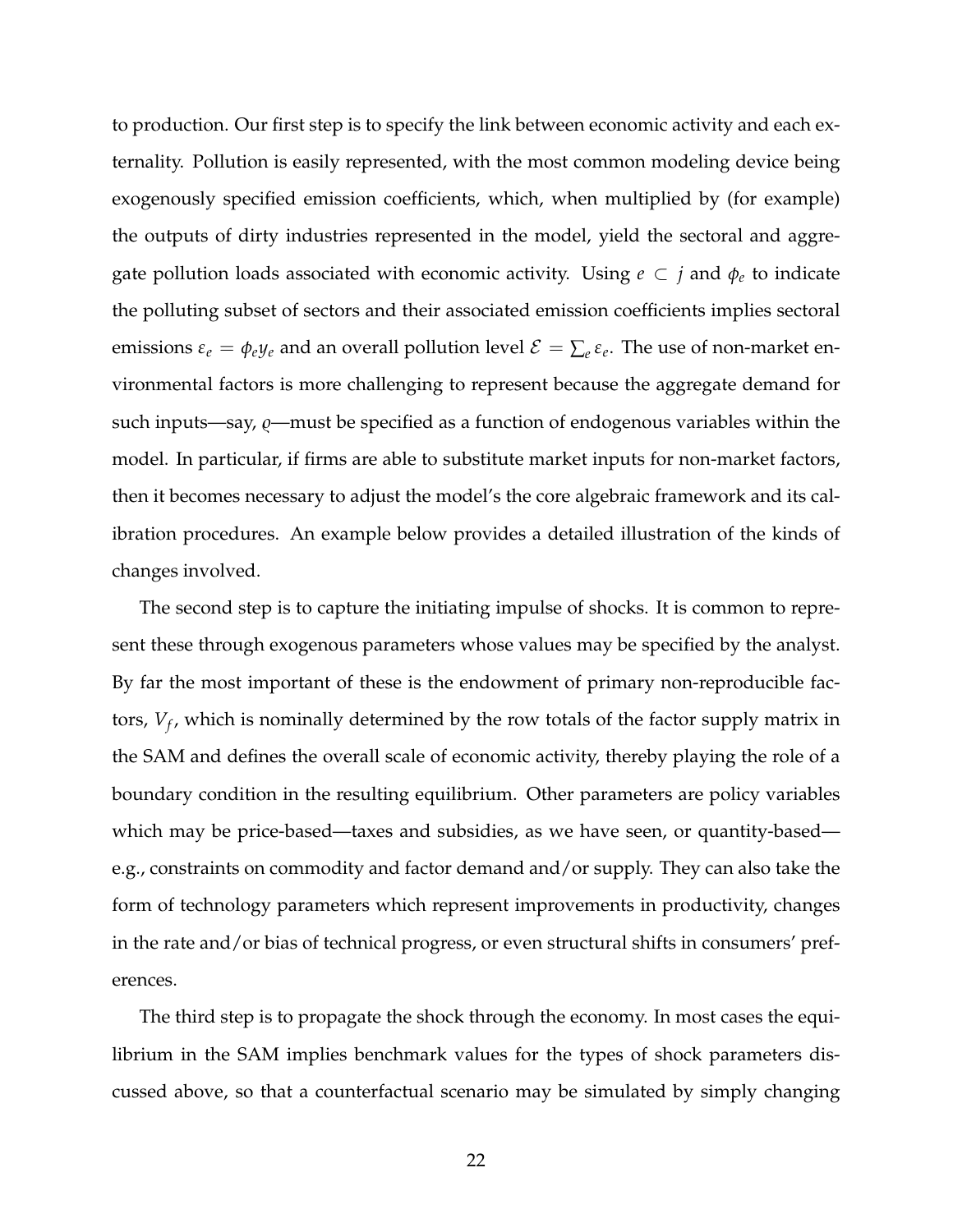to production. Our first step is to specify the link between economic activity and each externality. Pollution is easily represented, with the most common modeling device being exogenously specified emission coefficients, which, when multiplied by (for example) the outputs of dirty industries represented in the model, yield the sectoral and aggregate pollution loads associated with economic activity. Using  $e \subset j$  and  $\phi_e$  to indicate the polluting subset of sectors and their associated emission coefficients implies sectoral emissions  $\varepsilon_e = \phi_e y_e$  and an overall pollution level  $\mathcal{E} = \sum_e \varepsilon_e$ . The use of non-market environmental factors is more challenging to represent because the aggregate demand for such inputs—say,  $\varrho$ —must be specified as a function of endogenous variables within the model. In particular, if firms are able to substitute market inputs for non-market factors, then it becomes necessary to adjust the model's the core algebraic framework and its calibration procedures. An example below provides a detailed illustration of the kinds of changes involved.

The second step is to capture the initiating impulse of shocks. It is common to represent these through exogenous parameters whose values may be specified by the analyst. By far the most important of these is the endowment of primary non-reproducible factors, *V<sup>f</sup>* , which is nominally determined by the row totals of the factor supply matrix in the SAM and defines the overall scale of economic activity, thereby playing the role of a boundary condition in the resulting equilibrium. Other parameters are policy variables which may be price-based—taxes and subsidies, as we have seen, or quantity-based e.g., constraints on commodity and factor demand and/or supply. They can also take the form of technology parameters which represent improvements in productivity, changes in the rate and/or bias of technical progress, or even structural shifts in consumers' preferences.

The third step is to propagate the shock through the economy. In most cases the equilibrium in the SAM implies benchmark values for the types of shock parameters discussed above, so that a counterfactual scenario may be simulated by simply changing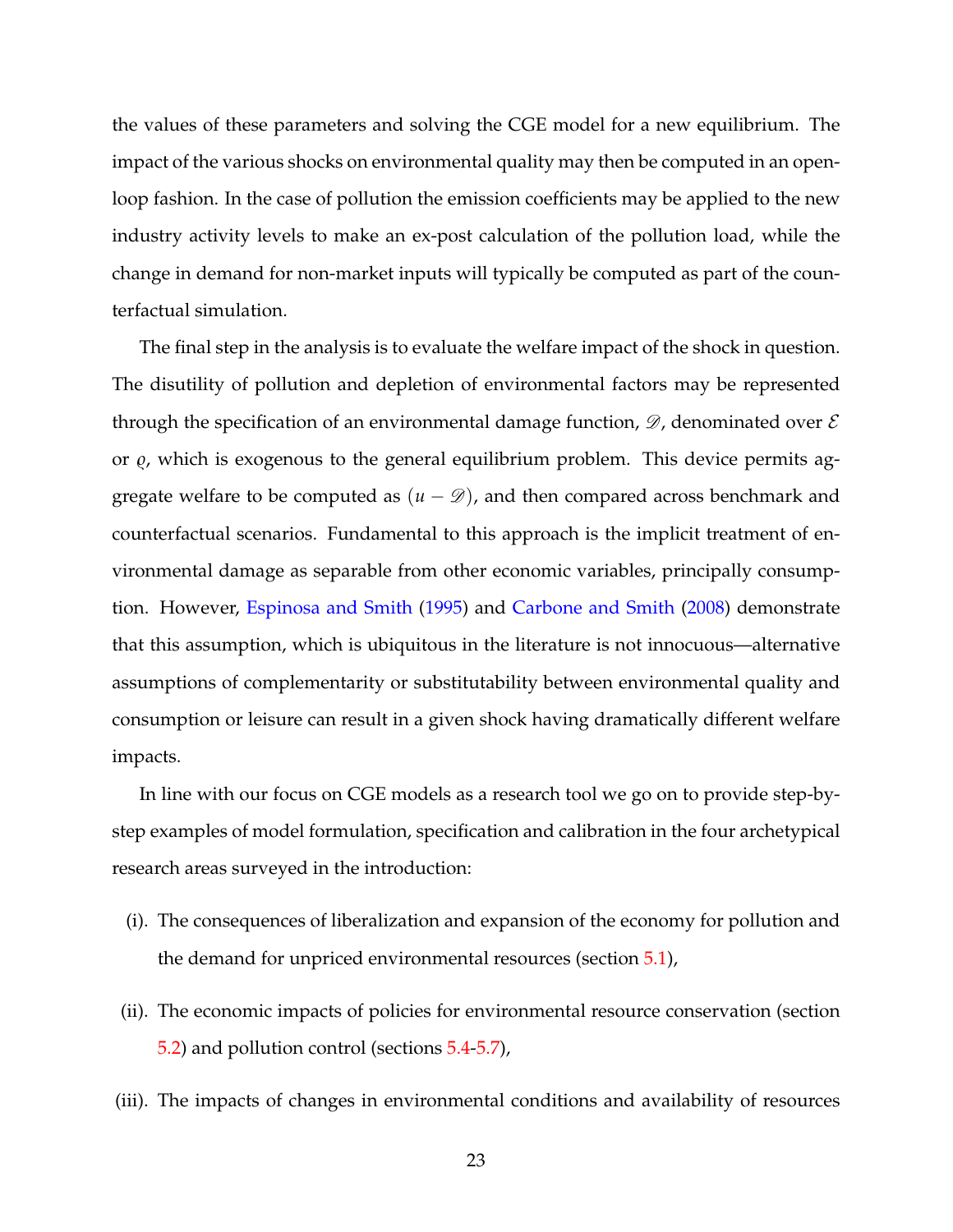the values of these parameters and solving the CGE model for a new equilibrium. The impact of the various shocks on environmental quality may then be computed in an openloop fashion. In the case of pollution the emission coefficients may be applied to the new industry activity levels to make an ex-post calculation of the pollution load, while the change in demand for non-market inputs will typically be computed as part of the counterfactual simulation.

The final step in the analysis is to evaluate the welfare impact of the shock in question. The disutility of pollution and depletion of environmental factors may be represented through the specification of an environmental damage function,  $\mathscr{D}$ , denominated over  $\mathscr{E}$ or  $\varrho$ , which is exogenous to the general equilibrium problem. This device permits aggregate welfare to be computed as  $(u - \mathcal{D})$ , and then compared across benchmark and counterfactual scenarios. Fundamental to this approach is the implicit treatment of environmental damage as separable from other economic variables, principally consumption. However, [Espinosa and Smith](#page-54-8) [\(1995\)](#page-54-8) and [Carbone and Smith](#page-52-7) [\(2008\)](#page-52-7) demonstrate that this assumption, which is ubiquitous in the literature is not innocuous—alternative assumptions of complementarity or substitutability between environmental quality and consumption or leisure can result in a given shock having dramatically different welfare impacts.

In line with our focus on CGE models as a research tool we go on to provide step-bystep examples of model formulation, specification and calibration in the four archetypical research areas surveyed in the introduction:

- (i). The consequences of liberalization and expansion of the economy for pollution and the demand for unpriced environmental resources (section [5.1\)](#page-23-0),
- (ii). The economic impacts of policies for environmental resource conservation (section [5.2\)](#page-26-0) and pollution control (sections [5.4](#page-30-0)[-5.7\)](#page-37-0),
- (iii). The impacts of changes in environmental conditions and availability of resources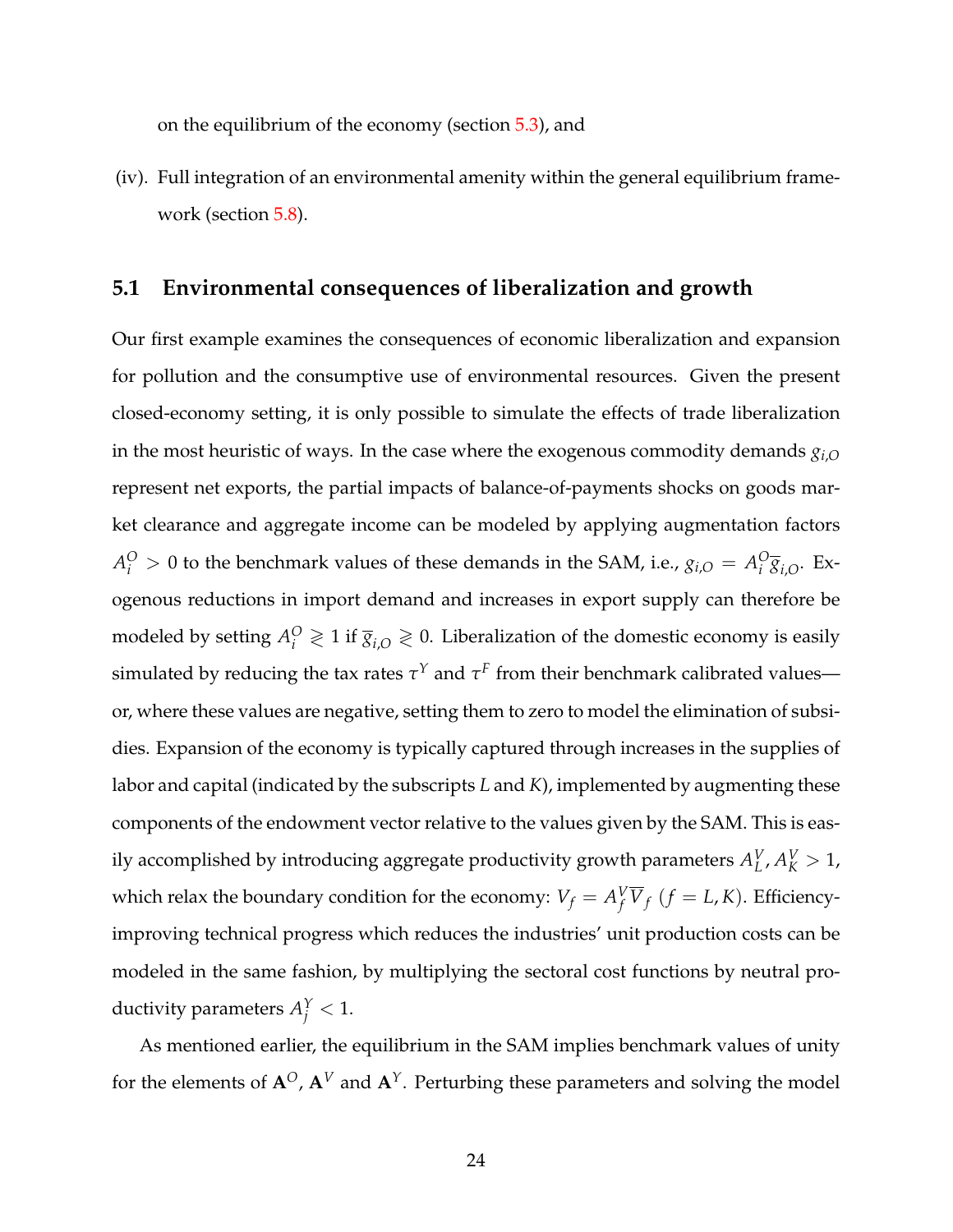on the equilibrium of the economy (section [5.3\)](#page-28-0), and

(iv). Full integration of an environmental amenity within the general equilibrium framework (section [5.8\)](#page-41-0).

#### <span id="page-23-0"></span>**5.1 Environmental consequences of liberalization and growth**

Our first example examines the consequences of economic liberalization and expansion for pollution and the consumptive use of environmental resources. Given the present closed-economy setting, it is only possible to simulate the effects of trade liberalization in the most heuristic of ways. In the case where the exogenous commodity demands *gi*,*<sup>O</sup>* represent net exports, the partial impacts of balance-of-payments shocks on goods market clearance and aggregate income can be modeled by applying augmentation factors  $A_i^O > 0$  to the benchmark values of these demands in the SAM, i.e.,  $g_{i,O} = A_i^O$  $\frac{C}{i}$ <sub> $\overline{g}$ <sub>*i*</sub>, $\overline{g}$ . Ex-</sub> ogenous reductions in import demand and increases in export supply can therefore be modeled by setting  $A_i^O \geq 1$  if  $\overline{g}_{i,O} \geq 0$ . Liberalization of the domestic economy is easily simulated by reducing the tax rates  $\tau^Y$  and  $\tau^F$  from their benchmark calibrated values or, where these values are negative, setting them to zero to model the elimination of subsidies. Expansion of the economy is typically captured through increases in the supplies of labor and capital (indicated by the subscripts *L* and *K*), implemented by augmenting these components of the endowment vector relative to the values given by the SAM. This is easily accomplished by introducing aggregate productivity growth parameters  $A^V_L$  $_{L}^{V}$ ,  $A_{K}^{V} > 1$ , which relax the boundary condition for the economy:  $V_f = A_f^V \overline{V}_f$   $(f = L, K)$ . Efficiencyimproving technical progress which reduces the industries' unit production costs can be modeled in the same fashion, by multiplying the sectoral cost functions by neutral productivity parameters  $A_j^Y < 1$ .

As mentioned earlier, the equilibrium in the SAM implies benchmark values of unity for the elements of  $A^O$ ,  $A^V$  and  $A^Y$ . Perturbing these parameters and solving the model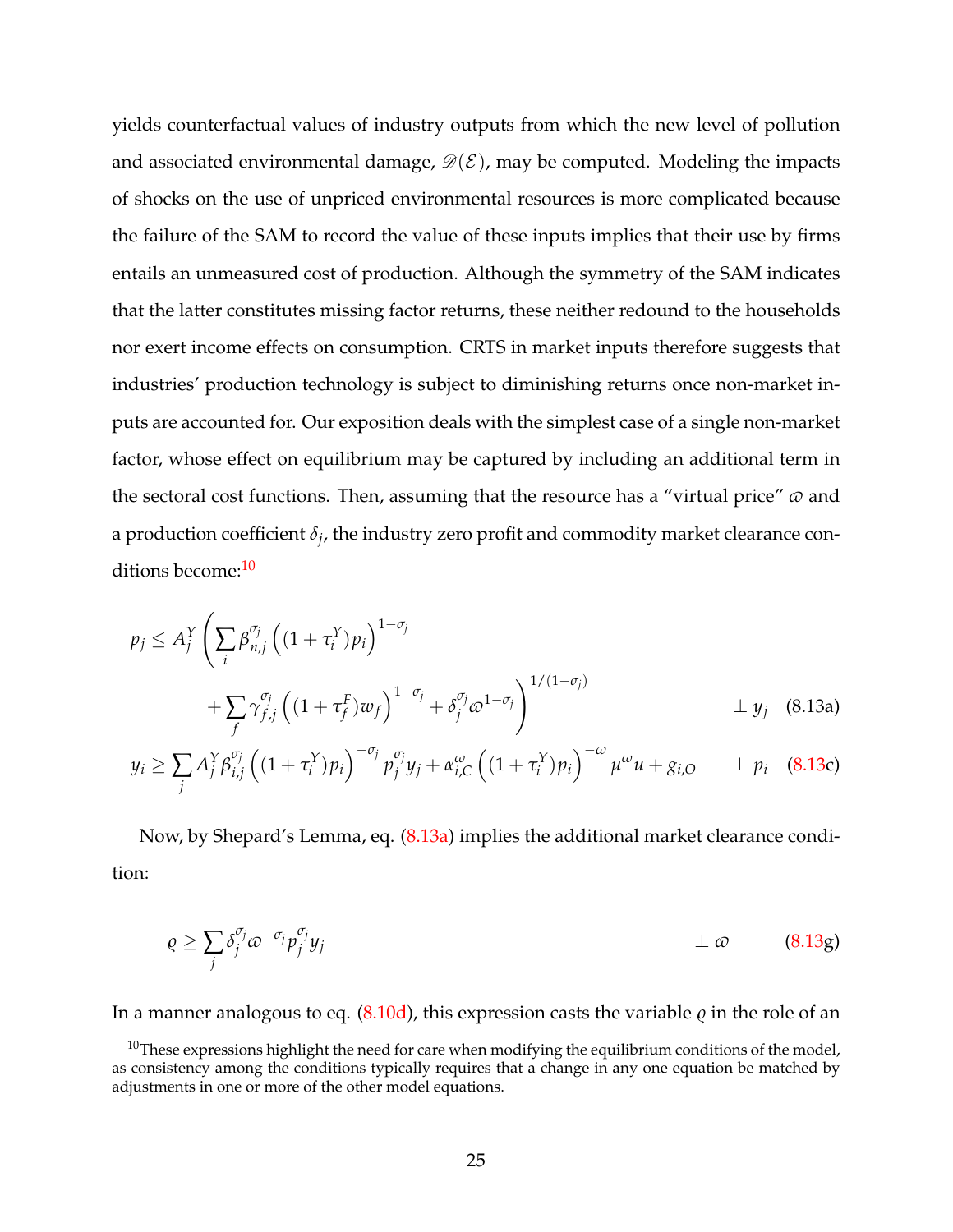yields counterfactual values of industry outputs from which the new level of pollution and associated environmental damage,  $\mathcal{D}(\mathcal{E})$ , may be computed. Modeling the impacts of shocks on the use of unpriced environmental resources is more complicated because the failure of the SAM to record the value of these inputs implies that their use by firms entails an unmeasured cost of production. Although the symmetry of the SAM indicates that the latter constitutes missing factor returns, these neither redound to the households nor exert income effects on consumption. CRTS in market inputs therefore suggests that industries' production technology is subject to diminishing returns once non-market inputs are accounted for. Our exposition deals with the simplest case of a single non-market factor, whose effect on equilibrium may be captured by including an additional term in the sectoral cost functions. Then, assuming that the resource has a "virtual price"  $\varpi$  and a production coefficient *δ<sup>j</sup>* , the industry zero profit and commodity market clearance con-ditions become:<sup>[10](#page-24-0)</sup>

<span id="page-24-1"></span>
$$
p_j \le A_j^Y \left( \sum_i \beta_{n,j}^{\sigma_j} \left( (1 + \tau_i^Y) p_i \right)^{1 - \sigma_j} + \sum_j \gamma_{f,j}^{\sigma_j} \left( (1 + \tau_f^F) w_f \right)^{1 - \sigma_j} + \delta_j^{\sigma_j} \omega^{1 - \sigma_j} \right)^{1/(1 - \sigma_j)} \perp y_j \quad (8.13a)
$$
  

$$
w \ge \sum A_j^Y \beta_{j}^{\sigma_j} \left( (1 + \tau_j^Y) p_j \right)^{-\sigma_j} p_{j}^{\sigma_j} w + \gamma_{j} \omega_{j} \left( (1 + \tau_j^Y) p_j \right)^{-\omega} w_{j}^{\omega} + \gamma_{j} \gamma_{j} \quad (8.13c)
$$

<span id="page-24-2"></span>
$$
y_i \geq \sum_j A_j^Y \beta_{i,j}^{v_j} \left( (1 + \tau_i^Y) p_i \right)^{-v_j} p_j^{v_j} y_j + \alpha_{i,C}^{\omega} \left( (1 + \tau_i^Y) p_i \right)^{-\omega} \mu^{\omega} u + g_{i,O} \qquad \perp p_i \quad (8.13c)
$$

Now, by Shepard's Lemma, eq. [\(8.13a\)](#page-24-2) implies the additional market clearance condition:

<span id="page-24-5"></span><span id="page-24-4"></span><span id="page-24-3"></span>
$$
\varrho \ge \sum_{j} \delta_j^{\sigma_j} \varpi^{-\sigma_j} p_j^{\sigma_j} y_j \qquad \qquad \perp \varpi \qquad (8.13g)
$$

In a manner analogous to eq.  $(8.10d)$ , this expression casts the variable  $\rho$  in the role of an

<span id="page-24-0"></span><sup>&</sup>lt;sup>10</sup>These expressions highlight the need for care when modifying the equilibrium conditions of the model, as consistency among the conditions typically requires that a change in any one equation be matched by adjustments in one or more of the other model equations.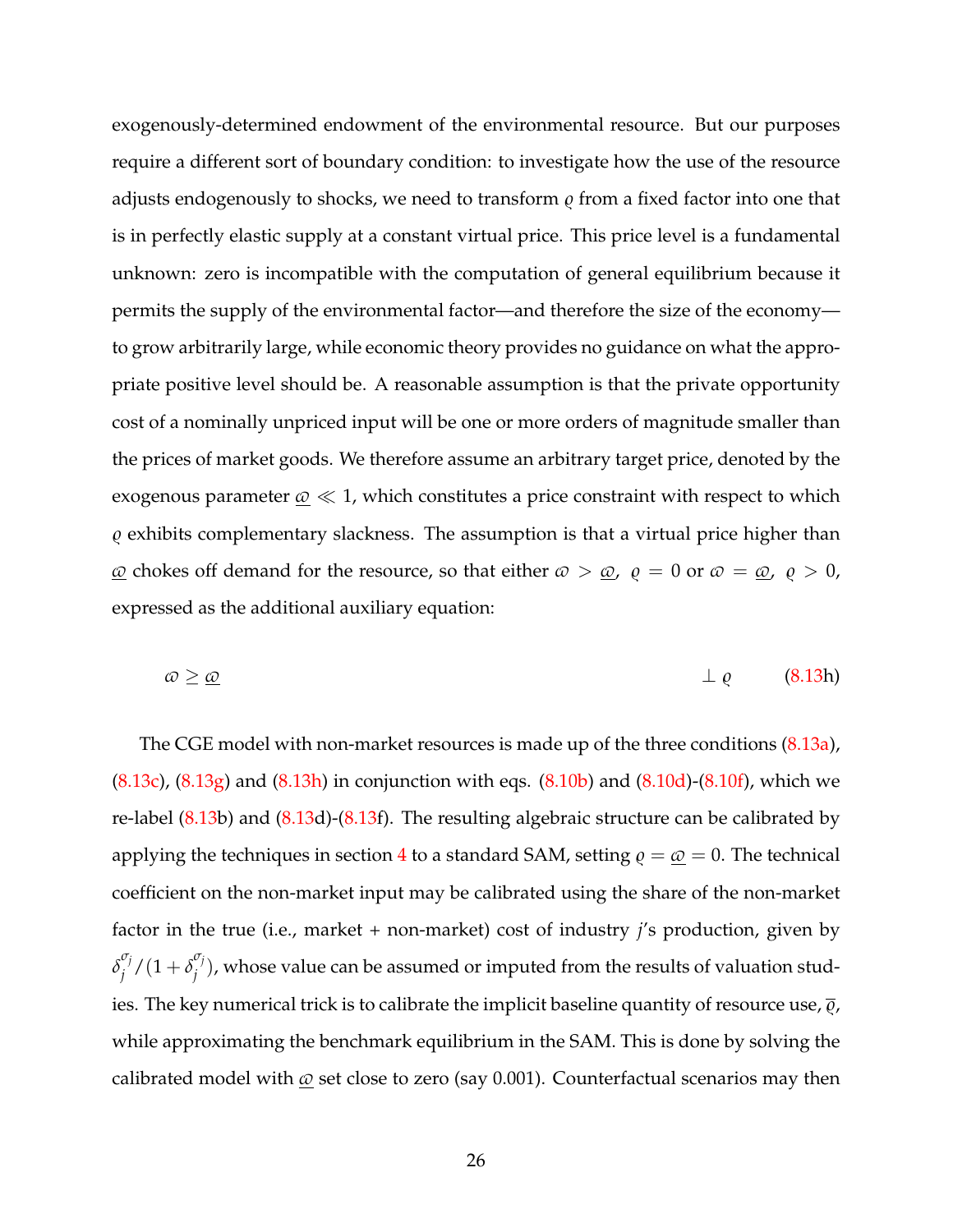exogenously-determined endowment of the environmental resource. But our purposes require a different sort of boundary condition: to investigate how the use of the resource adjusts endogenously to shocks, we need to transform  $\varrho$  from a fixed factor into one that is in perfectly elastic supply at a constant virtual price. This price level is a fundamental unknown: zero is incompatible with the computation of general equilibrium because it permits the supply of the environmental factor—and therefore the size of the economy to grow arbitrarily large, while economic theory provides no guidance on what the appropriate positive level should be. A reasonable assumption is that the private opportunity cost of a nominally unpriced input will be one or more orders of magnitude smaller than the prices of market goods. We therefore assume an arbitrary target price, denoted by the exogenous parameter  $\omega \ll 1$ , which constitutes a price constraint with respect to which  $\varrho$  exhibits complementary slackness. The assumption is that a virtual price higher than  $\omega$  chokes off demand for the resource, so that either  $\omega > \omega$ ,  $\rho = 0$  or  $\omega = \omega$ ,  $\rho > 0$ , expressed as the additional auxiliary equation:

<span id="page-25-0"></span>
$$
\varpi \geq \underline{\varpi} \tag{8.13h}
$$

The CGE model with non-market resources is made up of the three conditions [\(8.13a\)](#page-24-2),  $(8.13c)$ ,  $(8.13g)$  and  $(8.13h)$  in conjunction with eqs.  $(8.10b)$  and  $(8.10d)$ - $(8.10f)$ , which we re-label [\(8.13b](#page-24-1)) and [\(8.13d](#page-24-1))-[\(8.13f](#page-24-1)). The resulting algebraic structure can be calibrated by applying the techniques in section [4](#page-15-0) to a standard SAM, setting  $\rho = \omega = 0$ . The technical coefficient on the non-market input may be calibrated using the share of the non-market factor in the true (i.e., market + non-market) cost of industry *j*'s production, given by *δ σj*  $\int_j^{\sigma_j}$ /(1+ $\delta_j^{\sigma_j}$  $j'$ ), whose value can be assumed or imputed from the results of valuation studies. The key numerical trick is to calibrate the implicit baseline quantity of resource use,  $\overline{\varrho}$ , while approximating the benchmark equilibrium in the SAM. This is done by solving the calibrated model with  $\omega$  set close to zero (say 0.001). Counterfactual scenarios may then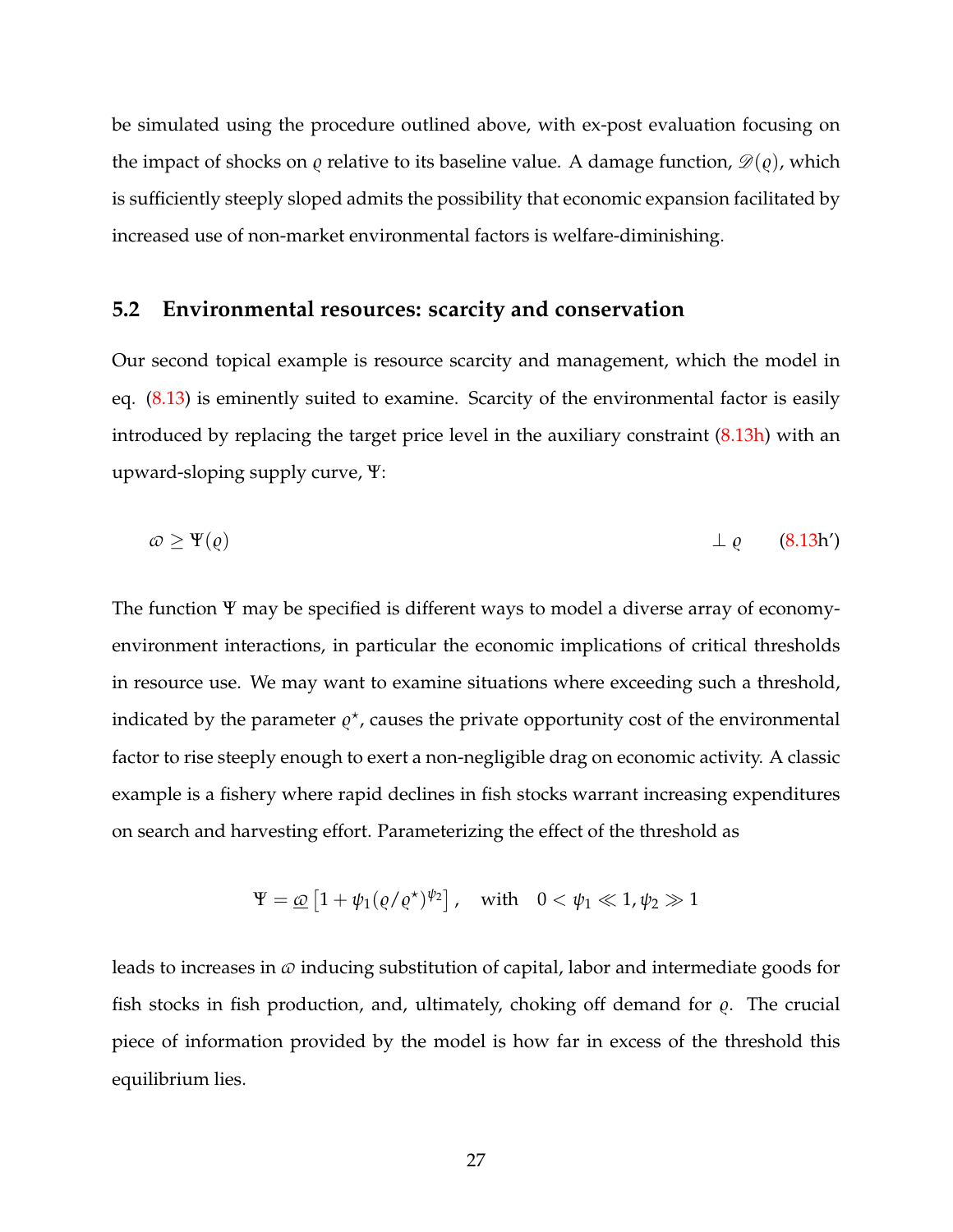be simulated using the procedure outlined above, with ex-post evaluation focusing on the impact of shocks on  $\rho$  relative to its baseline value. A damage function,  $\mathscr{D}(\rho)$ , which is sufficiently steeply sloped admits the possibility that economic expansion facilitated by increased use of non-market environmental factors is welfare-diminishing.

#### <span id="page-26-0"></span>**5.2 Environmental resources: scarcity and conservation**

Our second topical example is resource scarcity and management, which the model in eq. [\(8.13\)](#page-24-1) is eminently suited to examine. Scarcity of the environmental factor is easily introduced by replacing the target price level in the auxiliary constraint [\(8.13h\)](#page-25-0) with an upward-sloping supply curve, Ψ:

<span id="page-26-1"></span>
$$
\omega \ge \Psi(\varrho) \qquad \qquad \bot \varrho \qquad (8.13h')
$$

The function Ψ may be specified is different ways to model a diverse array of economyenvironment interactions, in particular the economic implications of critical thresholds in resource use. We may want to examine situations where exceeding such a threshold, indicated by the parameter  $\varrho^*$ , causes the private opportunity cost of the environmental factor to rise steeply enough to exert a non-negligible drag on economic activity. A classic example is a fishery where rapid declines in fish stocks warrant increasing expenditures on search and harvesting effort. Parameterizing the effect of the threshold as

$$
\Psi = \underline{\omega} \left[ 1 + \psi_1 (\varrho / \varrho^*)^{\psi_2} \right], \quad \text{with} \quad 0 < \psi_1 \ll 1, \psi_2 \gg 1
$$

leads to increases in  $\varphi$  inducing substitution of capital, labor and intermediate goods for fish stocks in fish production, and, ultimately, choking off demand for  $\rho$ . The crucial piece of information provided by the model is how far in excess of the threshold this equilibrium lies.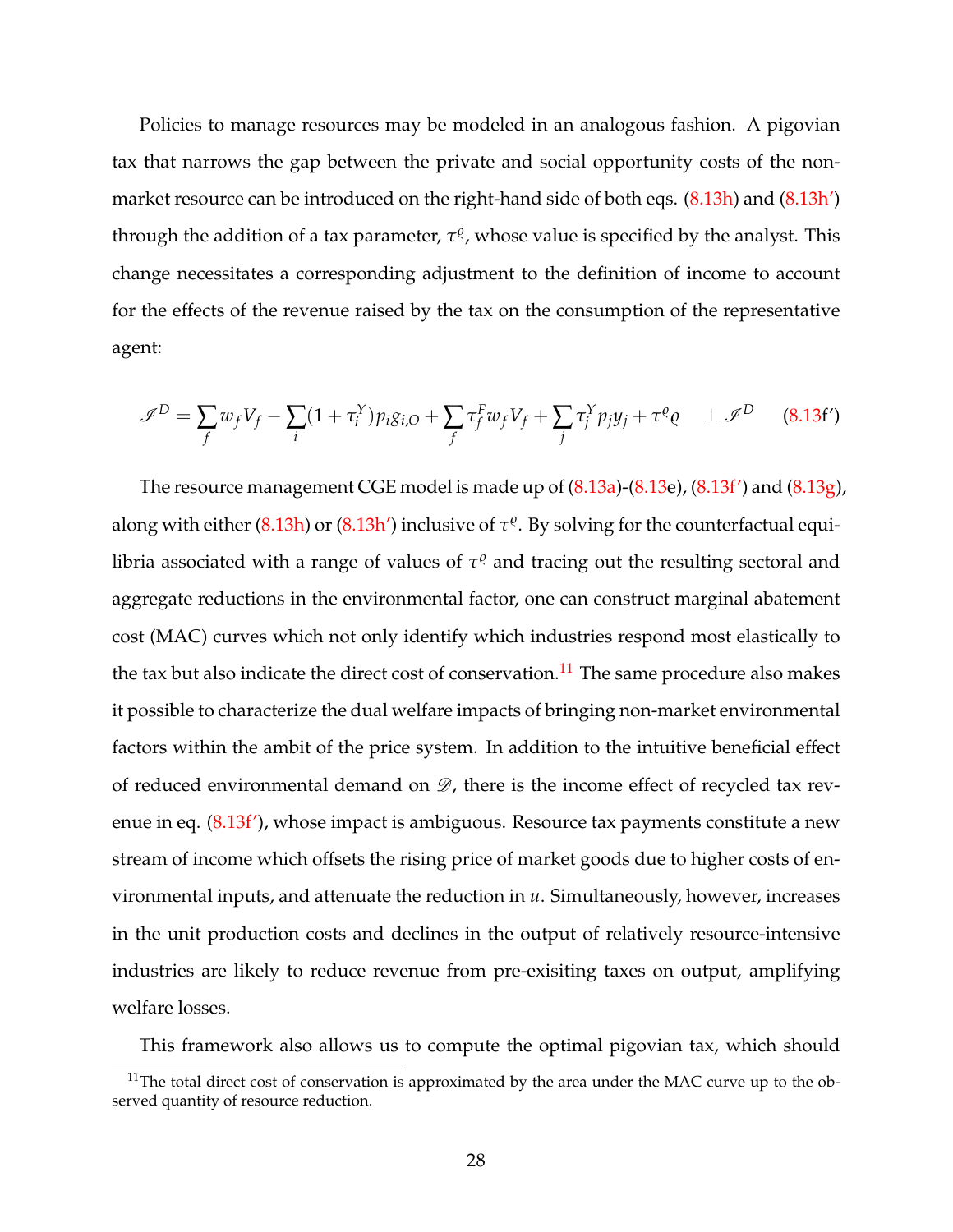Policies to manage resources may be modeled in an analogous fashion. A pigovian tax that narrows the gap between the private and social opportunity costs of the non-market resource can be introduced on the right-hand side of both eqs. [\(8.13h\)](#page-25-0) and [\(8.13h'\)](#page-26-1) through the addition of a tax parameter,  $τ$ <sup>*e*</sup>, whose value is specified by the analyst. This change necessitates a corresponding adjustment to the definition of income to account for the effects of the revenue raised by the tax on the consumption of the representative agent:

<span id="page-27-0"></span>
$$
\mathscr{I}^D = \sum_f w_f V_f - \sum_i (1 + \tau_i^Y) p_i g_{i,O} + \sum_f \tau_f^F w_f V_f + \sum_j \tau_j^Y p_j y_j + \tau^Q \varrho \quad \perp \mathscr{I}^D \tag{8.13f'}
$$

The resource management CGE model is made up of  $(8.13a)$ - $(8.13e)$  $(8.13e)$ ,  $(8.13f')$  and  $(8.13g)$ , along with either [\(8.13h\)](#page-25-0) or [\(8.13h'\)](#page-26-1) inclusive of  $\tau^\varrho$ . By solving for the counterfactual equilibria associated with a range of values of  $\tau^\varrho$  and tracing out the resulting sectoral and aggregate reductions in the environmental factor, one can construct marginal abatement cost (MAC) curves which not only identify which industries respond most elastically to the tax but also indicate the direct cost of conservation.<sup>[11](#page-27-1)</sup> The same procedure also makes it possible to characterize the dual welfare impacts of bringing non-market environmental factors within the ambit of the price system. In addition to the intuitive beneficial effect of reduced environmental demand on  $\mathscr{D}$ , there is the income effect of recycled tax revenue in eq. [\(8.13f'\)](#page-27-0), whose impact is ambiguous. Resource tax payments constitute a new stream of income which offsets the rising price of market goods due to higher costs of environmental inputs, and attenuate the reduction in *u*. Simultaneously, however, increases in the unit production costs and declines in the output of relatively resource-intensive industries are likely to reduce revenue from pre-exisiting taxes on output, amplifying welfare losses.

This framework also allows us to compute the optimal pigovian tax, which should

<span id="page-27-1"></span><sup>&</sup>lt;sup>11</sup>The total direct cost of conservation is approximated by the area under the MAC curve up to the observed quantity of resource reduction.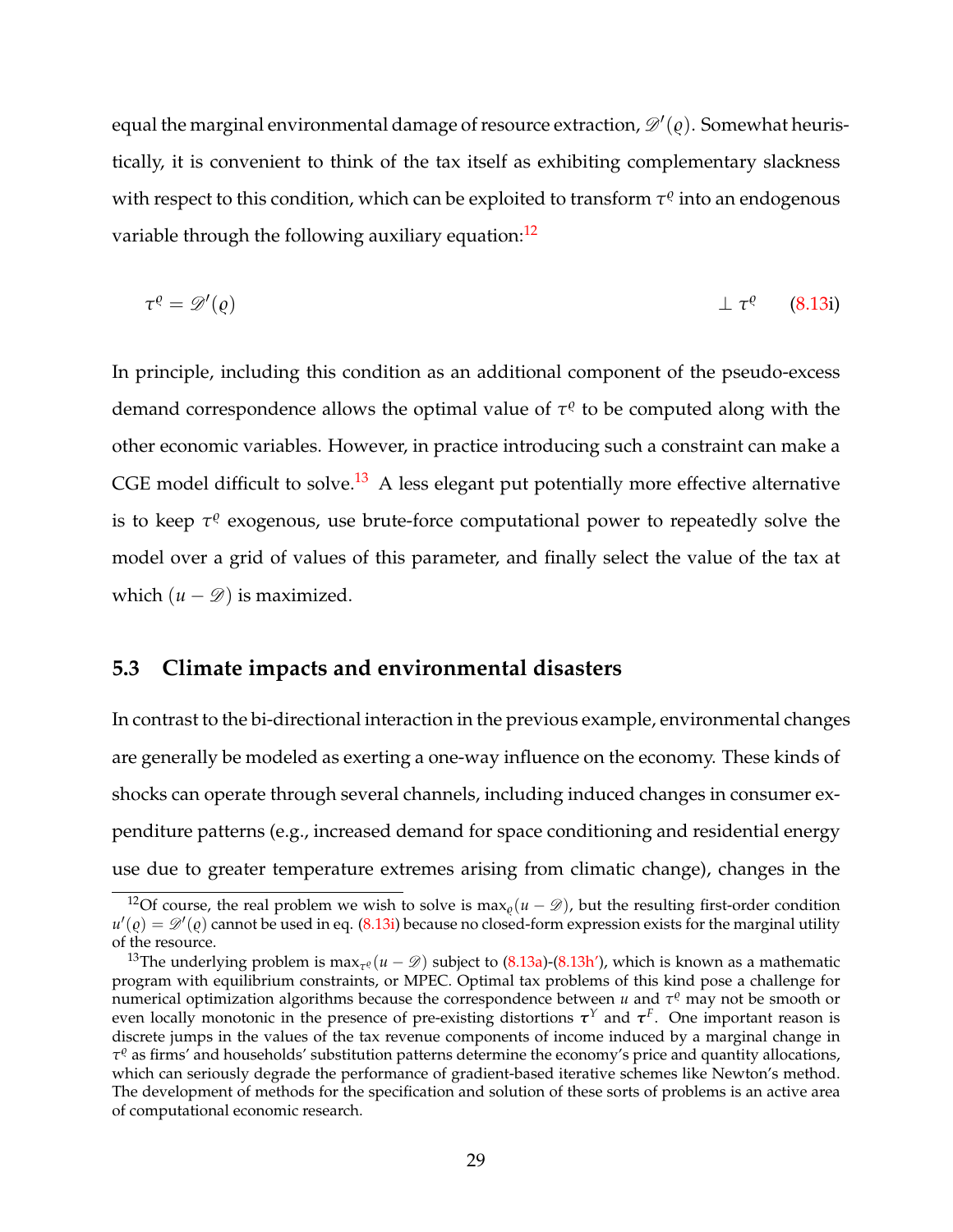equal the marginal environmental damage of resource extraction,  $\mathscr{D}'(\varrho).$  Somewhat heuristically, it is convenient to think of the tax itself as exhibiting complementary slackness with respect to this condition, which can be exploited to transform  $τ<sup>ρ</sup>$  into an endogenous variable through the following auxiliary equation:<sup>[12](#page-28-1)</sup>

<span id="page-28-3"></span>
$$
\tau^{\varrho} = \mathscr{D}'(\varrho) \qquad \qquad \bot \tau^{\varrho} \qquad (8.13i)
$$

In principle, including this condition as an additional component of the pseudo-excess demand correspondence allows the optimal value of  $τ<sup>ρ</sup>$  to be computed along with the other economic variables. However, in practice introducing such a constraint can make a CGE model difficult to solve.<sup>[13](#page-28-2)</sup> A less elegant put potentially more effective alternative is to keep τ<sup>ο</sup> exogenous, use brute-force computational power to repeatedly solve the model over a grid of values of this parameter, and finally select the value of the tax at which  $(u - \mathcal{D})$  is maximized.

#### <span id="page-28-0"></span>**5.3 Climate impacts and environmental disasters**

In contrast to the bi-directional interaction in the previous example, environmental changes are generally be modeled as exerting a one-way influence on the economy. These kinds of shocks can operate through several channels, including induced changes in consumer expenditure patterns (e.g., increased demand for space conditioning and residential energy use due to greater temperature extremes arising from climatic change), changes in the

<span id="page-28-1"></span><sup>&</sup>lt;sup>12</sup>Of course, the real problem we wish to solve is max<sub> $\rho$ </sub>( $u - \mathcal{D}$ ), but the resulting first-order condition  $u'(\varrho)=\mathscr{D}'(\varrho)$  cannot be used in eq. [\(8.13i\)](#page-28-3) because no closed-form expression exists for the marginal utility of the resource.

<span id="page-28-2"></span><sup>&</sup>lt;sup>13</sup>The underlying problem is  $\max_{\tau^{\varrho}}(u-\mathscr{D})$  subject to [\(8.13a\)](#page-24-2)-[\(8.13h'\)](#page-26-1), which is known as a mathematic program with equilibrium constraints, or MPEC. Optimal tax problems of this kind pose a challenge for numerical optimization algorithms because the correspondence between  $u$  and  $\tau^\varrho$  may not be smooth or even locally monotonic in the presence of pre-existing distortions  $\tau^Y$  and  $\tau^F$ . One important reason is discrete jumps in the values of the tax revenue components of income induced by a marginal change in  $τ<sup>ρ</sup>$  as firms' and households' substitution patterns determine the economy's price and quantity allocations, which can seriously degrade the performance of gradient-based iterative schemes like Newton's method. The development of methods for the specification and solution of these sorts of problems is an active area of computational economic research.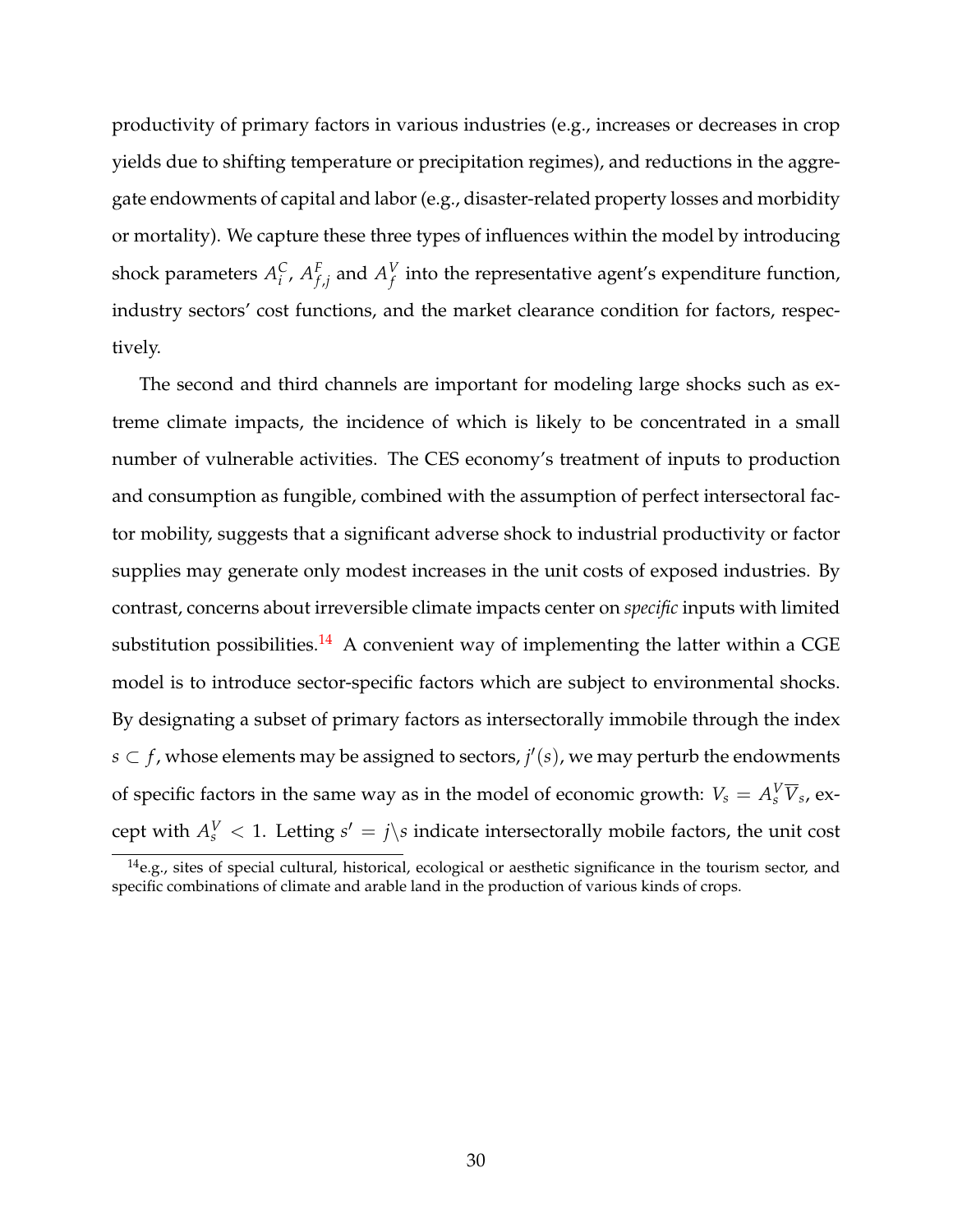productivity of primary factors in various industries (e.g., increases or decreases in crop yields due to shifting temperature or precipitation regimes), and reductions in the aggregate endowments of capital and labor (e.g., disaster-related property losses and morbidity or mortality). We capture these three types of influences within the model by introducing shock parameters  $A_i^C$ *i* , *A F*  $f_{f,j}$  and  $A_f^V$  $\frac{V}{f}$  into the representative agent's expenditure function, industry sectors' cost functions, and the market clearance condition for factors, respectively.

The second and third channels are important for modeling large shocks such as extreme climate impacts, the incidence of which is likely to be concentrated in a small number of vulnerable activities. The CES economy's treatment of inputs to production and consumption as fungible, combined with the assumption of perfect intersectoral factor mobility, suggests that a significant adverse shock to industrial productivity or factor supplies may generate only modest increases in the unit costs of exposed industries. By contrast, concerns about irreversible climate impacts center on *specific* inputs with limited substitution possibilities.<sup>[14](#page-29-0)</sup> A convenient way of implementing the latter within a CGE model is to introduce sector-specific factors which are subject to environmental shocks. By designating a subset of primary factors as intersectorally immobile through the index  $s$  ⊂  $f$ , whose elements may be assigned to sectors,  $j'(s)$ , we may perturb the endowments of specific factors in the same way as in the model of economic growth:  $V_s = A_s^V \overline{V}_s$ , except with  $A_s^V < 1$ . Letting  $s' = j \$ s indicate intersectorally mobile factors, the unit cost

<span id="page-29-0"></span> $14$ e.g., sites of special cultural, historical, ecological or aesthetic significance in the tourism sector, and specific combinations of climate and arable land in the production of various kinds of crops.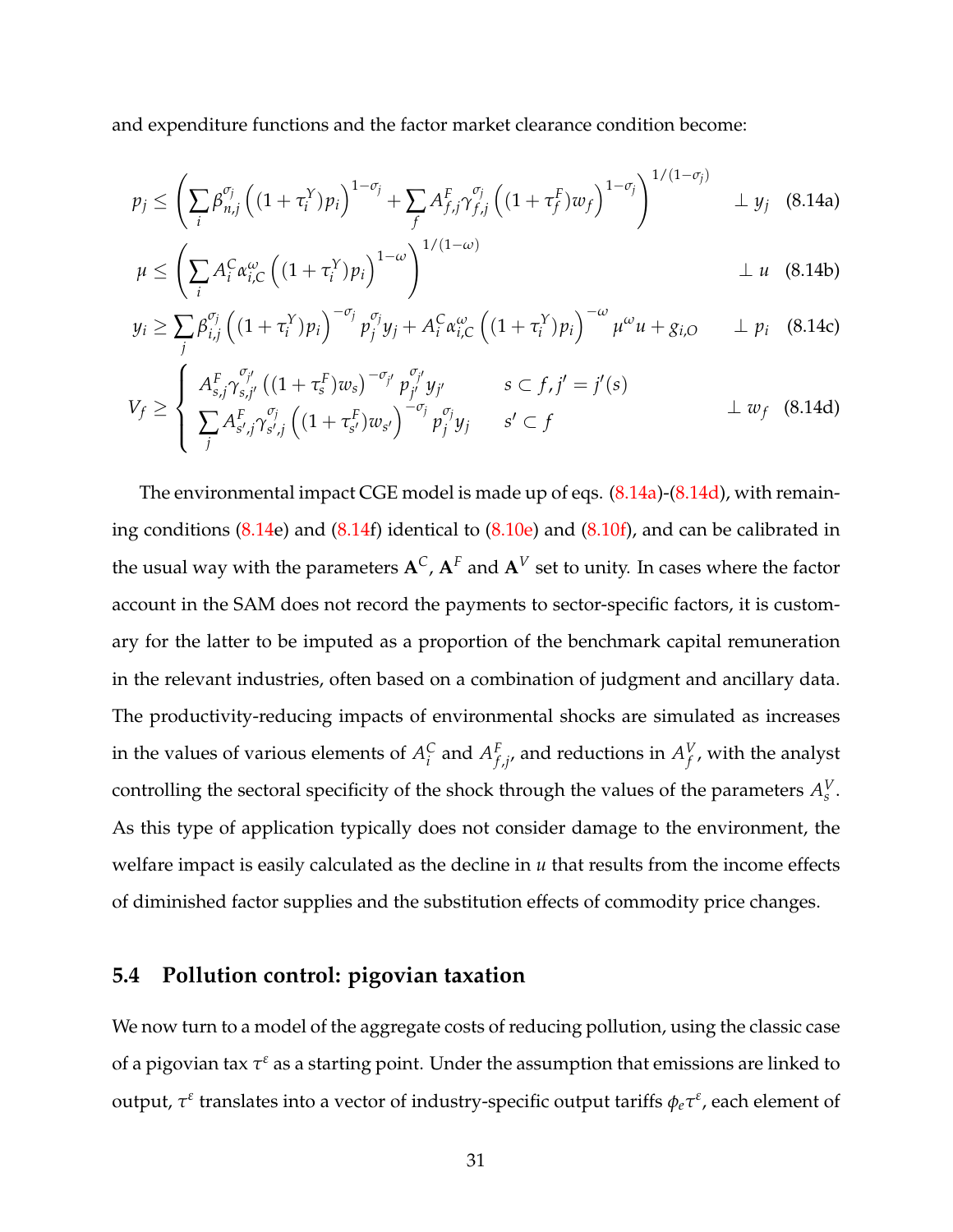and expenditure functions and the factor market clearance condition become:

<span id="page-30-1"></span>
$$
p_j \leq \left(\sum_i \beta_{n,j}^{\sigma_j} \left((1+\tau_i^Y)p_i\right)^{1-\sigma_j} + \sum_f A_{f,j}^F \gamma_{f,j}^{\sigma_j} \left((1+\tau_f^F)w_f\right)^{1-\sigma_j}\right)^{1/(1-\sigma_j)} \perp y_j \quad (8.14a)
$$

$$
\mu \leq \left(\sum_{i} A_i^C \alpha_{i,C}^{\omega}\left((1+\tau_i^Y)p_i\right)^{1-\omega}\right)^{1/(1-\omega)} \perp u \quad (8.14b)
$$

$$
y_i \ge \sum_j \beta_{i,j}^{\sigma_j} \left( (1 + \tau_i^Y) p_i \right)^{-\sigma_j} p_j^{\sigma_j} y_j + A_i^C \alpha_{i,C}^{\omega} \left( (1 + \tau_i^Y) p_i \right)^{-\omega} \mu^{\omega} u + g_{i,O} \qquad \perp p_i \quad (8.14c)
$$

<span id="page-30-2"></span>
$$
V_f \geq \begin{cases} A_{s,j}^F \gamma_{s,j'}^{\sigma_{j'}} \left( (1 + \tau_s^F) w_s \right)^{-\sigma_{j'}} p_{j'}^{\sigma_{j'}} y_{j'} & s \subset f, j' = j'(s) \\ \sum_j A_{s',j}^F \gamma_{s',j}^{\sigma_j} \left( (1 + \tau_{s'}^F) w_{s'} \right)^{-\sigma_j} p_j^{\sigma_j} y_j & s' \subset f \end{cases} \qquad \qquad \perp w_f \quad (8.14d)
$$

The environmental impact CGE model is made up of eqs. [\(8.14a\)](#page-30-1)-[\(8.14d\)](#page-30-2), with remaining conditions  $(8.14e)$  $(8.14e)$  and  $(8.14f)$  $(8.14f)$  identical to  $(8.10e)$  and  $(8.10f)$ , and can be calibrated in the usual way with the parameters  $A^C$ ,  $A^F$  and  $A^V$  set to unity. In cases where the factor account in the SAM does not record the payments to sector-specific factors, it is customary for the latter to be imputed as a proportion of the benchmark capital remuneration in the relevant industries, often based on a combination of judgment and ancillary data. The productivity-reducing impacts of environmental shocks are simulated as increases in the values of various elements of  $A_i^C$  $_i^C$  and  $A_f^F$  $f_{f,j'}$  and reductions in  $A_f^V$  $_{f}^{\nu}$ , with the analyst controlling the sectoral specificity of the shock through the values of the parameters  $A_s^V$ . As this type of application typically does not consider damage to the environment, the welfare impact is easily calculated as the decline in *u* that results from the income effects of diminished factor supplies and the substitution effects of commodity price changes.

#### <span id="page-30-0"></span>**5.4 Pollution control: pigovian taxation**

We now turn to a model of the aggregate costs of reducing pollution, using the classic case of a pigovian tax  $\tau^\varepsilon$  as a starting point. Under the assumption that emissions are linked to output,  $\tau^{\varepsilon}$  translates into a vector of industry-specific output tariffs  $\phi_e\tau^{\varepsilon}$ , each element of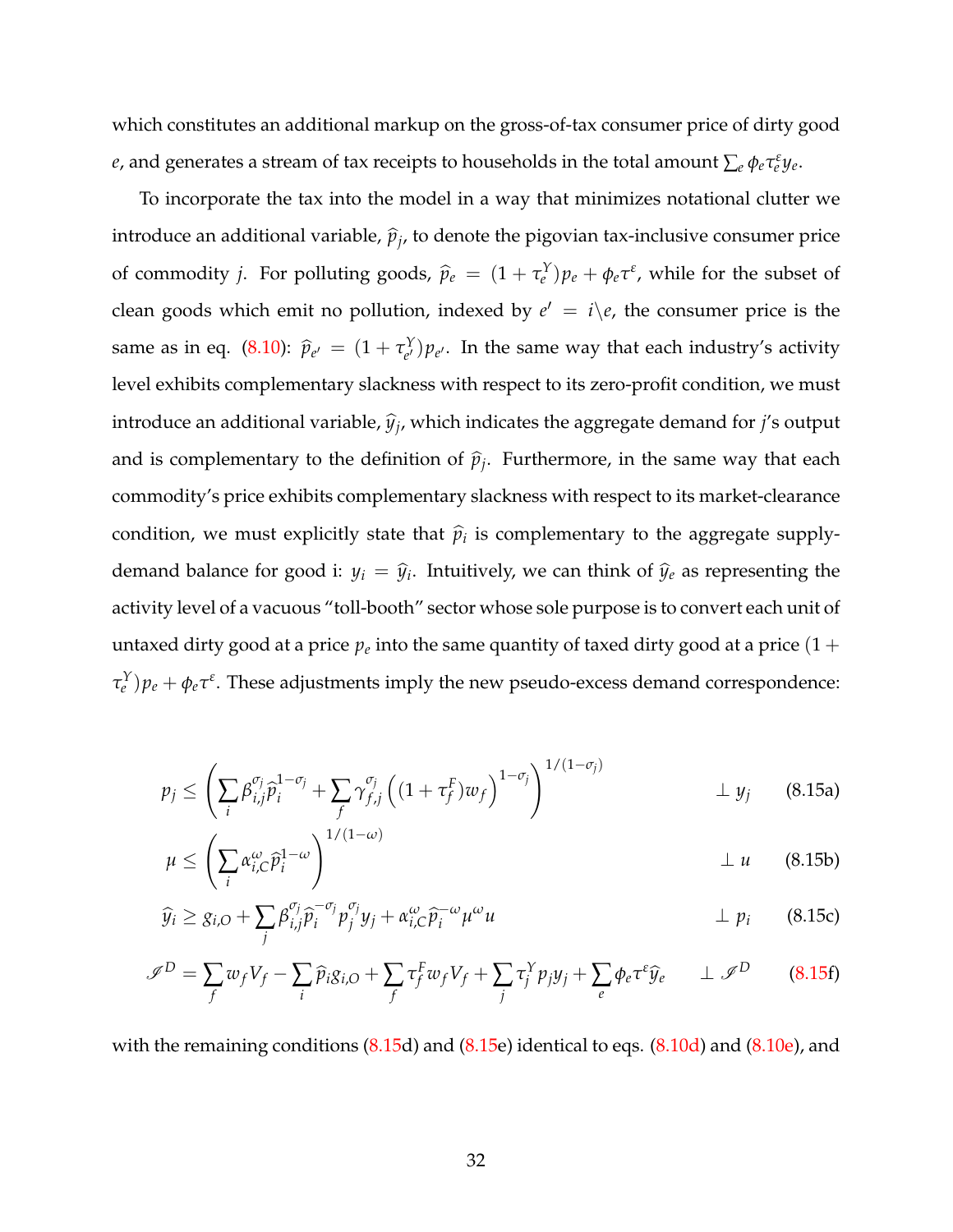which constitutes an additional markup on the gross-of-tax consumer price of dirty good *e*, and generates a stream of tax receipts to households in the total amount  $\sum_e \phi_e \tau_e^\varepsilon y_e$ .

To incorporate the tax into the model in a way that minimizes notational clutter we introduce an additional variable,  $\widehat{p}_j$ , to denote the pigovian tax-inclusive consumer price of commodity *j*. For polluting goods,  $\hat{p}_e = (1 + \tau_e^Y)p_e + \phi_e \tau_e^z$ , while for the subset of clean goods which emit no pollution, indexed by  $e' = i \backslash e$ , the consumer price is the same as in eq. [\(8.10\)](#page-14-0):  $\hat{p}_{e'} = (1 + \tau_{e'}^Y)$  $(e^{i}) p_{e'}$ . In the same way that each industry's activity level exhibits complementary slackness with respect to its zero-profit condition, we must introduce an additional variable*,*  $\widehat{y}_j$ *,* which indicates the aggregate demand for  $j$ 's output and is complementary to the definition of  $\widehat{p}_j$ . Furthermore, in the same way that each commodity's price exhibits complementary slackness with respect to its market-clearance condition, we must explicitly state that  $\hat{p}_i$  is complementary to the aggregate supplydemand balance for good i:  $y_i = \hat{y}_i$ . Intuitively, we can think of  $\hat{y}_e$  as representing the activity level of a vacuous "toll-booth" sector whose sole purpose is to convert each unit of untaxed dirty good at a price  $p_e$  into the same quantity of taxed dirty good at a price  $(1 +$  $\tau_e^Y$ ) $p_e + \phi_e \tau_e$ . These adjustments imply the new pseudo-excess demand correspondence:

<span id="page-31-2"></span><span id="page-31-0"></span>
$$
p_j \leq \left(\sum_i \beta_{i,j}^{\sigma_j} \widehat{p}_i^{1-\sigma_j} + \sum_f \gamma_{f,j}^{\sigma_j} \left((1+\tau_f^F)w_f\right)^{1-\sigma_j}\right)^{1/(1-\sigma_j)} \perp y_j \qquad (8.15a)
$$

<span id="page-31-3"></span><span id="page-31-1"></span>
$$
\mu \leq \left(\sum_{i} \alpha_{i,C}^{\omega} \widehat{p}_i^{1-\omega}\right)^{1/(1-\omega)} \qquad \qquad \perp u \qquad (8.15b)
$$

<span id="page-31-4"></span>
$$
\widehat{y}_i \geq g_{i,O} + \sum_j \beta_{i,j}^{\sigma_j} \widehat{p}_i^{-\sigma_j} p_j^{\sigma_j} y_j + \alpha_{i,C}^{\omega} \widehat{p}_i^{-\omega} \mu^{\omega} u \qquad \qquad \perp p_i \qquad (8.15c)
$$

$$
\mathscr{I}^D = \sum_f w_f V_f - \sum_i \widehat{p}_i g_{i,O} + \sum_f \tau_f^F w_f V_f + \sum_j \tau_j^Y p_j y_j + \sum_e \phi_e \tau^e \widehat{y}_e \qquad \perp \mathscr{I}^D \tag{8.15f}
$$

with the remaining conditions  $(8.15d)$  $(8.15d)$  and  $(8.15e)$  $(8.15e)$  identical to eqs.  $(8.10d)$  and  $(8.10e)$ , and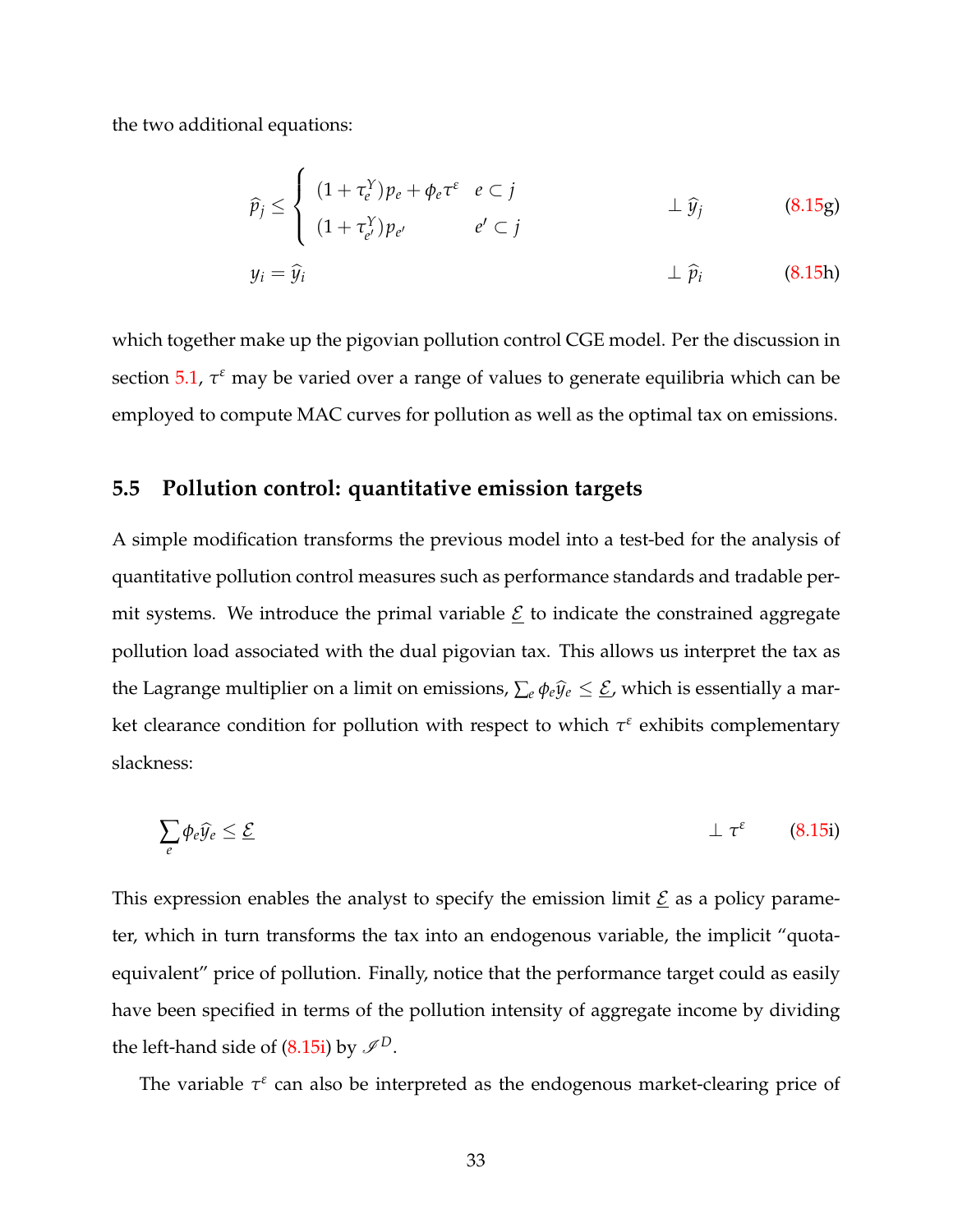the two additional equations:

<span id="page-32-2"></span>
$$
\widehat{p}_j \leq \begin{cases}\n(1 + \tau_e^Y) p_e + \phi_e \tau^{\varepsilon} & e \subset j \\
(1 + \tau_{e'}^Y) p_{e'} & e' \subset j\n\end{cases} \qquad \qquad \perp \widehat{y}_j \qquad (8.15g)
$$

<span id="page-32-3"></span>
$$
y_i = \hat{y}_i \qquad \qquad \perp \hat{p}_i \qquad \qquad (8.15h)
$$

which together make up the pigovian pollution control CGE model. Per the discussion in section [5.1,](#page-23-0) *τ <sup>ε</sup>* may be varied over a range of values to generate equilibria which can be employed to compute MAC curves for pollution as well as the optimal tax on emissions.

#### **5.5 Pollution control: quantitative emission targets**

A simple modification transforms the previous model into a test-bed for the analysis of quantitative pollution control measures such as performance standards and tradable permit systems. We introduce the primal variable  $\underline{\mathcal{E}}$  to indicate the constrained aggregate pollution load associated with the dual pigovian tax. This allows us interpret the tax as the Lagrange multiplier on a limit on emissions,  $\sum_e \phi_e \hat{y}_e \leq \underline{\mathcal{E}}$ , which is essentially a market clearance condition for pollution with respect to which *τ ε* exhibits complementary slackness:

<span id="page-32-1"></span><span id="page-32-0"></span>
$$
\sum_{e} \phi_{e} \widehat{y}_{e} \leq \underline{\mathcal{E}} \tag{8.15i}
$$

This expression enables the analyst to specify the emission limit  $\underline{\mathcal{E}}$  as a policy parameter, which in turn transforms the tax into an endogenous variable, the implicit "quotaequivalent" price of pollution. Finally, notice that the performance target could as easily have been specified in terms of the pollution intensity of aggregate income by dividing the left-hand side of  $(8.15i)$  by  $\mathcal{I}^D$ .

The variable  $\tau^{\varepsilon}$  can also be interpreted as the endogenous market-clearing price of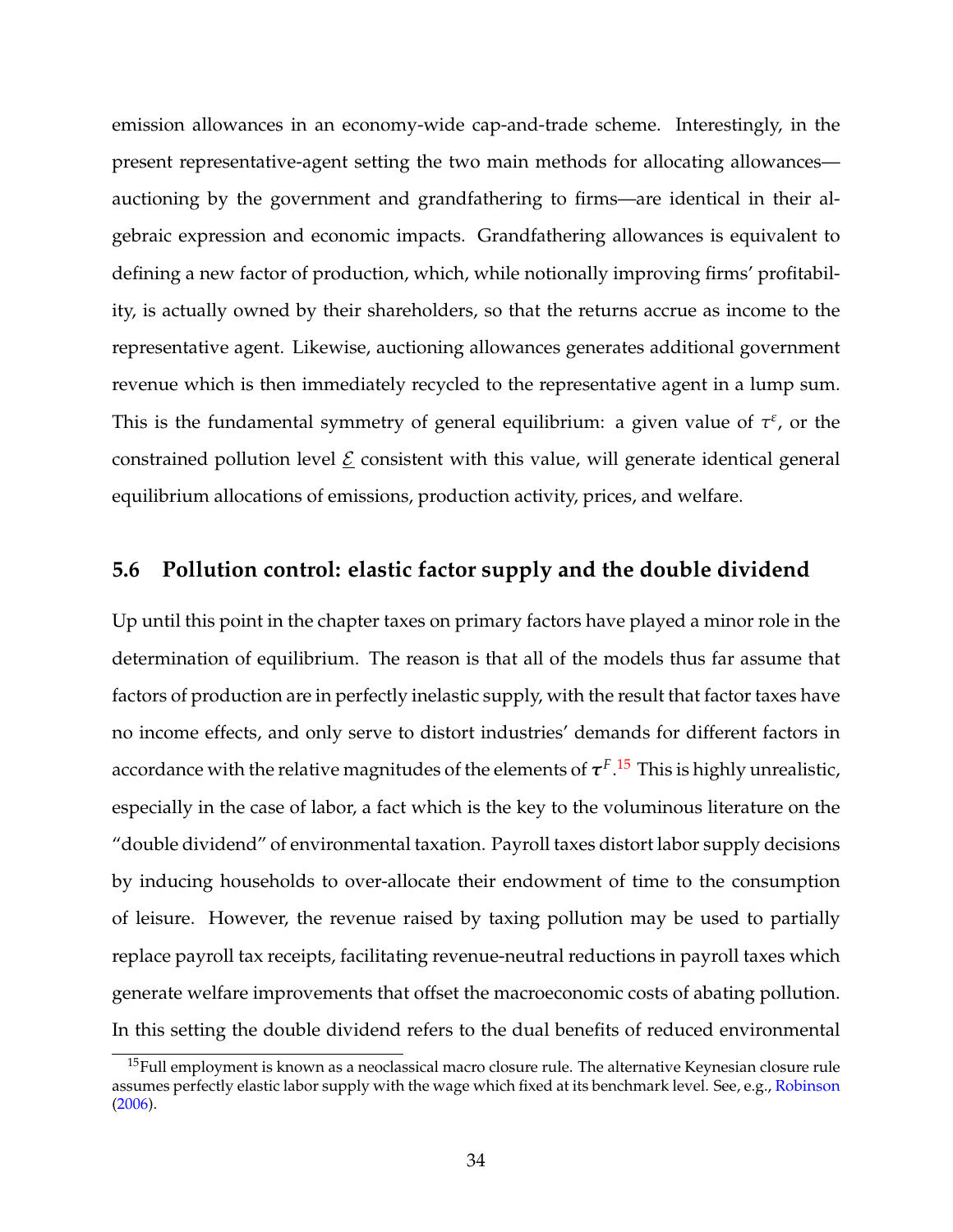emission allowances in an economy-wide cap-and-trade scheme. Interestingly, in the present representative-agent setting the two main methods for allocating allowances auctioning by the government and grandfathering to firms—are identical in their algebraic expression and economic impacts. Grandfathering allowances is equivalent to defining a new factor of production, which, while notionally improving firms' profitability, is actually owned by their shareholders, so that the returns accrue as income to the representative agent. Likewise, auctioning allowances generates additional government revenue which is then immediately recycled to the representative agent in a lump sum. This is the fundamental symmetry of general equilibrium: a given value of  $\tau^{\varepsilon}$ , or the constrained pollution level  $E$  consistent with this value, will generate identical general equilibrium allocations of emissions, production activity, prices, and welfare.

#### **5.6 Pollution control: elastic factor supply and the double dividend**

Up until this point in the chapter taxes on primary factors have played a minor role in the determination of equilibrium. The reason is that all of the models thus far assume that factors of production are in perfectly inelastic supply, with the result that factor taxes have no income effects, and only serve to distort industries' demands for different factors in accordance with the relative magnitudes of the elements of  $\bm{\tau}^{F.15}$  $\bm{\tau}^{F.15}$  $\bm{\tau}^{F.15}$  This is highly unrealistic, especially in the case of labor, a fact which is the key to the voluminous literature on the "double dividend" of environmental taxation. Payroll taxes distort labor supply decisions by inducing households to over-allocate their endowment of time to the consumption of leisure. However, the revenue raised by taxing pollution may be used to partially replace payroll tax receipts, facilitating revenue-neutral reductions in payroll taxes which generate welfare improvements that offset the macroeconomic costs of abating pollution. In this setting the double dividend refers to the dual benefits of reduced environmental

<span id="page-33-0"></span><sup>&</sup>lt;sup>15</sup>Full employment is known as a neoclassical macro closure rule. The alternative Keynesian closure rule assumes perfectly elastic labor supply with the wage which fixed at its benchmark level. See, e.g., [Robinson](#page-60-7) [\(2006\)](#page-60-7).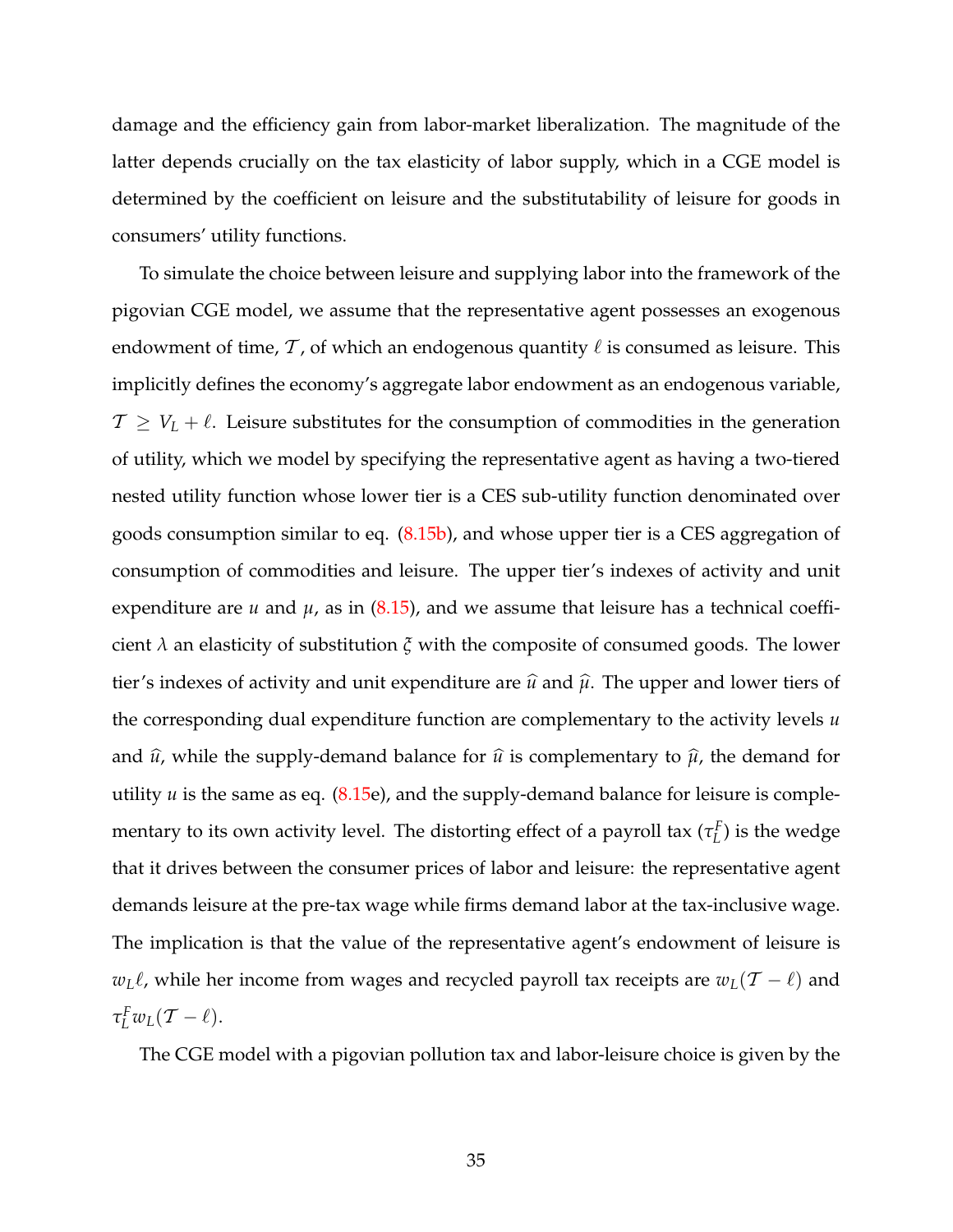damage and the efficiency gain from labor-market liberalization. The magnitude of the latter depends crucially on the tax elasticity of labor supply, which in a CGE model is determined by the coefficient on leisure and the substitutability of leisure for goods in consumers' utility functions.

To simulate the choice between leisure and supplying labor into the framework of the pigovian CGE model, we assume that the representative agent possesses an exogenous endowment of time,  $\mathcal T$ , of which an endogenous quantity  $\ell$  is consumed as leisure. This implicitly defines the economy's aggregate labor endowment as an endogenous variable,  $T \geq V_L + \ell$ . Leisure substitutes for the consumption of commodities in the generation of utility, which we model by specifying the representative agent as having a two-tiered nested utility function whose lower tier is a CES sub-utility function denominated over goods consumption similar to eq. [\(8.15b\)](#page-31-1), and whose upper tier is a CES aggregation of consumption of commodities and leisure. The upper tier's indexes of activity and unit expenditure are  $u$  and  $\mu$ , as in [\(8.15\)](#page-31-0), and we assume that leisure has a technical coefficient *λ* an elasticity of substitution *ξ* with the composite of consumed goods. The lower tier's indexes of activity and unit expenditure are  $\hat{u}$  and  $\hat{\mu}$ . The upper and lower tiers of the corresponding dual expenditure function are complementary to the activity levels *u* and  $\hat{u}$ , while the supply-demand balance for  $\hat{u}$  is complementary to  $\hat{\mu}$ , the demand for utility *u* is the same as eq. [\(8.15e](#page-31-0)), and the supply-demand balance for leisure is complementary to its own activity level. The distorting effect of a payroll tax (*τ F L* ) is the wedge that it drives between the consumer prices of labor and leisure: the representative agent demands leisure at the pre-tax wage while firms demand labor at the tax-inclusive wage. The implication is that the value of the representative agent's endowment of leisure is *w*<sub>L</sub> $\ell$ , while her income from wages and recycled payroll tax receipts are  $w_L(T - \ell)$  and  $\tau_L^F w_L(\mathcal{T} - \ell).$ 

The CGE model with a pigovian pollution tax and labor-leisure choice is given by the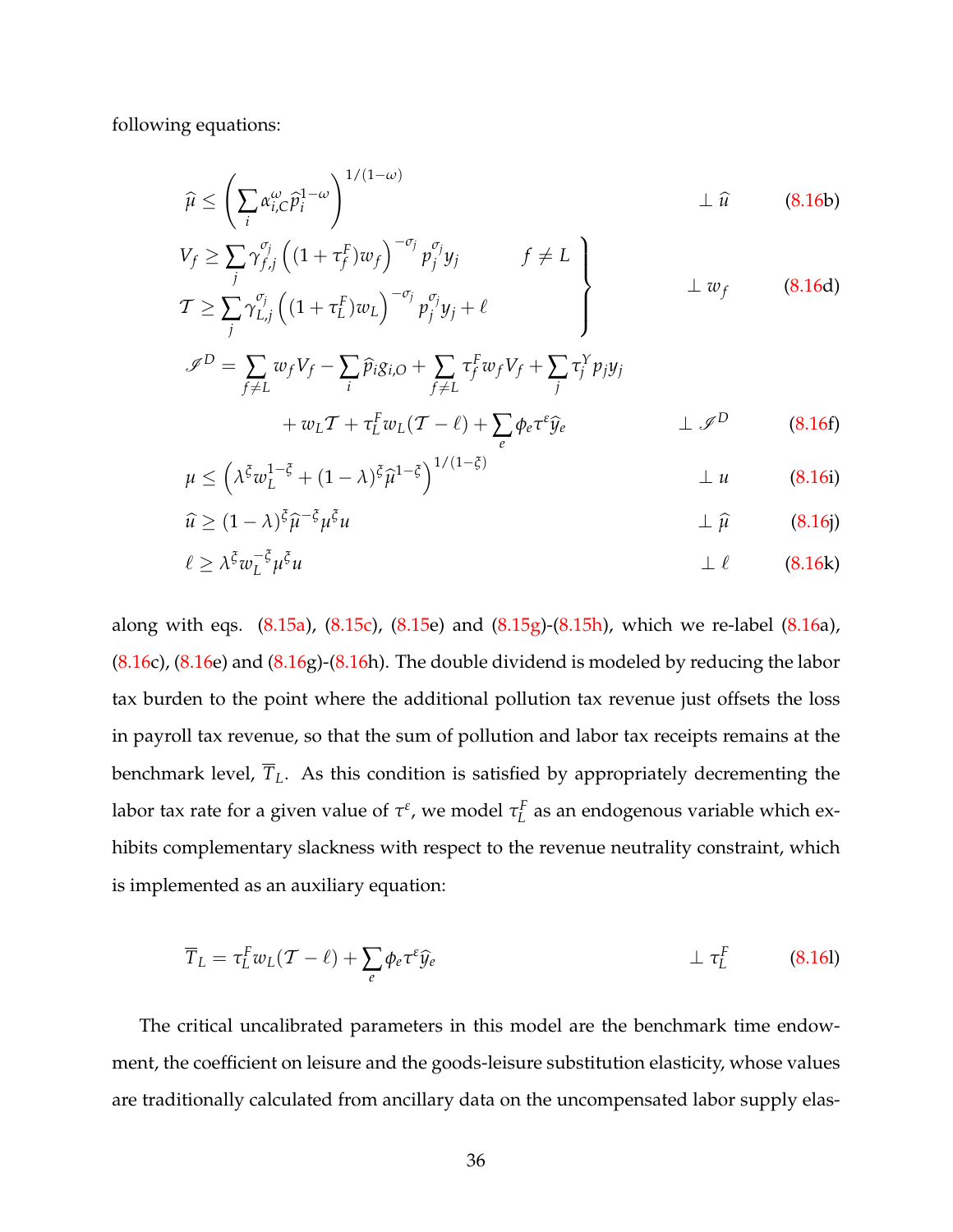following equations:

$$
\widehat{\mu} \le \left(\sum_{i} \alpha_{i,C}^{\omega} \widehat{p}_i^{1-\omega}\right)^{1/(1-\omega)} \perp \widehat{u} \qquad (8.16b)
$$
\n
$$
V_c \ge \sum_{i} \alpha_{i}^{\sigma_j} \left((1+\tau_i^F)w_c\right)^{-\sigma_j} n^{\sigma_j} u \qquad f \ne I
$$

<span id="page-35-0"></span>
$$
V_f \geq \sum_j \gamma_{f,j}^{v_j} \left( (1 + \tau_f^F) w_f \right)^{-1} p_j^{v_j} y_j \qquad f \neq L
$$
  
\n
$$
T \geq \sum_j \gamma_{L,j}^{v_j} \left( (1 + \tau_L^F) w_L \right)^{-\sigma_j} p_j^{\sigma_j} y_j + \ell
$$
\n(8.16d)

$$
\mathscr{I}^D = \sum_{f \neq L} w_f V_f - \sum_i \widehat{p}_i g_{i,O} + \sum_{f \neq L} \tau_f^F w_f V_f + \sum_j \tau_j^Y p_j y_j
$$
  
+  $w_L T + \tau_L^F w_L (T - \ell) + \sum_e \phi_e \tau^e \widehat{y}_e$   $\perp \mathscr{I}^D$  (8.16f)

$$
\mu \le \left(\lambda^{\xi} w_L^{1-\xi} + (1-\lambda)^{\xi} \widehat{\mu}^{1-\xi}\right)^{1/(1-\xi)} \qquad \qquad \perp u \tag{8.16i}
$$

<span id="page-35-1"></span>
$$
\widehat{u} \ge (1 - \lambda)^{\xi} \widehat{\mu}^{-\xi} \mu^{\xi} u \qquad \qquad \perp \widehat{\mu} \qquad (8.16)
$$

$$
\ell \ge \lambda^{\xi} w_L^{-\xi} \mu^{\xi} u \qquad \qquad \perp \ell \qquad (8.16k)
$$

along with eqs. [\(8.15a\)](#page-31-2), [\(8.15c\)](#page-31-3), [\(8.15e](#page-31-0)) and [\(8.15g\)](#page-32-2)-[\(8.15h\)](#page-32-3), which we re-label [\(8.16a](#page-32-1)),  $(8.16c)$  $(8.16c)$ ,  $(8.16e)$  $(8.16e)$  and  $(8.16g)$  $(8.16g)$ - $(8.16h)$  $(8.16h)$ . The double dividend is modeled by reducing the labor tax burden to the point where the additional pollution tax revenue just offsets the loss in payroll tax revenue, so that the sum of pollution and labor tax receipts remains at the benchmark level,  $\overline{T}_L$ . As this condition is satisfied by appropriately decrementing the labor tax rate for a given value of  $\tau^{\varepsilon}$ , we model  $\tau^F_L$  $L<sup>L</sup>$  as an endogenous variable which exhibits complementary slackness with respect to the revenue neutrality constraint, which is implemented as an auxiliary equation:

$$
\overline{T}_L = \tau_L^F w_L(\mathcal{T} - \ell) + \sum_e \phi_e \tau^e \widehat{y}_e \qquad \qquad \perp \tau_L^F \qquad (8.161)
$$

The critical uncalibrated parameters in this model are the benchmark time endowment, the coefficient on leisure and the goods-leisure substitution elasticity, whose values are traditionally calculated from ancillary data on the uncompensated labor supply elas-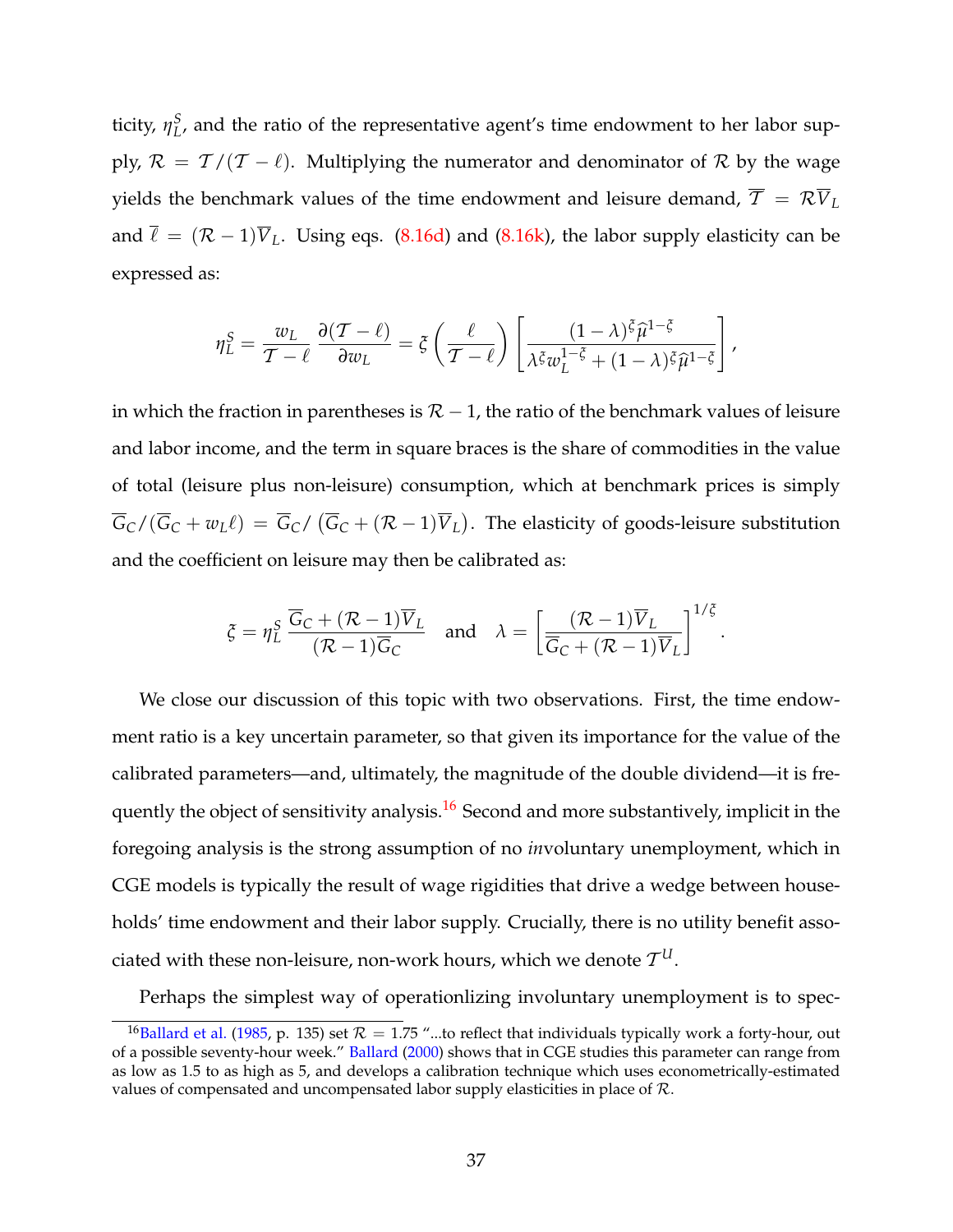ticity, *η S L* , and the ratio of the representative agent's time endowment to her labor supply,  $\mathcal{R} = \mathcal{T}/(\mathcal{T} - \ell)$ . Multiplying the numerator and denominator of  $\mathcal{R}$  by the wage yields the benchmark values of the time endowment and leisure demand,  $\overline{T} = \mathcal{R} \overline{V}_L$ and  $\bar{\ell} = (\mathcal{R} - 1)\bar{V}_L$ . Using eqs. [\(8.16d\)](#page-35-0) and [\(8.16k\)](#page-35-1), the labor supply elasticity can be expressed as:

$$
\eta_L^S = \frac{w_L}{\mathcal{T} - \ell} \frac{\partial (\mathcal{T} - \ell)}{\partial w_L} = \xi \left( \frac{\ell}{\mathcal{T} - \ell} \right) \left[ \frac{(1 - \lambda)^{\xi} \hat{\mu}^{1 - \xi}}{\lambda^{\xi} w_L^{1 - \xi} + (1 - \lambda)^{\xi} \hat{\mu}^{1 - \xi}} \right],
$$

in which the fraction in parentheses is  $\mathcal{R}$  – 1, the ratio of the benchmark values of leisure and labor income, and the term in square braces is the share of commodities in the value of total (leisure plus non-leisure) consumption, which at benchmark prices is simply  $\overline{G}_C/(\overline{G}_C+w_L\ell)=\overline{G}_C/(\overline{G}_C+(\mathcal{R}-1)\overline{V}_L).$  The elasticity of goods-leisure substitution and the coefficient on leisure may then be calibrated as:

$$
\xi = \eta_L^S \frac{\overline{G}_C + (\mathcal{R} - 1)\overline{V}_L}{(\mathcal{R} - 1)\overline{G}_C} \quad \text{and} \quad \lambda = \left[ \frac{(\mathcal{R} - 1)\overline{V}_L}{\overline{G}_C + (\mathcal{R} - 1)\overline{V}_L} \right]^{1/\xi}.
$$

We close our discussion of this topic with two observations. First, the time endowment ratio is a key uncertain parameter, so that given its importance for the value of the calibrated parameters—and, ultimately, the magnitude of the double dividend—it is fre-quently the object of sensitivity analysis.<sup>[16](#page-36-0)</sup> Second and more substantively, implicit in the foregoing analysis is the strong assumption of no *in*voluntary unemployment, which in CGE models is typically the result of wage rigidities that drive a wedge between households' time endowment and their labor supply. Crucially, there is no utility benefit associated with these non-leisure*,* non-work hours, which we denote  $\mathcal{T}^{U}.$ 

Perhaps the simplest way of operationlizing involuntary unemployment is to spec-

<span id="page-36-0"></span><sup>&</sup>lt;sup>16</sup>[Ballard et al.](#page-49-5) [\(1985,](#page-49-5) p. 135) set  $R = 1.75$  "...to reflect that individuals typically work a forty-hour, out of a possible seventy-hour week." [Ballard](#page-49-6) [\(2000\)](#page-49-6) shows that in CGE studies this parameter can range from as low as 1.5 to as high as 5, and develops a calibration technique which uses econometrically-estimated values of compensated and uncompensated labor supply elasticities in place of R.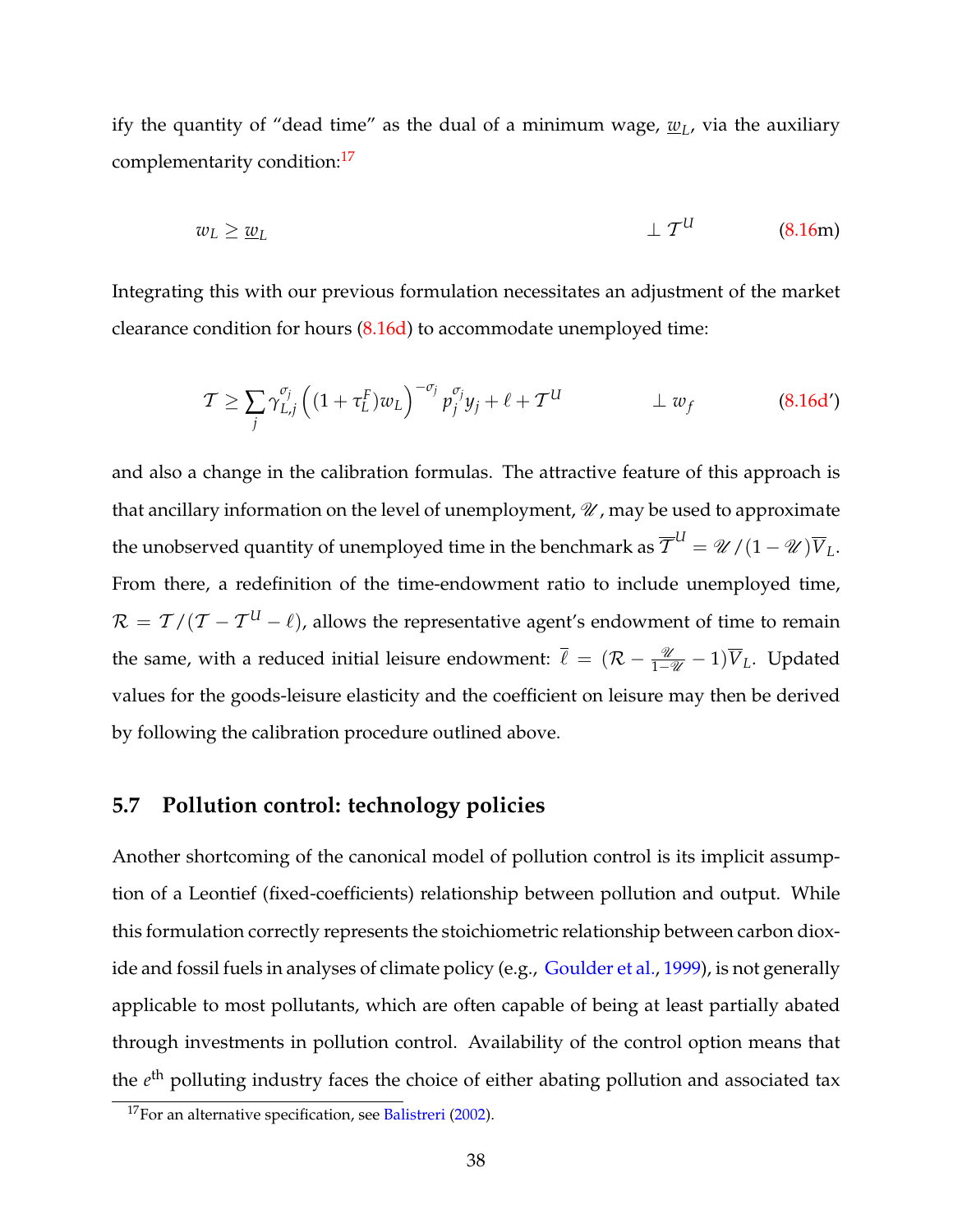ify the quantity of "dead time" as the dual of a minimum wage, *w<sup>L</sup>* , via the auxiliary complementarity condition:<sup>[17](#page-37-1)</sup>

$$
w_L \ge \underline{w}_L \tag{8.16m}
$$

Integrating this with our previous formulation necessitates an adjustment of the market clearance condition for hours [\(8.16d\)](#page-35-0) to accommodate unemployed time:

$$
\mathcal{T} \ge \sum_{j} \gamma_{L,j}^{\sigma_j} \left( (1 + \tau_L^F) w_L \right)^{-\sigma_j} p_j^{\sigma_j} y_j + \ell + \mathcal{T}^U \qquad \qquad \perp w_f \tag{8.16d'}
$$

and also a change in the calibration formulas. The attractive feature of this approach is that ancillary information on the level of unemployment,  $\mathcal U$ , may be used to approximate the unobserved quantity of unemployed time in the benchmark as  $\overline{\mathcal{ T}}^{U} = \mathscr{U}/(1-\mathscr{U})\overline{V}_L.$ From there, a redefinition of the time-endowment ratio to include unemployed time,  $\mathcal{R} = \mathcal{T}/(\mathcal{T} - \mathcal{T}^{U} - \ell)$ , allows the representative agent's endowment of time to remain the same, with a reduced initial leisure endowment:  $\bar{\ell} = (\mathcal{R} - \frac{\mathcal{U}}{1-\mathcal{U}} - 1)\bar{V}_L$ . Updated values for the goods-leisure elasticity and the coefficient on leisure may then be derived by following the calibration procedure outlined above.

#### <span id="page-37-0"></span>**5.7 Pollution control: technology policies**

Another shortcoming of the canonical model of pollution control is its implicit assumption of a Leontief (fixed-coefficients) relationship between pollution and output. While this formulation correctly represents the stoichiometric relationship between carbon diox-ide and fossil fuels in analyses of climate policy (e.g., [Goulder et al.,](#page-55-8) [1999\)](#page-55-8), is not generally applicable to most pollutants, which are often capable of being at least partially abated through investments in pollution control. Availability of the control option means that the *e*<sup>th</sup> polluting industry faces the choice of either abating pollution and associated tax

<span id="page-37-1"></span><sup>&</sup>lt;sup>17</sup>For an alternative specification, see [Balistreri](#page-49-7) [\(2002\)](#page-49-7).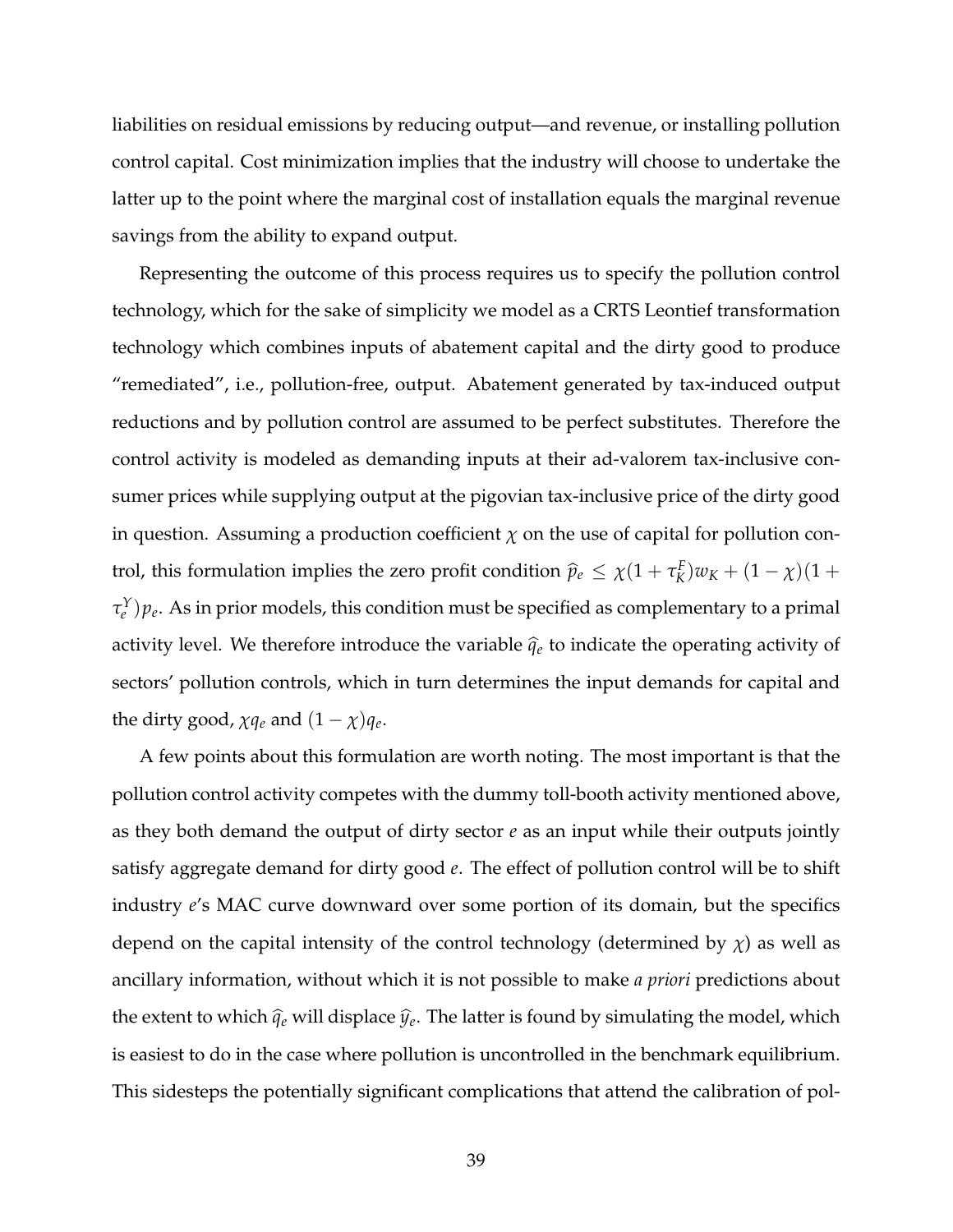liabilities on residual emissions by reducing output—and revenue, or installing pollution control capital. Cost minimization implies that the industry will choose to undertake the latter up to the point where the marginal cost of installation equals the marginal revenue savings from the ability to expand output.

Representing the outcome of this process requires us to specify the pollution control technology, which for the sake of simplicity we model as a CRTS Leontief transformation technology which combines inputs of abatement capital and the dirty good to produce "remediated", i.e., pollution-free, output. Abatement generated by tax-induced output reductions and by pollution control are assumed to be perfect substitutes. Therefore the control activity is modeled as demanding inputs at their ad-valorem tax-inclusive consumer prices while supplying output at the pigovian tax-inclusive price of the dirty good in question. Assuming a production coefficient  $\chi$  on the use of capital for pollution control, this formulation implies the zero profit condition  $\hat{p}_e \leq \chi(1 + \tau_K^F)$  $K^K(K)w_K + (1 - \chi)(1 +$  $\tau_{e}^{Y}) p_{e}$ . As in prior models, this condition must be specified as complementary to a primal activity level. We therefore introduce the variable  $\hat{q}_e$  to indicate the operating activity of sectors' pollution controls, which in turn determines the input demands for capital and the dirty good,  $\chi q_e$  and  $(1 - \chi)q_e$ .

A few points about this formulation are worth noting. The most important is that the pollution control activity competes with the dummy toll-booth activity mentioned above, as they both demand the output of dirty sector *e* as an input while their outputs jointly satisfy aggregate demand for dirty good *e*. The effect of pollution control will be to shift industry *e*'s MAC curve downward over some portion of its domain, but the specifics depend on the capital intensity of the control technology (determined by  $\chi$ ) as well as ancillary information, without which it is not possible to make *a priori* predictions about the extent to which  $\widehat{q}_e$  will displace  $\widehat{y}_e$ . The latter is found by simulating the model, which is easiest to do in the case where pollution is uncontrolled in the benchmark equilibrium. This sidesteps the potentially significant complications that attend the calibration of pol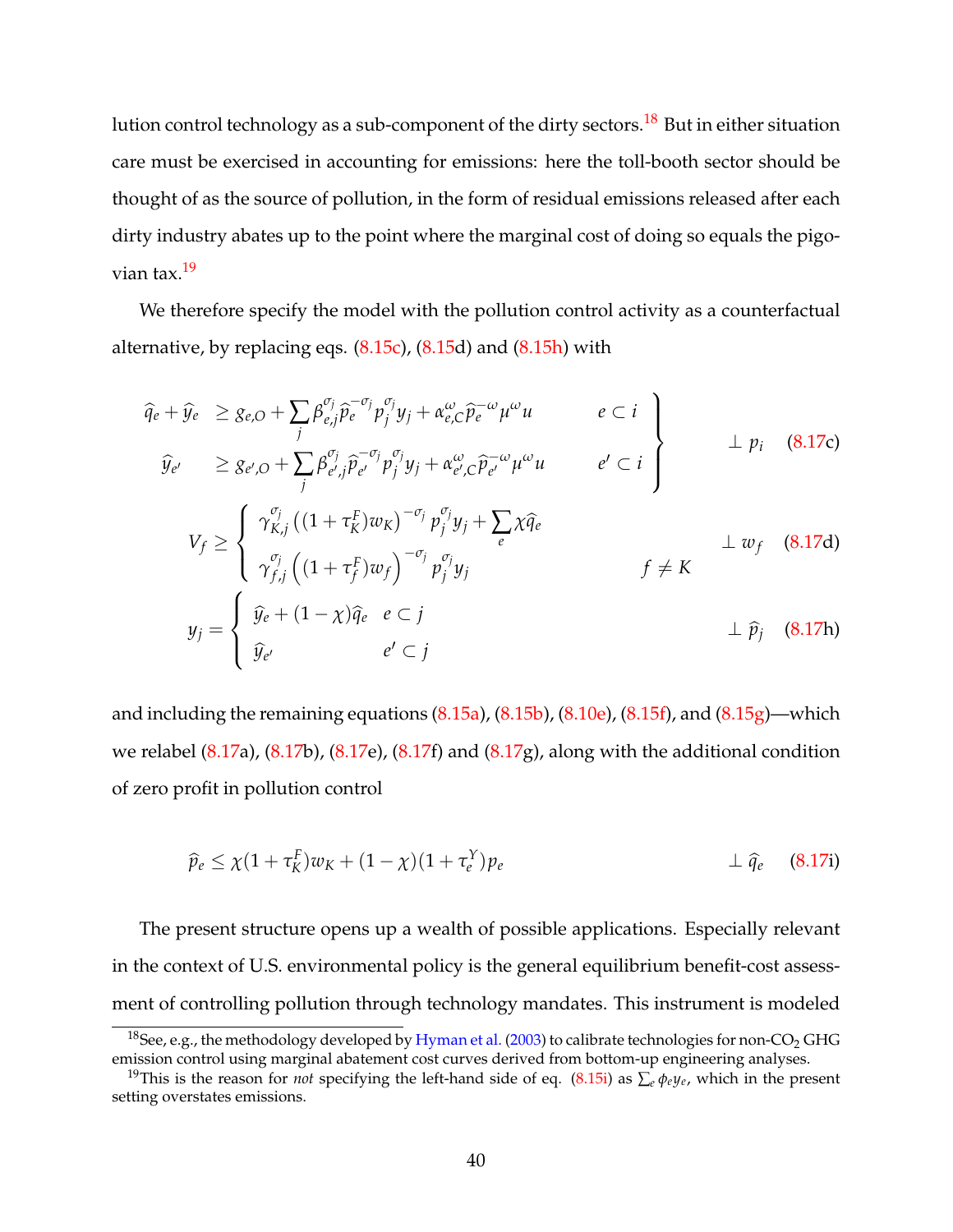lution control technology as a sub-component of the dirty sectors.<sup>[18](#page-39-0)</sup> But in either situation care must be exercised in accounting for emissions: here the toll-booth sector should be thought of as the source of pollution, in the form of residual emissions released after each dirty industry abates up to the point where the marginal cost of doing so equals the pigovian tax.[19](#page-39-1)

We therefore specify the model with the pollution control activity as a counterfactual alternative, by replacing eqs.  $(8.15c)$ ,  $(8.15d)$  $(8.15d)$  and  $(8.15h)$  with

<span id="page-39-2"></span>
$$
\begin{aligned}\n\widehat{q}_{e} + \widehat{y}_{e} &\geq g_{e,O} + \sum_{j} \beta_{e,j}^{\sigma_{j}} \widehat{p}_{e}^{-\sigma_{j}} p_{j}^{\sigma_{j}} y_{j} + \alpha_{e,C}^{\omega} \widehat{p}_{e}^{-\omega} \mu^{\omega} u & e \subset i \\
\widehat{y}_{e'} &\geq g_{e',O} + \sum_{j} \beta_{e',j}^{\sigma_{j}} \widehat{p}_{e'}^{-\sigma_{j}} p_{j}^{\sigma_{j}} y_{j} + \alpha_{e',C}^{\omega} \widehat{p}_{e'}^{-\omega} \mu^{\omega} u & e' \subset i \\
V_{f} &\geq \left\{ \begin{array}{l}\n\gamma_{K,j}^{\sigma_{j}} \left( (1 + \tau_{K}^{F}) w_{K} \right)^{-\sigma_{j}} p_{j}^{\sigma_{j}} y_{j} + \sum_{e} \chi \widehat{q}_{e} \\
\gamma_{f,j}^{\sigma_{j}} \left( (1 + \tau_{f}^{F}) w_{f} \right)^{-\sigma_{j}} p_{j}^{\sigma_{j}} y_{j} \n\end{array} \right. & f \neq K\n\end{aligned}\n\qquad\n\begin{aligned}\n&\text{(8.17c)} \\
&\downarrow \text{p}_{i} \quad \text{(8.17d)} \\
&\downarrow \text{p}_{j} \quad \text{(8.17d)} \\
&\downarrow \text{p}_{j} \quad \text{(8.17d)} \\
&\downarrow \text{p}_{j} \quad \text{(8.17e)}\n\end{aligned}
$$

and including the remaining equations  $(8.15a)$ ,  $(8.15b)$ ,  $(8.10e)$ ,  $(8.15f)$ , and  $(8.15g)$ —which we relabel  $(8.17a)$  $(8.17a)$ ,  $(8.17b)$  $(8.17b)$ ,  $(8.17e)$  $(8.17e)$ ,  $(8.17f)$  $(8.17f)$  and  $(8.17g)$  $(8.17g)$ , along with the additional condition of zero profit in pollution control

<span id="page-39-3"></span>
$$
\widehat{p}_e \leq \chi (1 + \tau_K^F) w_K + (1 - \chi)(1 + \tau_e^Y) p_e \qquad \qquad \perp \widehat{q}_e \qquad (8.17)
$$

The present structure opens up a wealth of possible applications. Especially relevant in the context of U.S. environmental policy is the general equilibrium benefit-cost assessment of controlling pollution through technology mandates. This instrument is modeled

<span id="page-39-0"></span><sup>&</sup>lt;sup>18</sup>See, e.g., the methodology developed by [Hyman et al.](#page-56-8) [\(2003\)](#page-56-8) to calibrate technologies for non-CO<sub>2</sub> GHG emission control using marginal abatement cost curves derived from bottom-up engineering analyses.

<span id="page-39-1"></span><sup>19</sup>This is the reason for *not* specifying the left-hand side of eq. [\(8.15i\)](#page-32-0) as ∑*<sup>e</sup> φey<sup>e</sup>* , which in the present setting overstates emissions.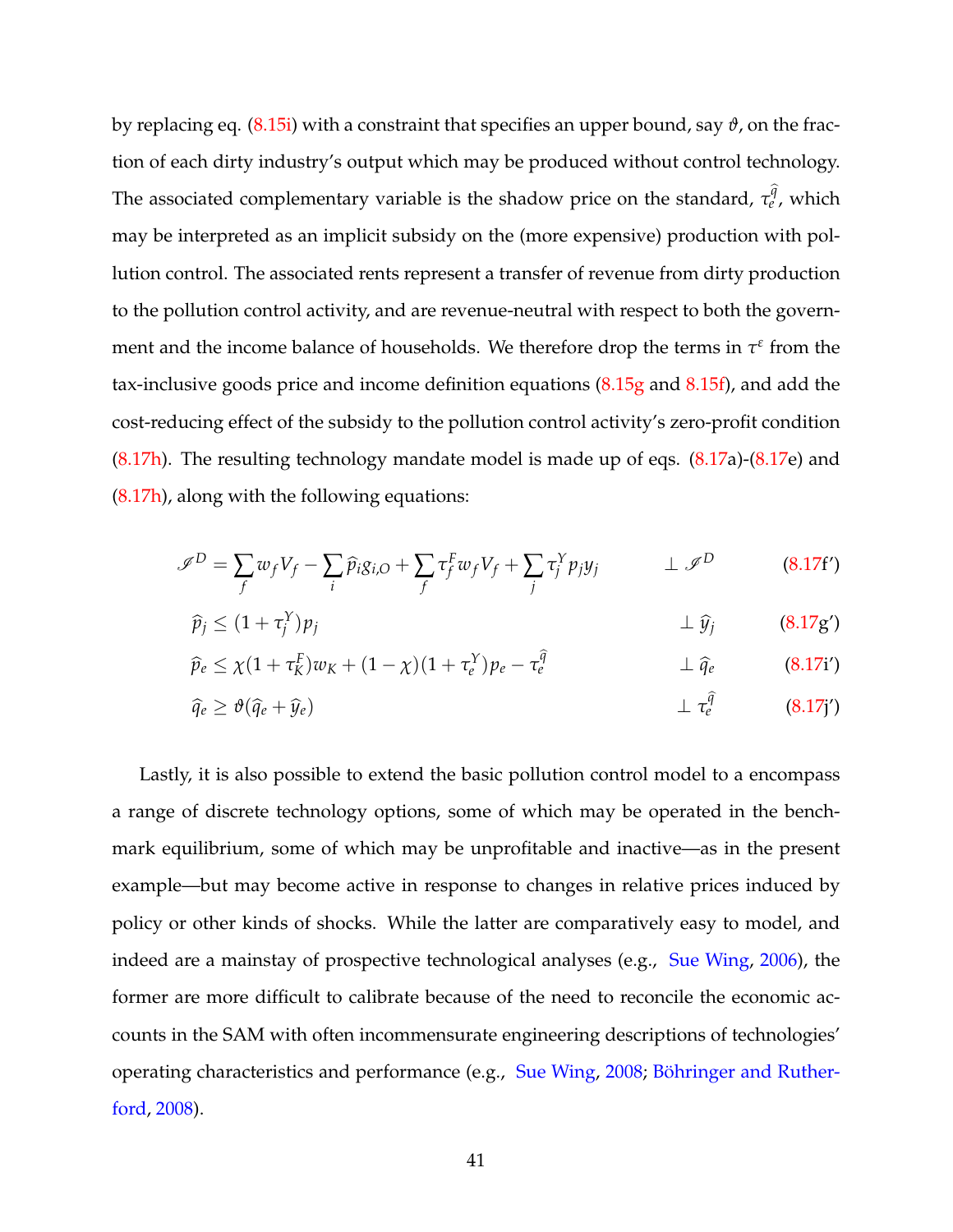by replacing eq. [\(8.15i\)](#page-32-0) with a constraint that specifies an upper bound, say *ϑ*, on the fraction of each dirty industry's output which may be produced without control technology. The associated complementary variable is the shadow price on the standard,  $\tau_{e}^{\widehat{q}}$ , which may be interpreted as an implicit subsidy on the (more expensive) production with pollution control. The associated rents represent a transfer of revenue from dirty production to the pollution control activity, and are revenue-neutral with respect to both the government and the income balance of households. We therefore drop the terms in  $\tau^{\epsilon}$  from the tax-inclusive goods price and income definition equations  $(8.15g$  and  $8.15f)$ , and add the cost-reducing effect of the subsidy to the pollution control activity's zero-profit condition  $(8.17h)$ . The resulting technology mandate model is made up of eqs.  $(8.17a)-(8.17e)$  $(8.17a)-(8.17e)$  $(8.17a)-(8.17e)$  $(8.17a)-(8.17e)$  and [\(8.17h\)](#page-39-3), along with the following equations:

$$
\mathscr{I}^D = \sum_f w_f V_f - \sum_i \widehat{p}_i g_{i,O} + \sum_f \tau_f^F w_f V_f + \sum_j \tau_j^Y p_j y_j \qquad \perp \mathscr{I}^D \tag{8.17f'}
$$

$$
\widehat{p}_j \le (1 + \tau_j^Y) p_j \qquad \qquad \perp \widehat{y}_j \qquad \qquad (8.17 \text{g}')
$$

$$
\widehat{p}_e \leq \chi (1 + \tau_K^F) w_K + (1 - \chi)(1 + \tau_e^Y) p_e - \tau_e^{\widehat{q}} \qquad \qquad \perp \widehat{q}_e \qquad (8.17i')
$$

$$
\widehat{q}_e \geq \vartheta(\widehat{q}_e + \widehat{y}_e) \qquad \qquad \perp \tau_e^{\widehat{q}} \qquad \qquad (8.17j')
$$

Lastly, it is also possible to extend the basic pollution control model to a encompass a range of discrete technology options, some of which may be operated in the benchmark equilibrium, some of which may be unprofitable and inactive—as in the present example—but may become active in response to changes in relative prices induced by policy or other kinds of shocks. While the latter are comparatively easy to model, and indeed are a mainstay of prospective technological analyses (e.g., [Sue Wing,](#page-61-6) [2006\)](#page-61-6), the former are more difficult to calibrate because of the need to reconcile the economic accounts in the SAM with often incommensurate engineering descriptions of technologies' operating characteristics and performance (e.g., [Sue Wing,](#page-61-7) [2008;](#page-61-7) [Böhringer and Ruther](#page-51-8)[ford,](#page-51-8) [2008\)](#page-51-8).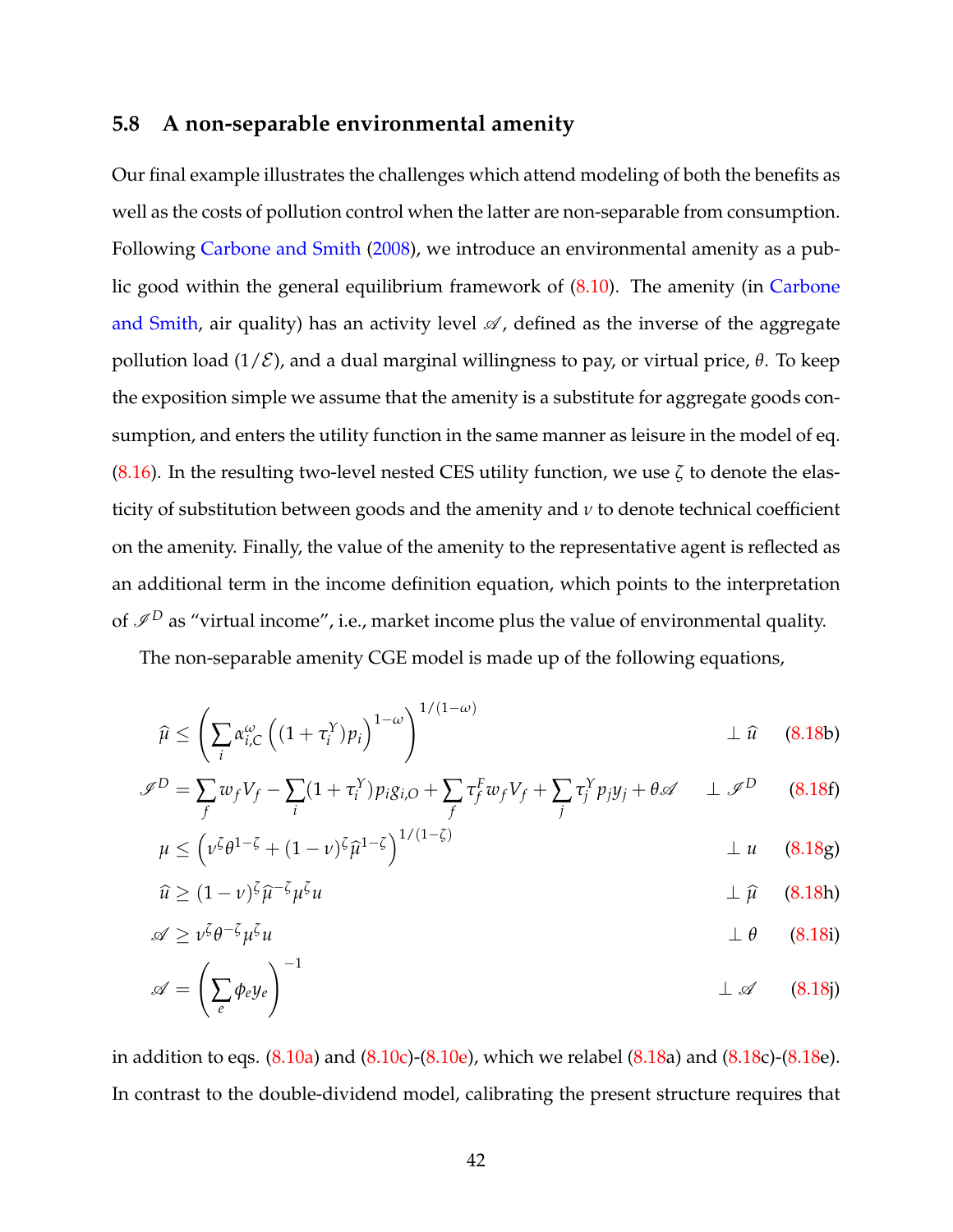#### <span id="page-41-0"></span>**5.8 A non-separable environmental amenity**

Our final example illustrates the challenges which attend modeling of both the benefits as well as the costs of pollution control when the latter are non-separable from consumption. Following [Carbone and Smith](#page-52-7) [\(2008\)](#page-52-7), we introduce an environmental amenity as a public good within the general equilibrium framework of [\(8.10\)](#page-14-0). The amenity (in [Carbone](#page-52-7) [and Smith,](#page-52-7) air quality) has an activity level  $\mathscr A$ , defined as the inverse of the aggregate pollution load (1/E), and a dual marginal willingness to pay, or virtual price, *θ*. To keep the exposition simple we assume that the amenity is a substitute for aggregate goods consumption, and enters the utility function in the same manner as leisure in the model of eq. [\(8.16\)](#page-32-1). In the resulting two-level nested CES utility function, we use *ζ* to denote the elasticity of substitution between goods and the amenity and *ν* to denote technical coefficient on the amenity. Finally, the value of the amenity to the representative agent is reflected as an additional term in the income definition equation, which points to the interpretation of  $\mathscr{I}^D$  as "virtual income", i.e., market income plus the value of environmental quality.

The non-separable amenity CGE model is made up of the following equations,

<span id="page-41-3"></span><span id="page-41-1"></span>
$$
\widehat{\mu} \leq \left(\sum_{i} \alpha_{i,C}^{\omega}\left((1+\tau_i^Y)p_i\right)^{1-\omega}\right)^{1/(1-\omega)} \perp \widehat{u} \quad (8.18b)
$$

$$
\mathscr{I}^D = \sum_f w_f V_f - \sum_i (1 + \tau_i^Y) p_i g_{i,O} + \sum_f \tau_f^F w_f V_f + \sum_j \tau_j^Y p_j y_j + \theta \mathscr{A} \quad \perp \mathscr{I}^D \tag{8.18f}
$$

$$
\mu \le \left(\nu^{\zeta}\theta^{1-\zeta} + (1-\nu)^{\zeta}\widehat{\mu}^{1-\zeta}\right)^{1/(1-\zeta)} \qquad \qquad \perp u \quad (8.18g)
$$

$$
\widehat{u} \ge (1 - \nu)^{\zeta} \widehat{\mu}^{-\zeta} \mu^{\zeta} u \qquad \qquad \perp \widehat{\mu} \qquad (8.18h)
$$

$$
\mathscr{A} \geq \nu^{\zeta} \theta^{-\zeta} \mu^{\zeta} u \qquad \qquad \perp \theta \qquad (8.18i)
$$

<span id="page-41-2"></span>
$$
\mathscr{A} = \left(\sum_{e} \phi_e y_e\right)^{-1} \qquad \qquad \perp \mathscr{A} \qquad (8.18j)
$$

in addition to eqs.  $(8.10a)$  and  $(8.10c)$ - $(8.10e)$ , which we relabel  $(8.18a)$  $(8.18a)$  and  $(8.18c)$  $(8.18c)$ - $(8.18e)$  $(8.18e)$ . In contrast to the double-dividend model, calibrating the present structure requires that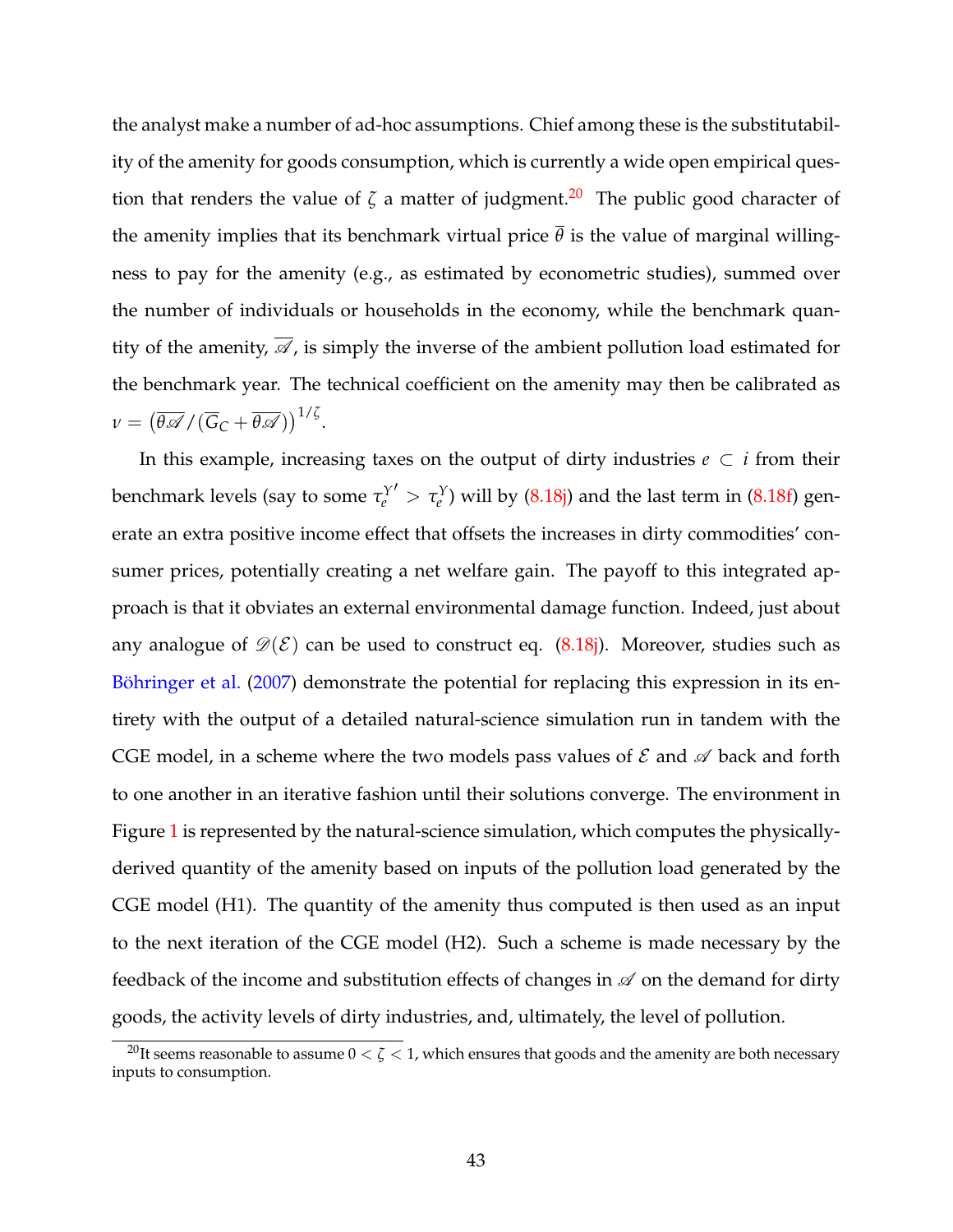the analyst make a number of ad-hoc assumptions. Chief among these is the substitutability of the amenity for goods consumption, which is currently a wide open empirical question that renders the value of  $\zeta$  a matter of judgment.<sup>[20](#page-42-0)</sup> The public good character of the amenity implies that its benchmark virtual price  $\bar{\theta}$  is the value of marginal willingness to pay for the amenity (e.g., as estimated by econometric studies), summed over the number of individuals or households in the economy, while the benchmark quantity of the amenity,  $\overline{\mathscr{A}}$ , is simply the inverse of the ambient pollution load estimated for the benchmark year. The technical coefficient on the amenity may then be calibrated as  $\nu = (\overline{\theta\mathscr{A}}/(\overline{G}_\mathcal{C} + \overline{\theta\mathscr{A}}))^{1/\zeta}.$ 

In this example, increasing taxes on the output of dirty industries  $e \subset i$  from their benchmark levels (say to some  $\tau_{e}^{Y}$  $\sigma' > \tau_e^Y$ ) will by [\(8.18j\)](#page-41-2) and the last term in [\(8.18f\)](#page-41-3) generate an extra positive income effect that offsets the increases in dirty commodities' consumer prices, potentially creating a net welfare gain. The payoff to this integrated approach is that it obviates an external environmental damage function. Indeed, just about any analogue of  $\mathscr{D}(\mathcal{E})$  can be used to construct eq. [\(8.18j\)](#page-41-2). Moreover, studies such as [Böhringer et al.](#page-50-9) [\(2007\)](#page-50-9) demonstrate the potential for replacing this expression in its entirety with the output of a detailed natural-science simulation run in tandem with the CGE model, in a scheme where the two models pass values of  $\mathcal E$  and  $\mathcal A$  back and forth to one another in an iterative fashion until their solutions converge. The environment in Figure [1](#page-45-0) is represented by the natural-science simulation, which computes the physicallyderived quantity of the amenity based on inputs of the pollution load generated by the CGE model (H1). The quantity of the amenity thus computed is then used as an input to the next iteration of the CGE model (H2). Such a scheme is made necessary by the feedback of the income and substitution effects of changes in  $\mathscr A$  on the demand for dirty goods, the activity levels of dirty industries, and, ultimately, the level of pollution.

<span id="page-42-0"></span><sup>&</sup>lt;sup>20</sup>It seems reasonable to assume  $0 < \zeta < 1$ , which ensures that goods and the amenity are both necessary inputs to consumption.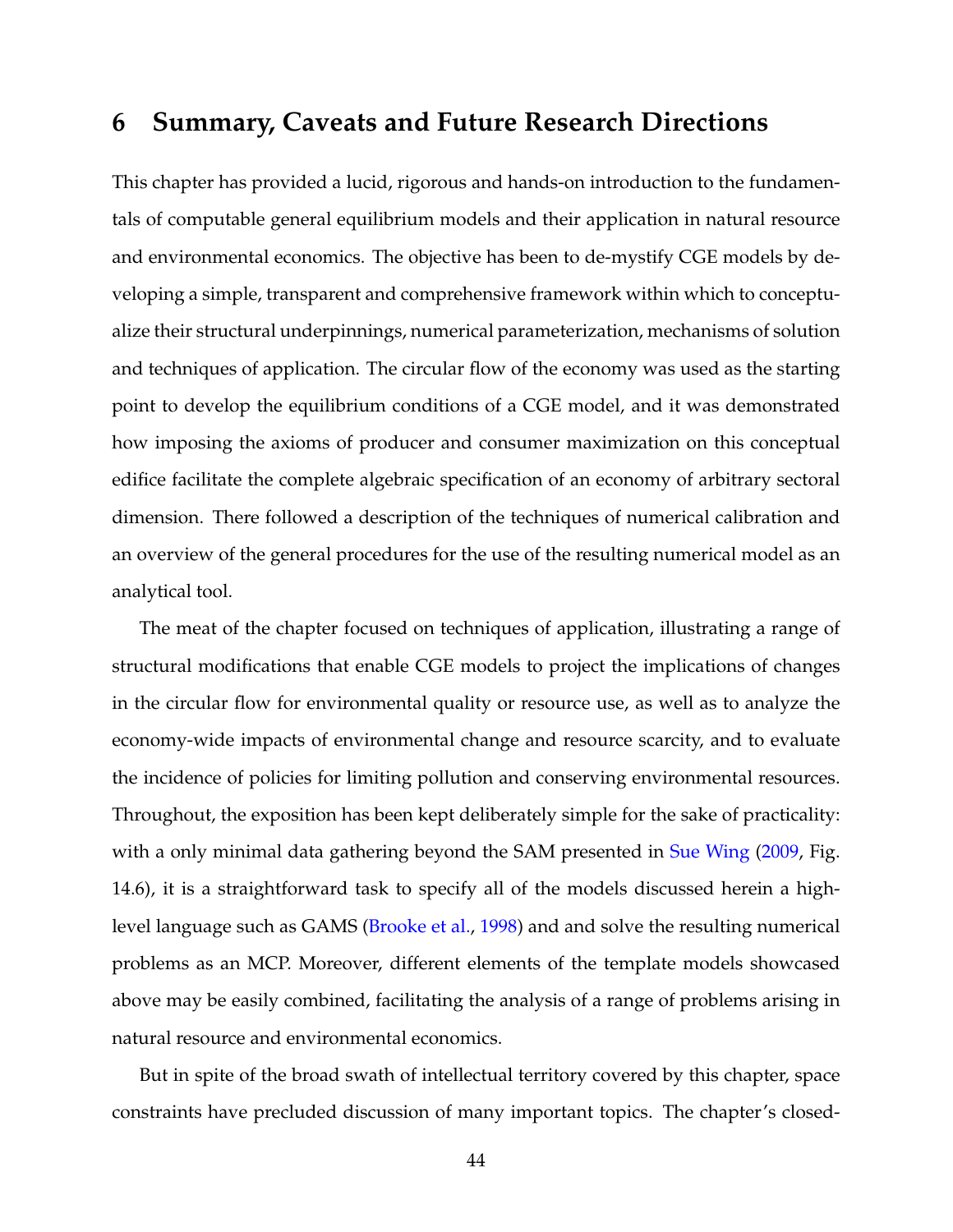## <span id="page-43-0"></span>**6 Summary, Caveats and Future Research Directions**

This chapter has provided a lucid, rigorous and hands-on introduction to the fundamentals of computable general equilibrium models and their application in natural resource and environmental economics. The objective has been to de-mystify CGE models by developing a simple, transparent and comprehensive framework within which to conceptualize their structural underpinnings, numerical parameterization, mechanisms of solution and techniques of application. The circular flow of the economy was used as the starting point to develop the equilibrium conditions of a CGE model, and it was demonstrated how imposing the axioms of producer and consumer maximization on this conceptual edifice facilitate the complete algebraic specification of an economy of arbitrary sectoral dimension. There followed a description of the techniques of numerical calibration and an overview of the general procedures for the use of the resulting numerical model as an analytical tool.

The meat of the chapter focused on techniques of application, illustrating a range of structural modifications that enable CGE models to project the implications of changes in the circular flow for environmental quality or resource use, as well as to analyze the economy-wide impacts of environmental change and resource scarcity, and to evaluate the incidence of policies for limiting pollution and conserving environmental resources. Throughout, the exposition has been kept deliberately simple for the sake of practicality: with a only minimal data gathering beyond the SAM presented in [Sue Wing](#page-61-5) [\(2009,](#page-61-5) Fig. 14.6), it is a straightforward task to specify all of the models discussed herein a highlevel language such as GAMS [\(Brooke et al.,](#page-52-8) [1998\)](#page-52-8) and and solve the resulting numerical problems as an MCP. Moreover, different elements of the template models showcased above may be easily combined, facilitating the analysis of a range of problems arising in natural resource and environmental economics.

But in spite of the broad swath of intellectual territory covered by this chapter, space constraints have precluded discussion of many important topics. The chapter's closed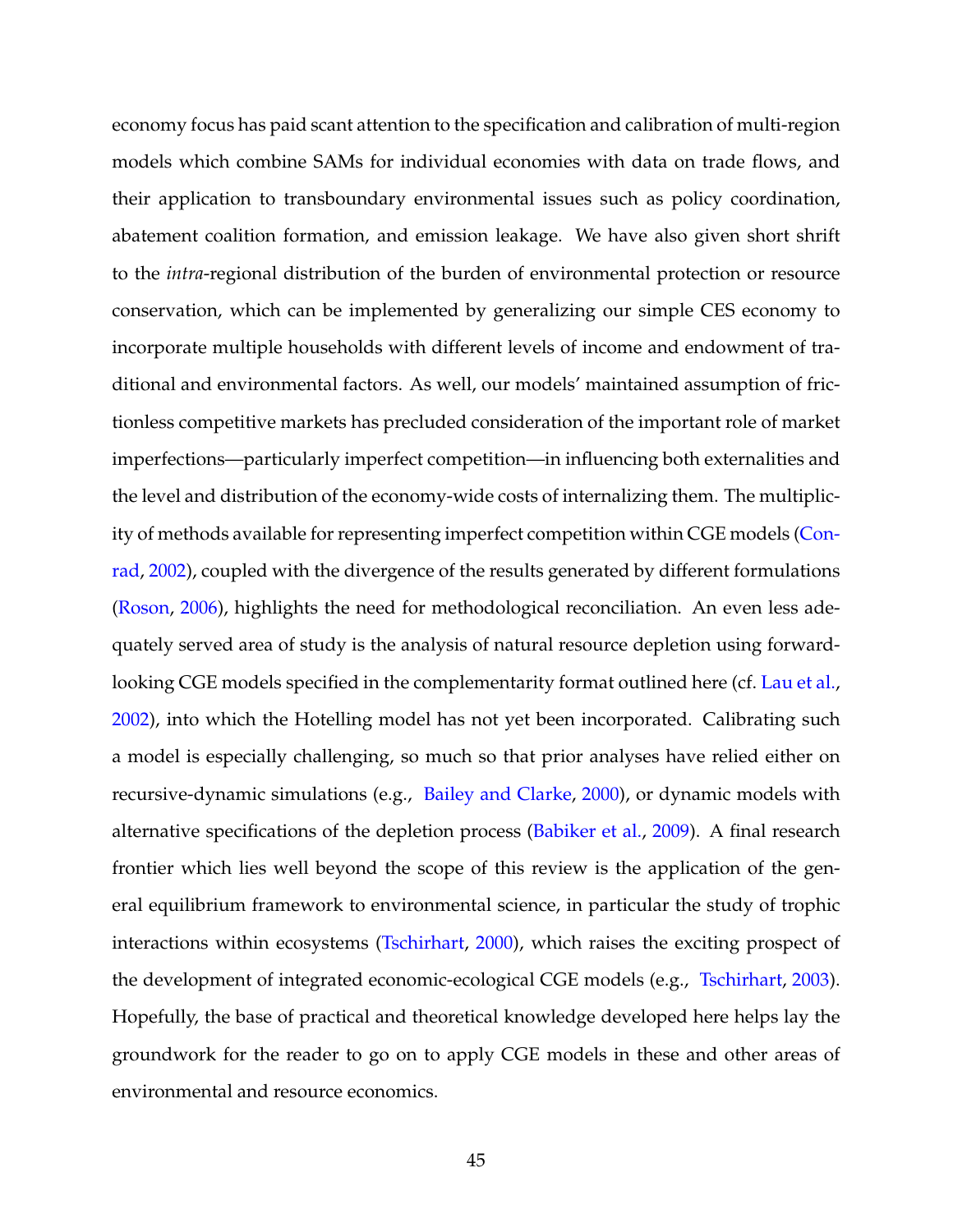economy focus has paid scant attention to the specification and calibration of multi-region models which combine SAMs for individual economies with data on trade flows, and their application to transboundary environmental issues such as policy coordination, abatement coalition formation, and emission leakage. We have also given short shrift to the *intra*-regional distribution of the burden of environmental protection or resource conservation, which can be implemented by generalizing our simple CES economy to incorporate multiple households with different levels of income and endowment of traditional and environmental factors. As well, our models' maintained assumption of frictionless competitive markets has precluded consideration of the important role of market imperfections—particularly imperfect competition—in influencing both externalities and the level and distribution of the economy-wide costs of internalizing them. The multiplicity of methods available for representing imperfect competition within CGE models [\(Con](#page-52-0)[rad,](#page-52-0) [2002\)](#page-52-0), coupled with the divergence of the results generated by different formulations [\(Roson,](#page-60-8) [2006\)](#page-60-8), highlights the need for methodological reconciliation. An even less adequately served area of study is the analysis of natural resource depletion using forward-looking CGE models specified in the complementarity format outlined here (cf. [Lau et al.,](#page-57-8) [2002\)](#page-57-8), into which the Hotelling model has not yet been incorporated. Calibrating such a model is especially challenging, so much so that prior analyses have relied either on recursive-dynamic simulations (e.g., [Bailey and Clarke,](#page-49-8) [2000\)](#page-49-8), or dynamic models with alternative specifications of the depletion process [\(Babiker et al.,](#page-49-9) [2009\)](#page-49-9). A final research frontier which lies well beyond the scope of this review is the application of the general equilibrium framework to environmental science, in particular the study of trophic interactions within ecosystems [\(Tschirhart,](#page-62-6) [2000\)](#page-62-6), which raises the exciting prospect of the development of integrated economic-ecological CGE models (e.g., [Tschirhart,](#page-62-8) [2003\)](#page-62-8). Hopefully, the base of practical and theoretical knowledge developed here helps lay the groundwork for the reader to go on to apply CGE models in these and other areas of environmental and resource economics.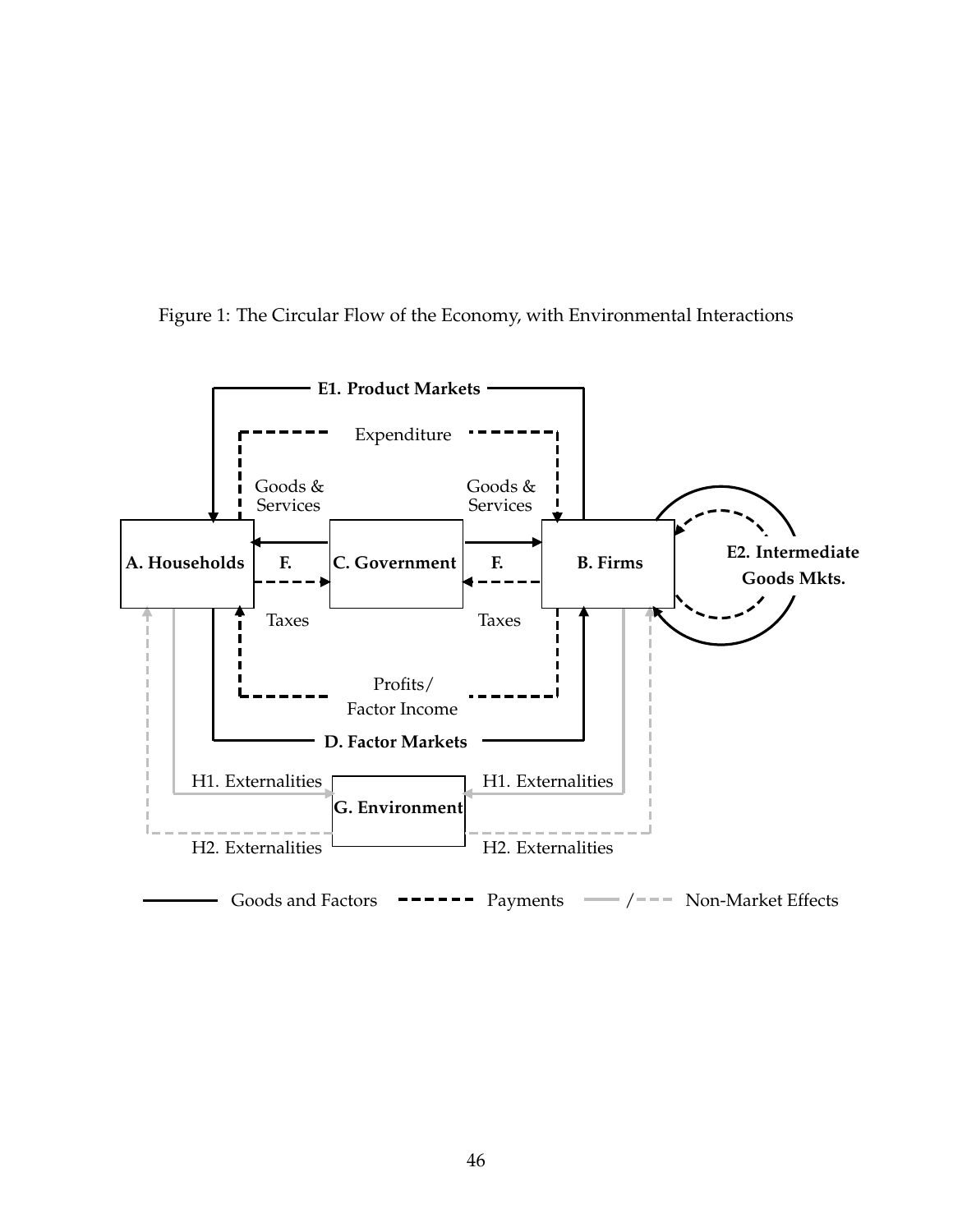<span id="page-45-0"></span>

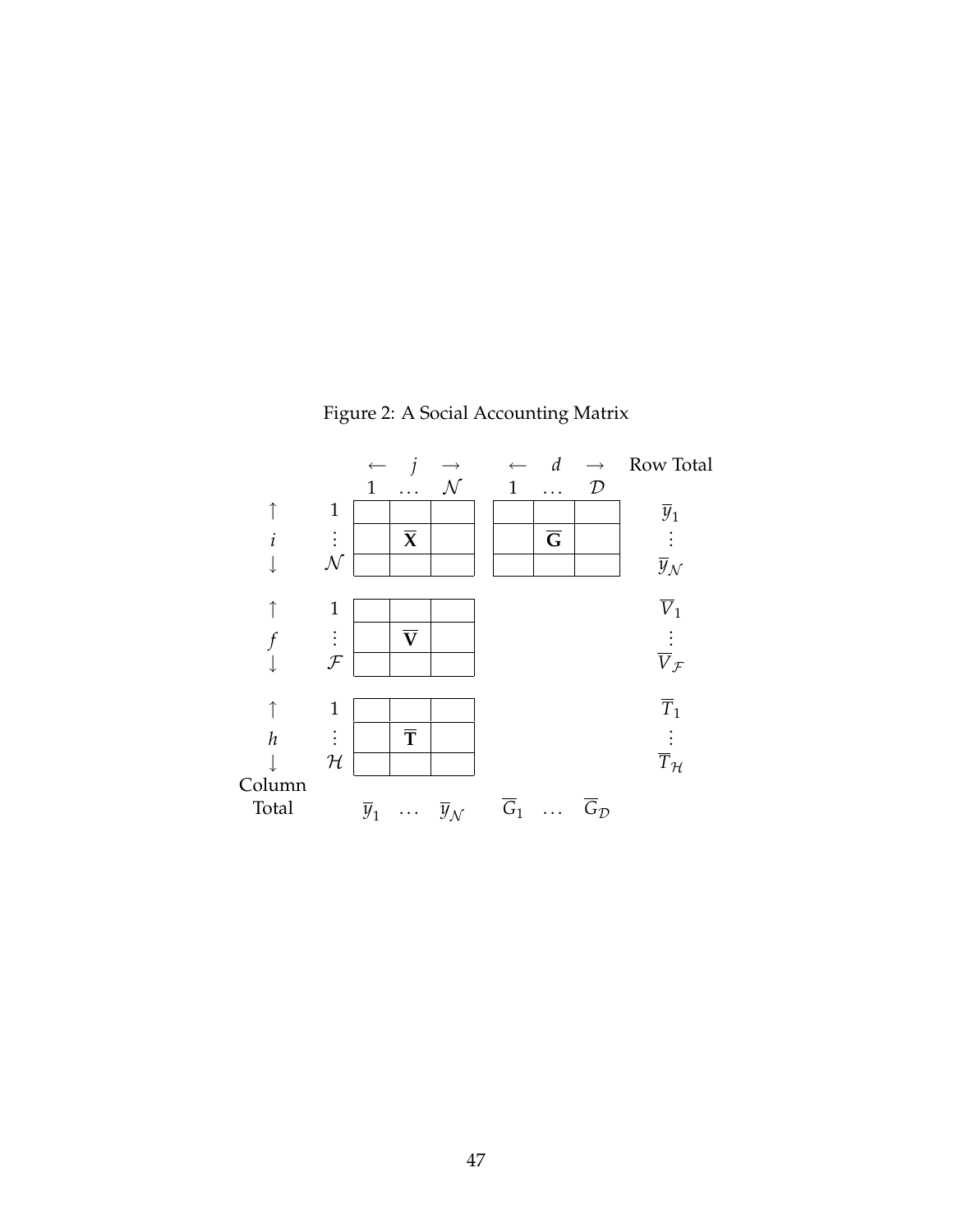<span id="page-46-0"></span>

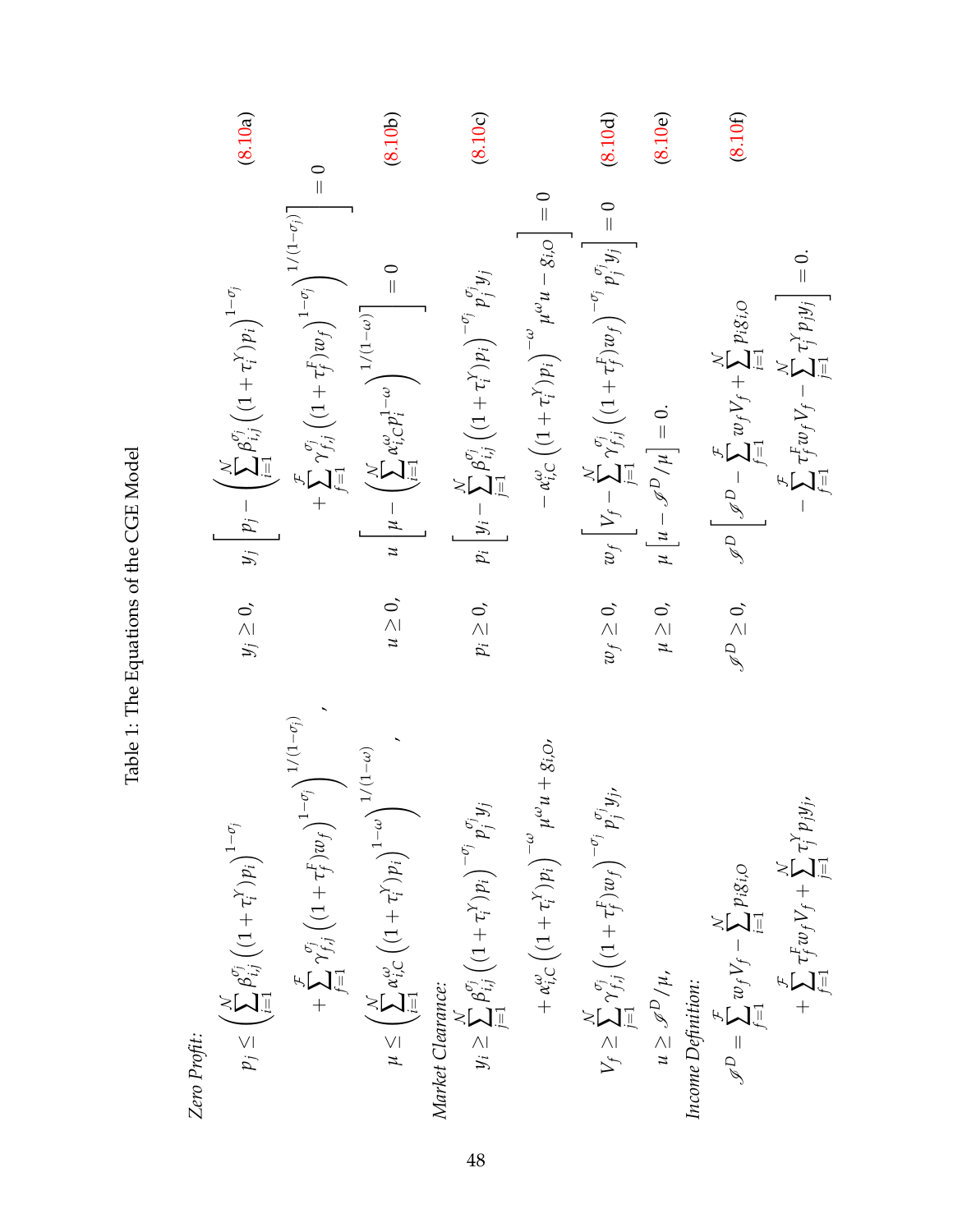<span id="page-47-6"></span><span id="page-47-5"></span><span id="page-47-4"></span><span id="page-47-3"></span><span id="page-47-2"></span><span id="page-47-1"></span><span id="page-47-0"></span>Zero Popfit:

\n
$$
p_{j} \leq \left(\sum_{i=1}^{N} \beta_{ij}^{p_{j}} \left( (1+\tau_{i}^{p}) p_{i} \right)^{1-q_{j}}
$$
\n
$$
p_{j} \leq \left(\sum_{i=1}^{N} \beta_{ij}^{p_{j}} \left( (1+\tau_{i}^{p}) p_{i} \right)^{1-q_{j}}
$$
\n
$$
+ \sum_{j=1}^{p} \gamma_{ij}^{p_{j}} \left( (1+\tau_{j}^{p}) p_{j} \right)^{1-q_{j}}
$$
\nMaxet Cderamence:

\n
$$
w \geq 0, \quad w \left[ w - \left( \sum_{i=1}^{N} \beta_{ij}^{p_{ij}} \left( (1+\tau_{i}^{p}) p_{j} \right)^{1/q_{j}} \right] = 0
$$
\nMaxet Cderamence:

\n
$$
y_{i} \geq \sum_{j=1}^{N} \beta_{ij}^{p_{j}} \left( (1+\tau_{i}^{p}) p_{j} \right)^{1-q_{j}} p_{j}^{p_{j}} y_{j}
$$
\n
$$
y_{i} \geq \sum_{j=1}^{N} \beta_{ij}^{p_{j}} \left( (1+\tau_{i}^{p}) p_{j} \right)^{1-q_{j}} p_{j}^{p_{j}} y_{j}
$$
\n
$$
y_{j} \geq \sum_{j=1}^{N} \beta_{ij}^{p_{j}} \left( (1+\tau_{i}^{p}) p_{j} \right)^{1/q_{j}} p_{j}^{p_{j}} y_{j}
$$
\n
$$
w \geq 0, \quad w \left[ w - \phi_{ij}^{p_{ij}} \left( (1+\tau_{i}^{p}) p_{j} \right)^{-q_{j}} p_{j}^{p_{j}} y_{j} \right]
$$
\n
$$
w \geq 0, \quad w \left[ w - \phi_{ij}^{p_{ij}} \left( (1+\tau_{i}^{p}) p_{j} \right)^{-q_{j}} p_{j}^{p_{j}} y_{j} \right]
$$
\nExample 0: (8.10a)

\nExample 1: (1.11b)

\n
$$
w \geq \sum_{j=1}^{N} \beta_{ij}^{p_{ij}} \left( (1+\tau_{i}^{p}) p_{j} \right)^{1-q_{j}}
$$
\n

Table 1: The Equations of the CGE Model Table 1: The Equations of the CGE Model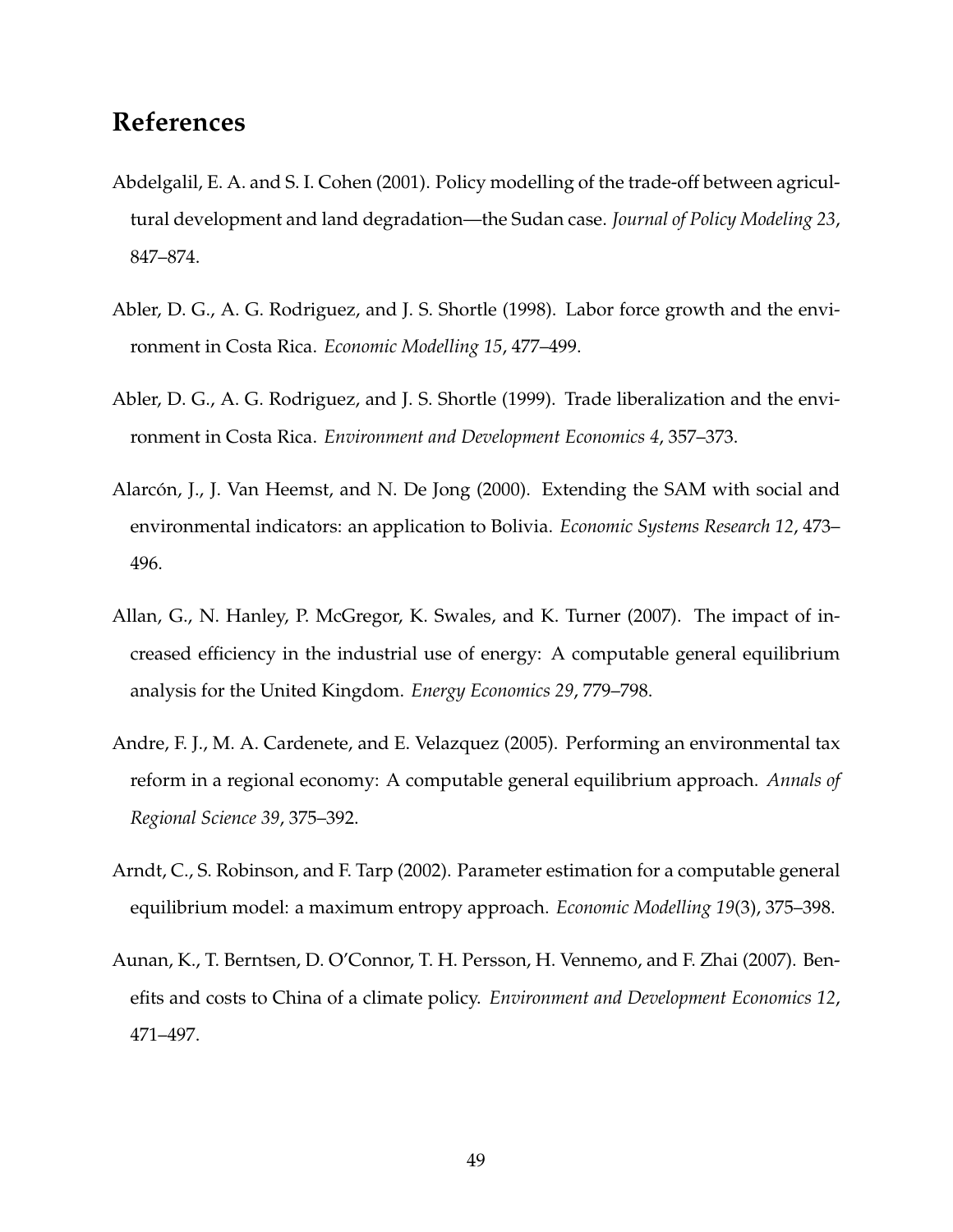## **References**

- <span id="page-48-2"></span>Abdelgalil, E. A. and S. I. Cohen (2001). Policy modelling of the trade-off between agricultural development and land degradation—the Sudan case. *Journal of Policy Modeling 23*, 847–874.
- <span id="page-48-1"></span>Abler, D. G., A. G. Rodriguez, and J. S. Shortle (1998). Labor force growth and the environment in Costa Rica. *Economic Modelling 15*, 477–499.
- <span id="page-48-0"></span>Abler, D. G., A. G. Rodriguez, and J. S. Shortle (1999). Trade liberalization and the environment in Costa Rica. *Environment and Development Economics 4*, 357–373.
- <span id="page-48-7"></span>Alarcón, J., J. Van Heemst, and N. De Jong (2000). Extending the SAM with social and environmental indicators: an application to Bolivia. *Economic Systems Research 12*, 473– 496.
- <span id="page-48-4"></span>Allan, G., N. Hanley, P. McGregor, K. Swales, and K. Turner (2007). The impact of increased efficiency in the industrial use of energy: A computable general equilibrium analysis for the United Kingdom. *Energy Economics 29*, 779–798.
- <span id="page-48-3"></span>Andre, F. J., M. A. Cardenete, and E. Velazquez (2005). Performing an environmental tax reform in a regional economy: A computable general equilibrium approach. *Annals of Regional Science 39*, 375–392.
- <span id="page-48-6"></span>Arndt, C., S. Robinson, and F. Tarp (2002). Parameter estimation for a computable general equilibrium model: a maximum entropy approach. *Economic Modelling 19*(3), 375–398.
- <span id="page-48-5"></span>Aunan, K., T. Berntsen, D. O'Connor, T. H. Persson, H. Vennemo, and F. Zhai (2007). Benefits and costs to China of a climate policy. *Environment and Development Economics 12*, 471–497.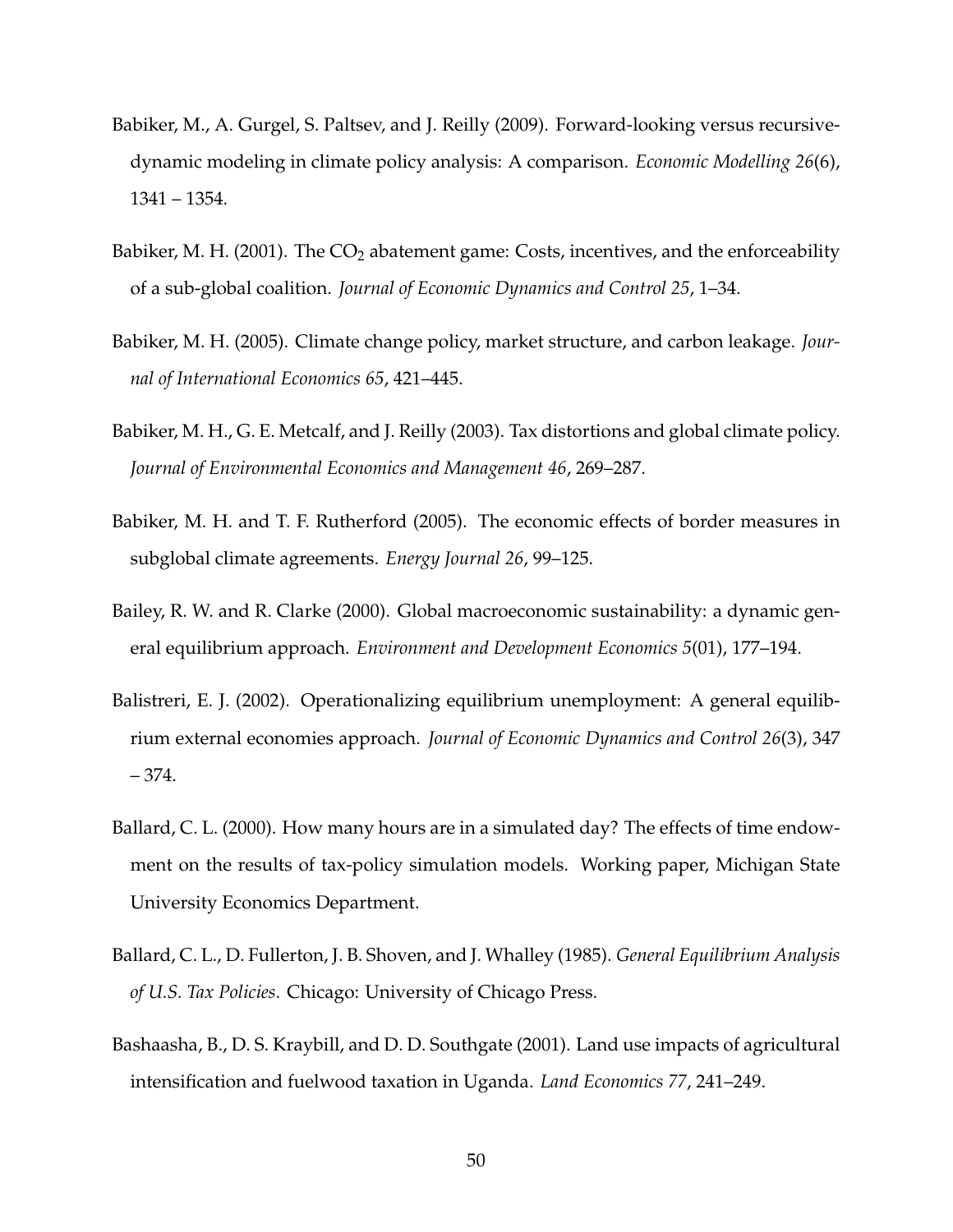- <span id="page-49-9"></span>Babiker, M., A. Gurgel, S. Paltsev, and J. Reilly (2009). Forward-looking versus recursivedynamic modeling in climate policy analysis: A comparison. *Economic Modelling 26*(6), 1341 – 1354.
- <span id="page-49-4"></span>Babiker, M. H. (2001). The  $CO<sub>2</sub>$  abatement game: Costs, incentives, and the enforceability of a sub-global coalition. *Journal of Economic Dynamics and Control 25*, 1–34.
- <span id="page-49-2"></span>Babiker, M. H. (2005). Climate change policy, market structure, and carbon leakage. *Journal of International Economics 65*, 421–445.
- <span id="page-49-1"></span>Babiker, M. H., G. E. Metcalf, and J. Reilly (2003). Tax distortions and global climate policy. *Journal of Environmental Economics and Management 46*, 269–287.
- <span id="page-49-3"></span>Babiker, M. H. and T. F. Rutherford (2005). The economic effects of border measures in subglobal climate agreements. *Energy Journal 26*, 99–125.
- <span id="page-49-8"></span>Bailey, R. W. and R. Clarke (2000). Global macroeconomic sustainability: a dynamic general equilibrium approach. *Environment and Development Economics 5*(01), 177–194.
- <span id="page-49-7"></span>Balistreri, E. J. (2002). Operationalizing equilibrium unemployment: A general equilibrium external economies approach. *Journal of Economic Dynamics and Control 26*(3), 347 – 374.
- <span id="page-49-6"></span>Ballard, C. L. (2000). How many hours are in a simulated day? The effects of time endowment on the results of tax-policy simulation models. Working paper, Michigan State University Economics Department.
- <span id="page-49-5"></span>Ballard, C. L., D. Fullerton, J. B. Shoven, and J. Whalley (1985). *General Equilibrium Analysis of U.S. Tax Policies*. Chicago: University of Chicago Press.
- <span id="page-49-0"></span>Bashaasha, B., D. S. Kraybill, and D. D. Southgate (2001). Land use impacts of agricultural intensification and fuelwood taxation in Uganda. *Land Economics 77*, 241–249.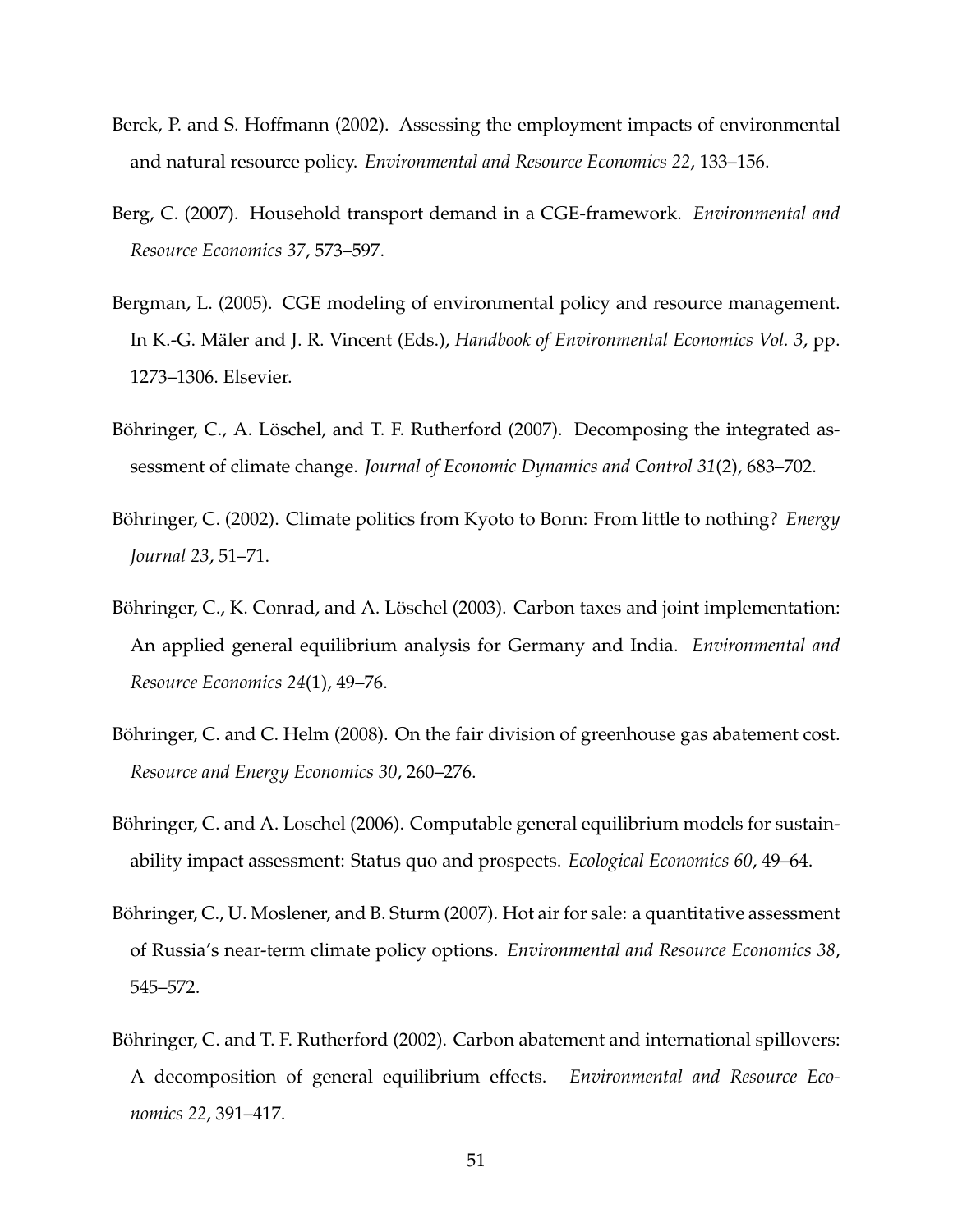- <span id="page-50-2"></span>Berck, P. and S. Hoffmann (2002). Assessing the employment impacts of environmental and natural resource policy. *Environmental and Resource Economics 22*, 133–156.
- <span id="page-50-3"></span>Berg, C. (2007). Household transport demand in a CGE-framework. *Environmental and Resource Economics 37*, 573–597.
- <span id="page-50-0"></span>Bergman, L. (2005). CGE modeling of environmental policy and resource management. In K.-G. Mäler and J. R. Vincent (Eds.), *Handbook of Environmental Economics Vol. 3*, pp. 1273–1306. Elsevier.
- <span id="page-50-9"></span>Böhringer, C., A. Löschel, and T. F. Rutherford (2007). Decomposing the integrated assessment of climate change. *Journal of Economic Dynamics and Control 31*(2), 683–702.
- <span id="page-50-5"></span>Böhringer, C. (2002). Climate politics from Kyoto to Bonn: From little to nothing? *Energy Journal 23*, 51–71.
- <span id="page-50-6"></span>Böhringer, C., K. Conrad, and A. Löschel (2003). Carbon taxes and joint implementation: An applied general equilibrium analysis for Germany and India. *Environmental and Resource Economics 24*(1), 49–76.
- <span id="page-50-8"></span>Böhringer, C. and C. Helm (2008). On the fair division of greenhouse gas abatement cost. *Resource and Energy Economics 30*, 260–276.
- <span id="page-50-1"></span>Böhringer, C. and A. Loschel (2006). Computable general equilibrium models for sustainability impact assessment: Status quo and prospects. *Ecological Economics 60*, 49–64.
- <span id="page-50-7"></span>Böhringer, C., U. Moslener, and B. Sturm (2007). Hot air for sale: a quantitative assessment of Russia's near-term climate policy options. *Environmental and Resource Economics 38*, 545–572.
- <span id="page-50-4"></span>Böhringer, C. and T. F. Rutherford (2002). Carbon abatement and international spillovers: A decomposition of general equilibrium effects. *Environmental and Resource Economics 22*, 391–417.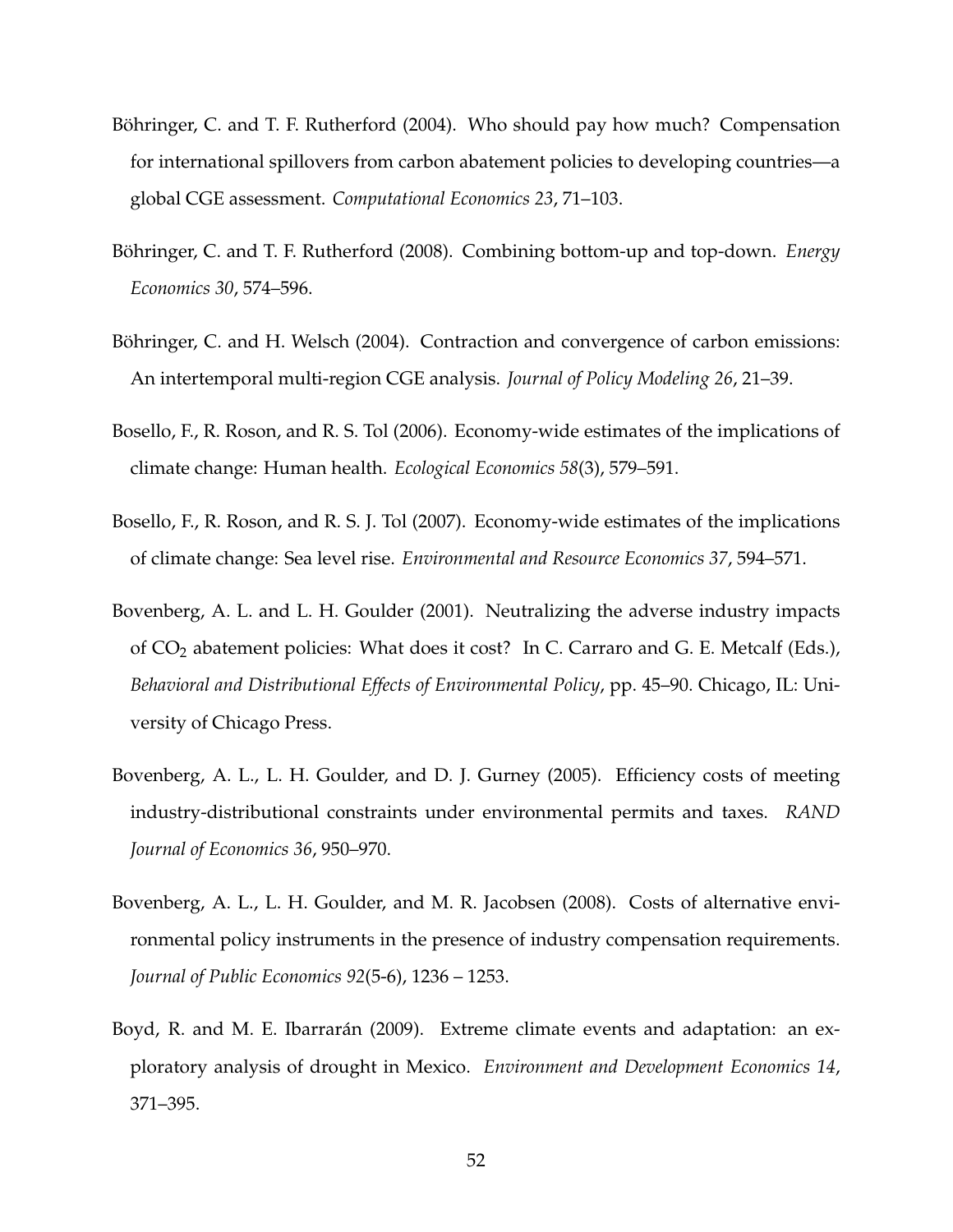- <span id="page-51-2"></span>Böhringer, C. and T. F. Rutherford (2004). Who should pay how much? Compensation for international spillovers from carbon abatement policies to developing countries—a global CGE assessment. *Computational Economics 23*, 71–103.
- <span id="page-51-8"></span>Böhringer, C. and T. F. Rutherford (2008). Combining bottom-up and top-down. *Energy Economics 30*, 574–596.
- <span id="page-51-3"></span>Böhringer, C. and H. Welsch (2004). Contraction and convergence of carbon emissions: An intertemporal multi-region CGE analysis. *Journal of Policy Modeling 26*, 21–39.
- <span id="page-51-5"></span>Bosello, F., R. Roson, and R. S. Tol (2006). Economy-wide estimates of the implications of climate change: Human health. *Ecological Economics 58*(3), 579–591.
- <span id="page-51-6"></span>Bosello, F., R. Roson, and R. S. J. Tol (2007). Economy-wide estimates of the implications of climate change: Sea level rise. *Environmental and Resource Economics 37*, 594–571.
- <span id="page-51-0"></span>Bovenberg, A. L. and L. H. Goulder (2001). Neutralizing the adverse industry impacts of  $CO<sub>2</sub>$  abatement policies: What does it cost? In C. Carraro and G. E. Metcalf (Eds.), *Behavioral and Distributional Effects of Environmental Policy*, pp. 45–90. Chicago, IL: University of Chicago Press.
- <span id="page-51-1"></span>Bovenberg, A. L., L. H. Goulder, and D. J. Gurney (2005). Efficiency costs of meeting industry-distributional constraints under environmental permits and taxes. *RAND Journal of Economics 36*, 950–970.
- <span id="page-51-4"></span>Bovenberg, A. L., L. H. Goulder, and M. R. Jacobsen (2008). Costs of alternative environmental policy instruments in the presence of industry compensation requirements. *Journal of Public Economics 92*(5-6), 1236 – 1253.
- <span id="page-51-7"></span>Boyd, R. and M. E. Ibarrarán (2009). Extreme climate events and adaptation: an exploratory analysis of drought in Mexico. *Environment and Development Economics 14*, 371–395.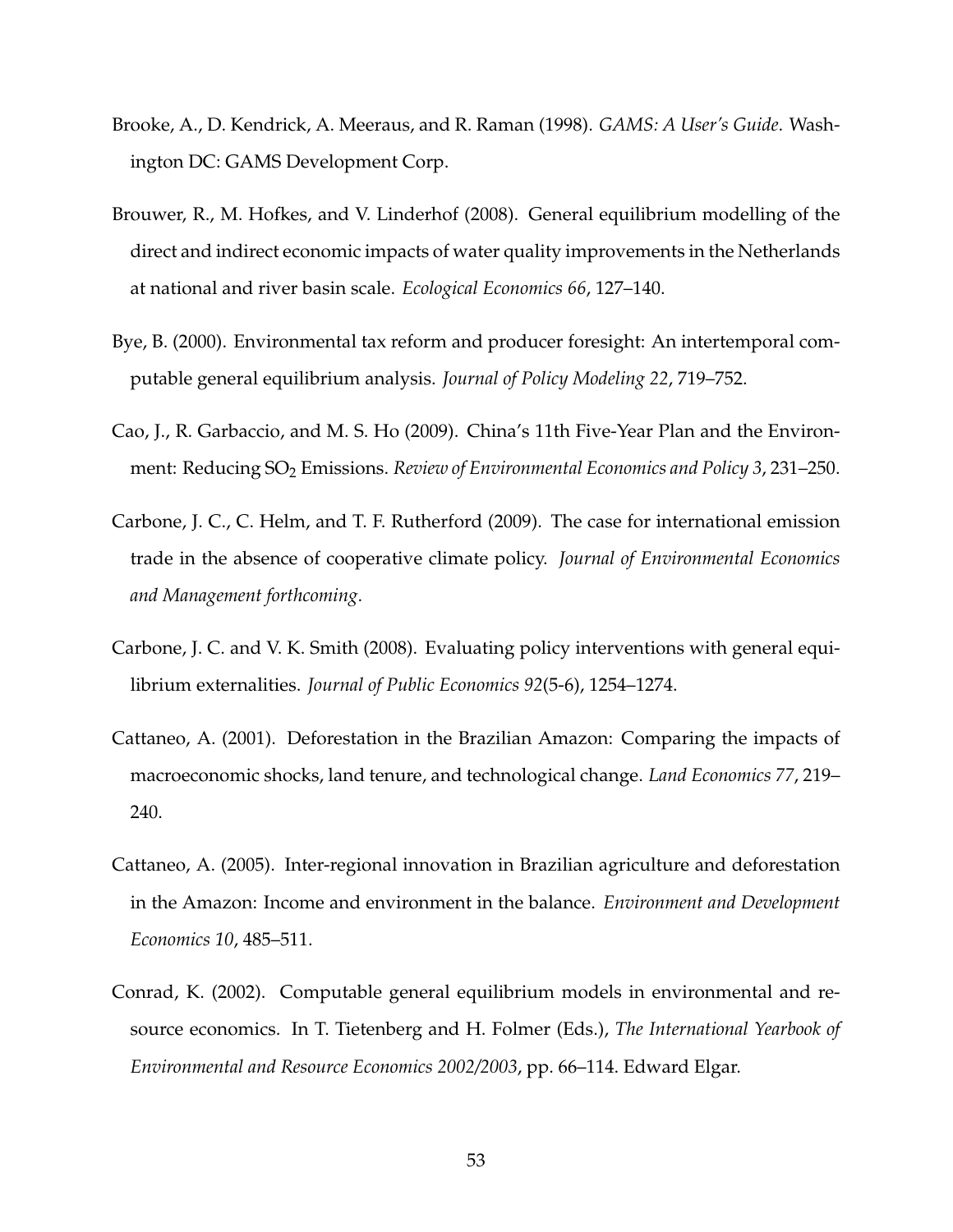- <span id="page-52-8"></span>Brooke, A., D. Kendrick, A. Meeraus, and R. Raman (1998). *GAMS: A User's Guide*. Washington DC: GAMS Development Corp.
- <span id="page-52-1"></span>Brouwer, R., M. Hofkes, and V. Linderhof (2008). General equilibrium modelling of the direct and indirect economic impacts of water quality improvements in the Netherlands at national and river basin scale. *Ecological Economics 66*, 127–140.
- <span id="page-52-5"></span>Bye, B. (2000). Environmental tax reform and producer foresight: An intertemporal computable general equilibrium analysis. *Journal of Policy Modeling 22*, 719–752.
- <span id="page-52-4"></span>Cao, J., R. Garbaccio, and M. S. Ho (2009). China's 11th Five-Year Plan and the Environment: Reducing SO<sup>2</sup> Emissions. *Review of Environmental Economics and Policy 3*, 231–250.
- <span id="page-52-6"></span>Carbone, J. C., C. Helm, and T. F. Rutherford (2009). The case for international emission trade in the absence of cooperative climate policy. *Journal of Environmental Economics and Management forthcoming*.
- <span id="page-52-7"></span>Carbone, J. C. and V. K. Smith (2008). Evaluating policy interventions with general equilibrium externalities. *Journal of Public Economics 92*(5-6), 1254–1274.
- <span id="page-52-2"></span>Cattaneo, A. (2001). Deforestation in the Brazilian Amazon: Comparing the impacts of macroeconomic shocks, land tenure, and technological change. *Land Economics 77*, 219– 240.
- <span id="page-52-3"></span>Cattaneo, A. (2005). Inter-regional innovation in Brazilian agriculture and deforestation in the Amazon: Income and environment in the balance. *Environment and Development Economics 10*, 485–511.
- <span id="page-52-0"></span>Conrad, K. (2002). Computable general equilibrium models in environmental and resource economics. In T. Tietenberg and H. Folmer (Eds.), *The International Yearbook of Environmental and Resource Economics 2002/2003*, pp. 66–114. Edward Elgar.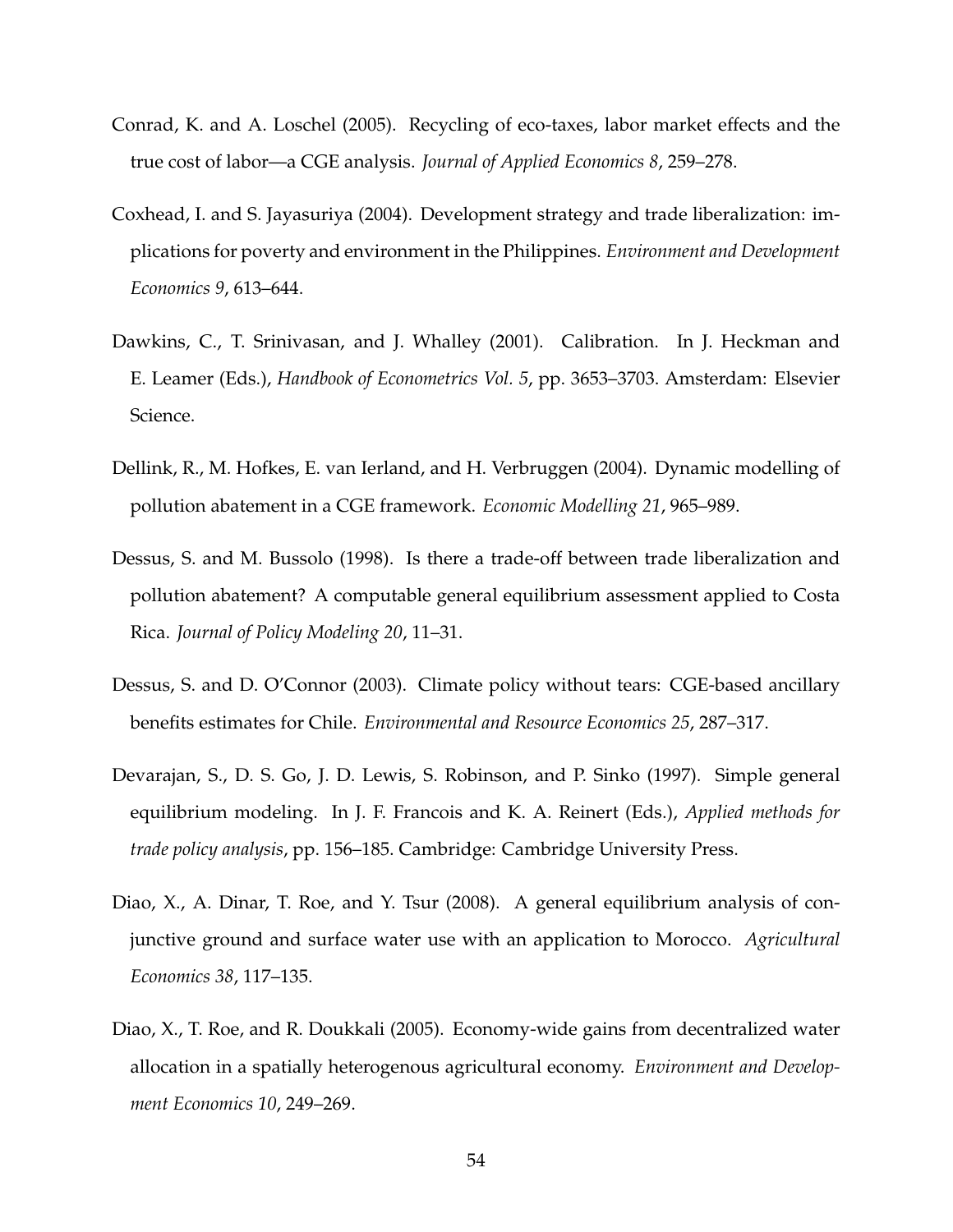- <span id="page-53-4"></span>Conrad, K. and A. Loschel (2005). Recycling of eco-taxes, labor market effects and the true cost of labor—a CGE analysis. *Journal of Applied Economics 8*, 259–278.
- <span id="page-53-1"></span>Coxhead, I. and S. Jayasuriya (2004). Development strategy and trade liberalization: implications for poverty and environment in the Philippines. *Environment and Development Economics 9*, 613–644.
- <span id="page-53-8"></span>Dawkins, C., T. Srinivasan, and J. Whalley (2001). Calibration. In J. Heckman and E. Leamer (Eds.), *Handbook of Econometrics Vol. 5*, pp. 3653–3703. Amsterdam: Elsevier Science.
- <span id="page-53-5"></span>Dellink, R., M. Hofkes, E. van Ierland, and H. Verbruggen (2004). Dynamic modelling of pollution abatement in a CGE framework. *Economic Modelling 21*, 965–989.
- <span id="page-53-0"></span>Dessus, S. and M. Bussolo (1998). Is there a trade-off between trade liberalization and pollution abatement? A computable general equilibrium assessment applied to Costa Rica. *Journal of Policy Modeling 20*, 11–31.
- <span id="page-53-6"></span>Dessus, S. and D. O'Connor (2003). Climate policy without tears: CGE-based ancillary benefits estimates for Chile. *Environmental and Resource Economics 25*, 287–317.
- <span id="page-53-7"></span>Devarajan, S., D. S. Go, J. D. Lewis, S. Robinson, and P. Sinko (1997). Simple general equilibrium modeling. In J. F. Francois and K. A. Reinert (Eds.), *Applied methods for trade policy analysis*, pp. 156–185. Cambridge: Cambridge University Press.
- <span id="page-53-3"></span>Diao, X., A. Dinar, T. Roe, and Y. Tsur (2008). A general equilibrium analysis of conjunctive ground and surface water use with an application to Morocco. *Agricultural Economics 38*, 117–135.
- <span id="page-53-2"></span>Diao, X., T. Roe, and R. Doukkali (2005). Economy-wide gains from decentralized water allocation in a spatially heterogenous agricultural economy. *Environment and Development Economics 10*, 249–269.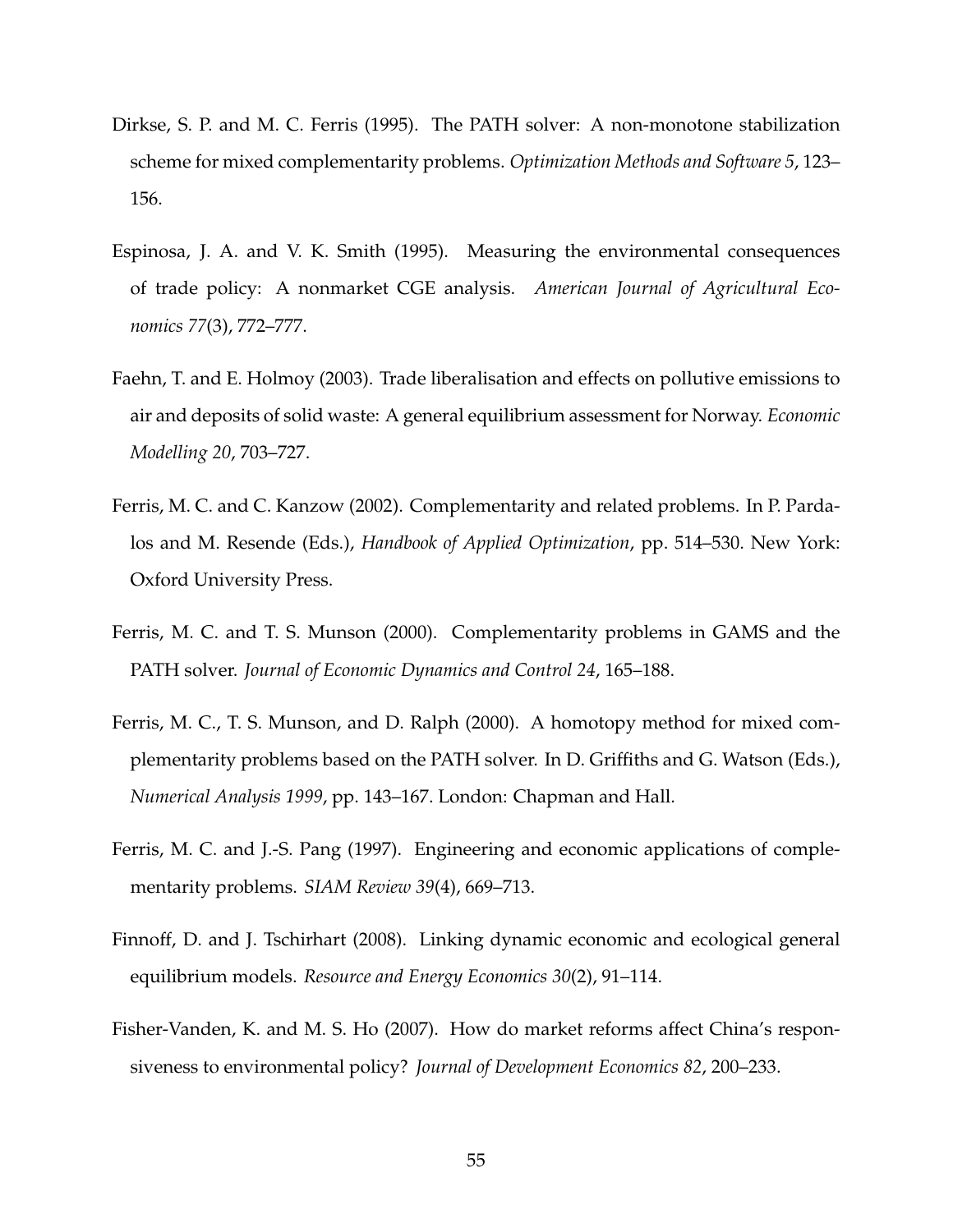- <span id="page-54-5"></span>Dirkse, S. P. and M. C. Ferris (1995). The PATH solver: A non-monotone stabilization scheme for mixed complementarity problems. *Optimization Methods and Software 5*, 123– 156.
- <span id="page-54-8"></span>Espinosa, J. A. and V. K. Smith (1995). Measuring the environmental consequences of trade policy: A nonmarket CGE analysis. *American Journal of Agricultural Economics 77*(3), 772–777.
- <span id="page-54-0"></span>Faehn, T. and E. Holmoy (2003). Trade liberalisation and effects on pollutive emissions to air and deposits of solid waste: A general equilibrium assessment for Norway. *Economic Modelling 20*, 703–727.
- <span id="page-54-4"></span>Ferris, M. C. and C. Kanzow (2002). Complementarity and related problems. In P. Pardalos and M. Resende (Eds.), *Handbook of Applied Optimization*, pp. 514–530. New York: Oxford University Press.
- <span id="page-54-6"></span>Ferris, M. C. and T. S. Munson (2000). Complementarity problems in GAMS and the PATH solver. *Journal of Economic Dynamics and Control 24*, 165–188.
- <span id="page-54-7"></span>Ferris, M. C., T. S. Munson, and D. Ralph (2000). A homotopy method for mixed complementarity problems based on the PATH solver. In D. Griffiths and G. Watson (Eds.), *Numerical Analysis 1999*, pp. 143–167. London: Chapman and Hall.
- <span id="page-54-3"></span>Ferris, M. C. and J.-S. Pang (1997). Engineering and economic applications of complementarity problems. *SIAM Review 39*(4), 669–713.
- <span id="page-54-2"></span>Finnoff, D. and J. Tschirhart (2008). Linking dynamic economic and ecological general equilibrium models. *Resource and Energy Economics 30*(2), 91–114.
- <span id="page-54-1"></span>Fisher-Vanden, K. and M. S. Ho (2007). How do market reforms affect China's responsiveness to environmental policy? *Journal of Development Economics 82*, 200–233.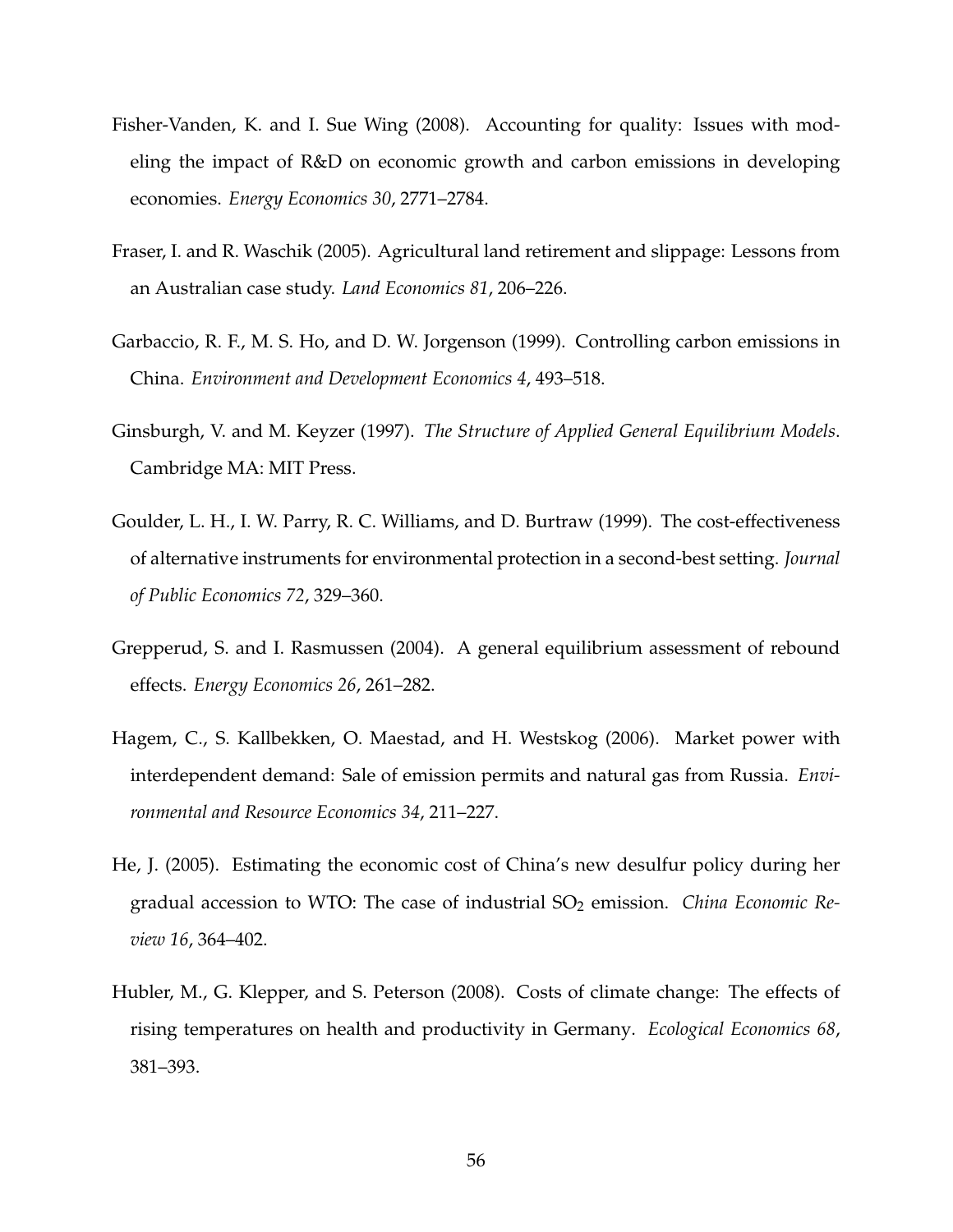- <span id="page-55-4"></span>Fisher-Vanden, K. and I. Sue Wing (2008). Accounting for quality: Issues with modeling the impact of R&D on economic growth and carbon emissions in developing economies. *Energy Economics 30*, 2771–2784.
- <span id="page-55-1"></span>Fraser, I. and R. Waschik (2005). Agricultural land retirement and slippage: Lessons from an Australian case study. *Land Economics 81*, 206–226.
- <span id="page-55-2"></span>Garbaccio, R. F., M. S. Ho, and D. W. Jorgenson (1999). Controlling carbon emissions in China. *Environment and Development Economics 4*, 493–518.
- <span id="page-55-7"></span>Ginsburgh, V. and M. Keyzer (1997). *The Structure of Applied General Equilibrium Models*. Cambridge MA: MIT Press.
- <span id="page-55-8"></span>Goulder, L. H., I. W. Parry, R. C. Williams, and D. Burtraw (1999). The cost-effectiveness of alternative instruments for environmental protection in a second-best setting. *Journal of Public Economics 72*, 329–360.
- <span id="page-55-3"></span>Grepperud, S. and I. Rasmussen (2004). A general equilibrium assessment of rebound effects. *Energy Economics 26*, 261–282.
- <span id="page-55-5"></span>Hagem, C., S. Kallbekken, O. Maestad, and H. Westskog (2006). Market power with interdependent demand: Sale of emission permits and natural gas from Russia. *Environmental and Resource Economics 34*, 211–227.
- <span id="page-55-0"></span>He, J. (2005). Estimating the economic cost of China's new desulfur policy during her gradual accession to WTO: The case of industrial SO<sub>2</sub> emission. *China Economic Review 16*, 364–402.
- <span id="page-55-6"></span>Hubler, M., G. Klepper, and S. Peterson (2008). Costs of climate change: The effects of rising temperatures on health and productivity in Germany. *Ecological Economics 68*, 381–393.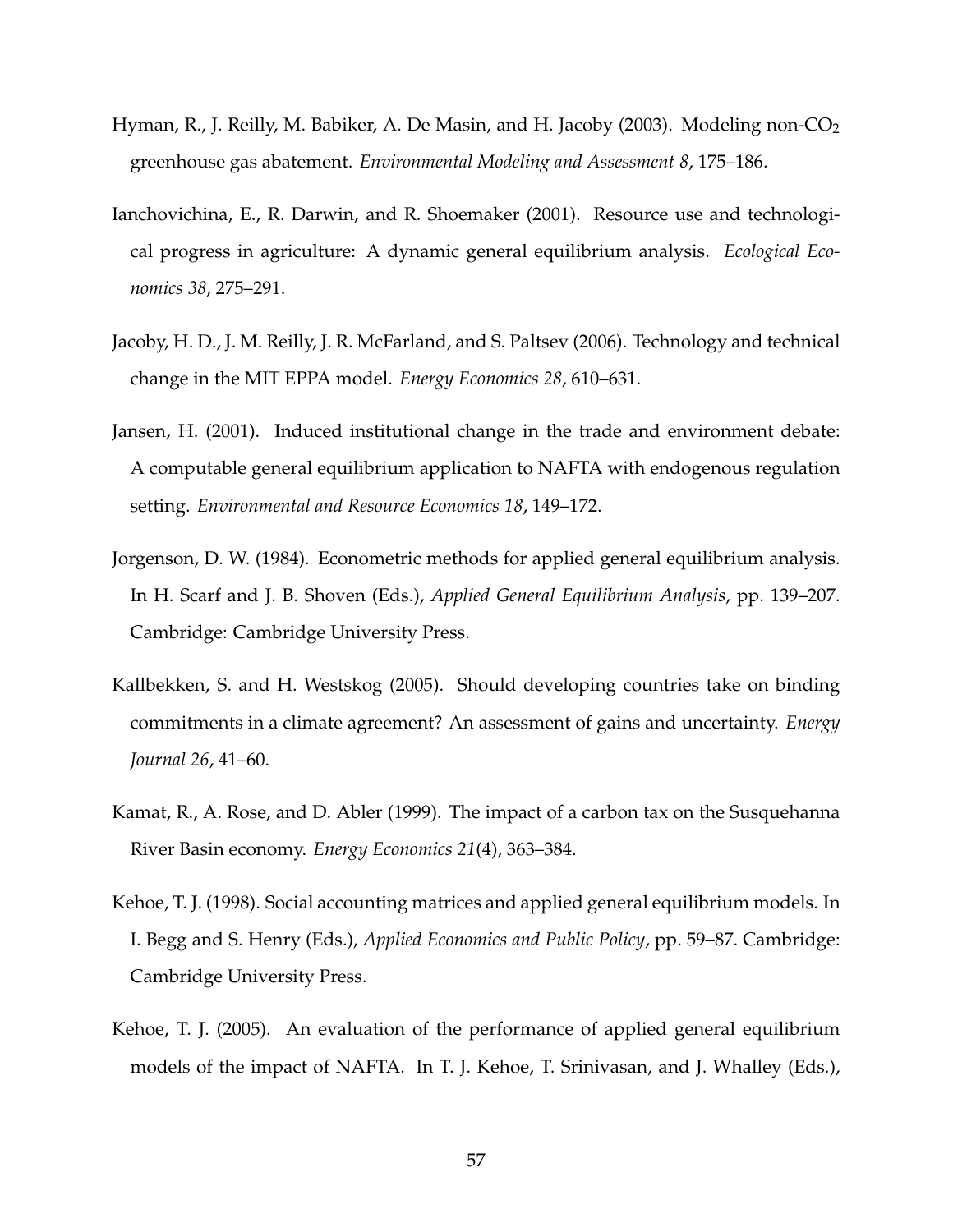- <span id="page-56-8"></span>Hyman, R., J. Reilly, M. Babiker, A. De Masin, and H. Jacoby (2003). Modeling non-CO<sub>2</sub> greenhouse gas abatement. *Environmental Modeling and Assessment 8*, 175–186.
- <span id="page-56-1"></span>Ianchovichina, E., R. Darwin, and R. Shoemaker (2001). Resource use and technological progress in agriculture: A dynamic general equilibrium analysis. *Ecological Economics 38*, 275–291.
- <span id="page-56-3"></span>Jacoby, H. D., J. M. Reilly, J. R. McFarland, and S. Paltsev (2006). Technology and technical change in the MIT EPPA model. *Energy Economics 28*, 610–631.
- <span id="page-56-0"></span>Jansen, H. (2001). Induced institutional change in the trade and environment debate: A computable general equilibrium application to NAFTA with endogenous regulation setting. *Environmental and Resource Economics 18*, 149–172.
- <span id="page-56-6"></span>Jorgenson, D. W. (1984). Econometric methods for applied general equilibrium analysis. In H. Scarf and J. B. Shoven (Eds.), *Applied General Equilibrium Analysis*, pp. 139–207. Cambridge: Cambridge University Press.
- <span id="page-56-4"></span>Kallbekken, S. and H. Westskog (2005). Should developing countries take on binding commitments in a climate agreement? An assessment of gains and uncertainty. *Energy Journal 26*, 41–60.
- <span id="page-56-2"></span>Kamat, R., A. Rose, and D. Abler (1999). The impact of a carbon tax on the Susquehanna River Basin economy. *Energy Economics 21*(4), 363–384.
- <span id="page-56-5"></span>Kehoe, T. J. (1998). Social accounting matrices and applied general equilibrium models. In I. Begg and S. Henry (Eds.), *Applied Economics and Public Policy*, pp. 59–87. Cambridge: Cambridge University Press.
- <span id="page-56-7"></span>Kehoe, T. J. (2005). An evaluation of the performance of applied general equilibrium models of the impact of NAFTA. In T. J. Kehoe, T. Srinivasan, and J. Whalley (Eds.),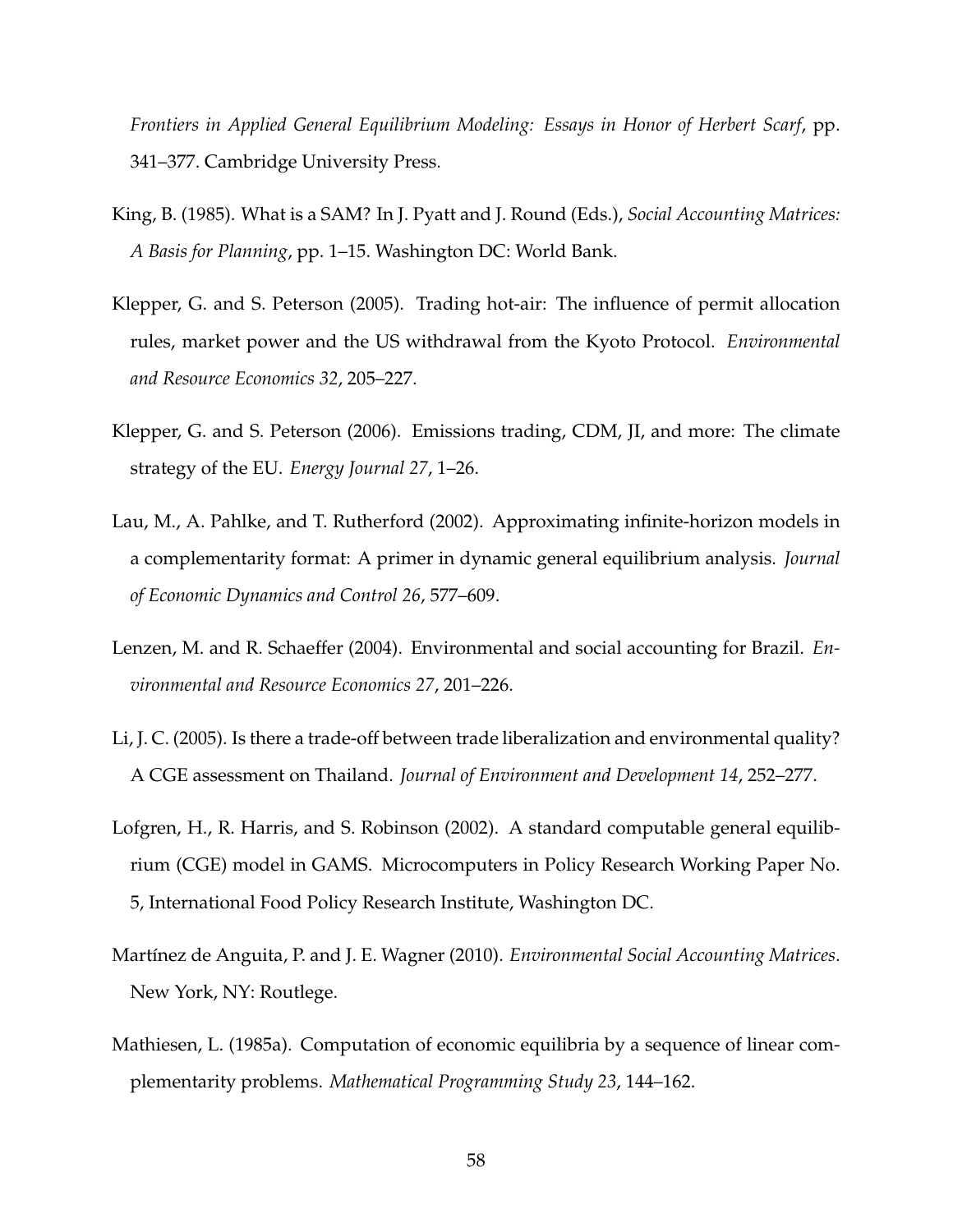*Frontiers in Applied General Equilibrium Modeling: Essays in Honor of Herbert Scarf*, pp. 341–377. Cambridge University Press.

- <span id="page-57-5"></span>King, B. (1985). What is a SAM? In J. Pyatt and J. Round (Eds.), *Social Accounting Matrices: A Basis for Planning*, pp. 1–15. Washington DC: World Bank.
- <span id="page-57-1"></span>Klepper, G. and S. Peterson (2005). Trading hot-air: The influence of permit allocation rules, market power and the US withdrawal from the Kyoto Protocol. *Environmental and Resource Economics 32*, 205–227.
- <span id="page-57-2"></span>Klepper, G. and S. Peterson (2006). Emissions trading, CDM, JI, and more: The climate strategy of the EU. *Energy Journal 27*, 1–26.
- <span id="page-57-8"></span>Lau, M., A. Pahlke, and T. Rutherford (2002). Approximating infinite-horizon models in a complementarity format: A primer in dynamic general equilibrium analysis. *Journal of Economic Dynamics and Control 26*, 577–609.
- <span id="page-57-6"></span>Lenzen, M. and R. Schaeffer (2004). Environmental and social accounting for Brazil. *Environmental and Resource Economics 27*, 201–226.
- <span id="page-57-0"></span>Li, J. C. (2005). Is there a trade-off between trade liberalization and environmental quality? A CGE assessment on Thailand. *Journal of Environment and Development 14*, 252–277.
- <span id="page-57-3"></span>Lofgren, H., R. Harris, and S. Robinson (2002). A standard computable general equilibrium (CGE) model in GAMS. Microcomputers in Policy Research Working Paper No. 5, International Food Policy Research Institute, Washington DC.
- <span id="page-57-7"></span>Martínez de Anguita, P. and J. E. Wagner (2010). *Environmental Social Accounting Matrices*. New York, NY: Routlege.
- <span id="page-57-4"></span>Mathiesen, L. (1985a). Computation of economic equilibria by a sequence of linear complementarity problems. *Mathematical Programming Study 23*, 144–162.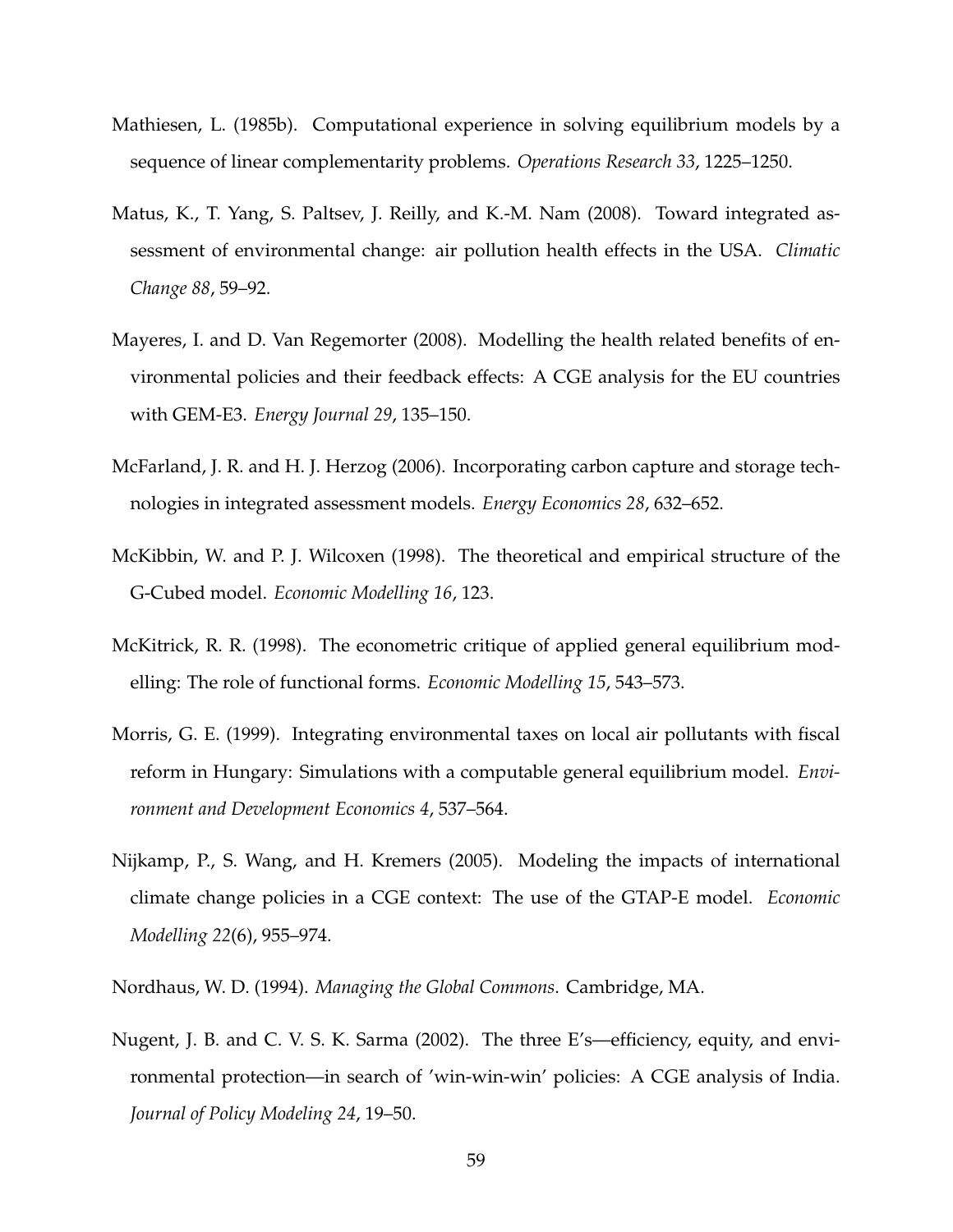- <span id="page-58-7"></span>Mathiesen, L. (1985b). Computational experience in solving equilibrium models by a sequence of linear complementarity problems. *Operations Research 33*, 1225–1250.
- <span id="page-58-4"></span>Matus, K., T. Yang, S. Paltsev, J. Reilly, and K.-M. Nam (2008). Toward integrated assessment of environmental change: air pollution health effects in the USA. *Climatic Change 88*, 59–92.
- <span id="page-58-5"></span>Mayeres, I. and D. Van Regemorter (2008). Modelling the health related benefits of environmental policies and their feedback effects: A CGE analysis for the EU countries with GEM-E3. *Energy Journal 29*, 135–150.
- <span id="page-58-2"></span>McFarland, J. R. and H. J. Herzog (2006). Incorporating carbon capture and storage technologies in integrated assessment models. *Energy Economics 28*, 632–652.
- <span id="page-58-8"></span>McKibbin, W. and P. J. Wilcoxen (1998). The theoretical and empirical structure of the G-Cubed model. *Economic Modelling 16*, 123.
- <span id="page-58-9"></span>McKitrick, R. R. (1998). The econometric critique of applied general equilibrium modelling: The role of functional forms. *Economic Modelling 15*, 543–573.
- <span id="page-58-1"></span>Morris, G. E. (1999). Integrating environmental taxes on local air pollutants with fiscal reform in Hungary: Simulations with a computable general equilibrium model. *Environment and Development Economics 4*, 537–564.
- <span id="page-58-3"></span>Nijkamp, P., S. Wang, and H. Kremers (2005). Modeling the impacts of international climate change policies in a CGE context: The use of the GTAP-E model. *Economic Modelling 22*(6), 955–974.
- <span id="page-58-6"></span>Nordhaus, W. D. (1994). *Managing the Global Commons*. Cambridge, MA.
- <span id="page-58-0"></span>Nugent, J. B. and C. V. S. K. Sarma (2002). The three E's—efficiency, equity, and environmental protection—in search of 'win-win-win' policies: A CGE analysis of India. *Journal of Policy Modeling 24*, 19–50.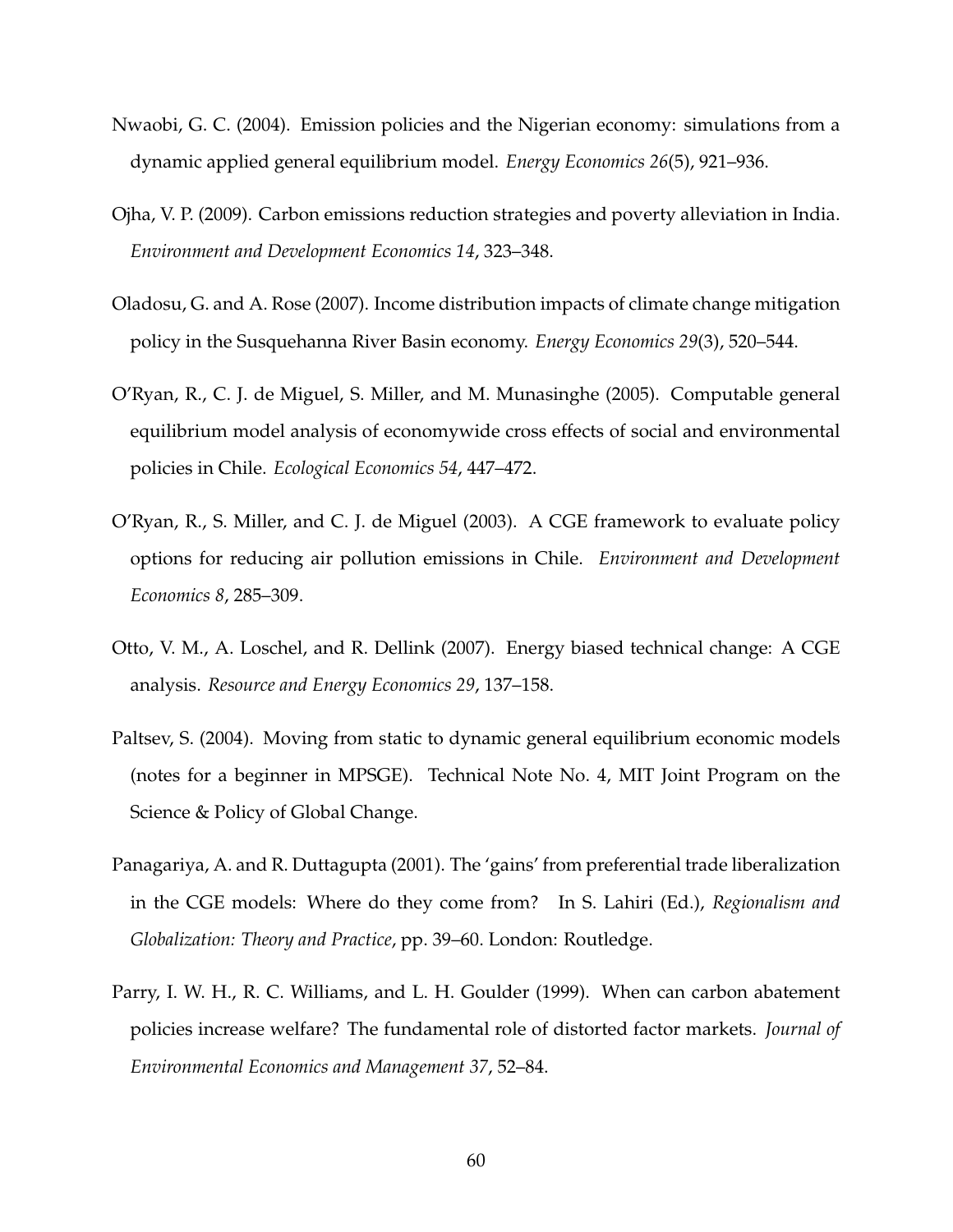- <span id="page-59-2"></span>Nwaobi, G. C. (2004). Emission policies and the Nigerian economy: simulations from a dynamic applied general equilibrium model. *Energy Economics 26*(5), 921–936.
- <span id="page-59-6"></span>Ojha, V. P. (2009). Carbon emissions reduction strategies and poverty alleviation in India. *Environment and Development Economics 14*, 323–348.
- <span id="page-59-5"></span>Oladosu, G. and A. Rose (2007). Income distribution impacts of climate change mitigation policy in the Susquehanna River Basin economy. *Energy Economics 29*(3), 520–544.
- <span id="page-59-1"></span>O'Ryan, R., C. J. de Miguel, S. Miller, and M. Munasinghe (2005). Computable general equilibrium model analysis of economywide cross effects of social and environmental policies in Chile. *Ecological Economics 54*, 447–472.
- <span id="page-59-0"></span>O'Ryan, R., S. Miller, and C. J. de Miguel (2003). A CGE framework to evaluate policy options for reducing air pollution emissions in Chile. *Environment and Development Economics 8*, 285–309.
- <span id="page-59-4"></span>Otto, V. M., A. Loschel, and R. Dellink (2007). Energy biased technical change: A CGE analysis. *Resource and Energy Economics 29*, 137–158.
- <span id="page-59-7"></span>Paltsev, S. (2004). Moving from static to dynamic general equilibrium economic models (notes for a beginner in MPSGE). Technical Note No. 4, MIT Joint Program on the Science & Policy of Global Change.
- <span id="page-59-8"></span>Panagariya, A. and R. Duttagupta (2001). The 'gains' from preferential trade liberalization in the CGE models: Where do they come from? In S. Lahiri (Ed.), *Regionalism and Globalization: Theory and Practice*, pp. 39–60. London: Routledge.
- <span id="page-59-3"></span>Parry, I. W. H., R. C. Williams, and L. H. Goulder (1999). When can carbon abatement policies increase welfare? The fundamental role of distorted factor markets. *Journal of Environmental Economics and Management 37*, 52–84.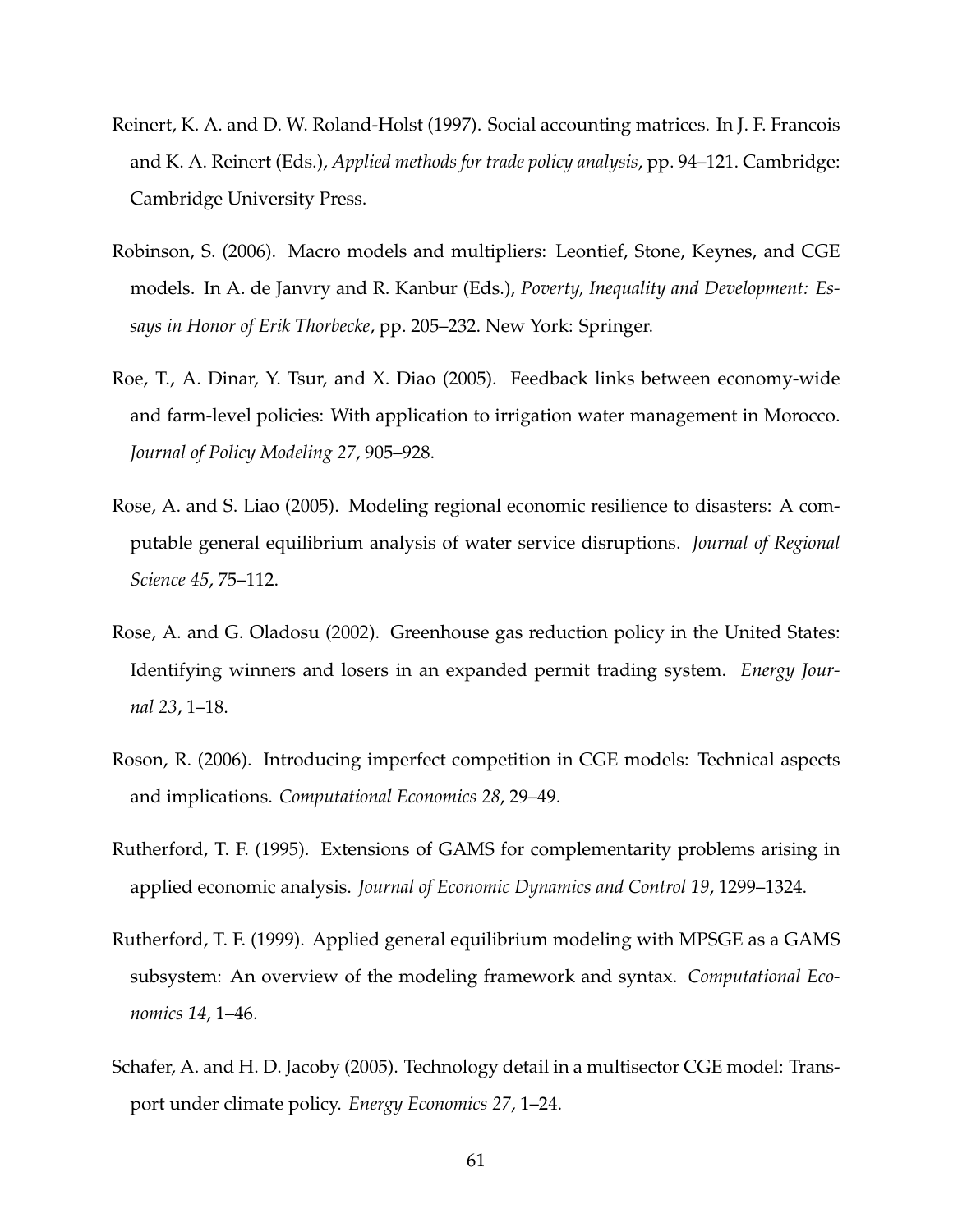- <span id="page-60-6"></span>Reinert, K. A. and D. W. Roland-Holst (1997). Social accounting matrices. In J. F. Francois and K. A. Reinert (Eds.), *Applied methods for trade policy analysis*, pp. 94–121. Cambridge: Cambridge University Press.
- <span id="page-60-7"></span>Robinson, S. (2006). Macro models and multipliers: Leontief, Stone, Keynes, and CGE models. In A. de Janvry and R. Kanbur (Eds.), *Poverty, Inequality and Development: Essays in Honor of Erik Thorbecke*, pp. 205–232. New York: Springer.
- <span id="page-60-0"></span>Roe, T., A. Dinar, Y. Tsur, and X. Diao (2005). Feedback links between economy-wide and farm-level policies: With application to irrigation water management in Morocco. *Journal of Policy Modeling 27*, 905–928.
- <span id="page-60-3"></span>Rose, A. and S. Liao (2005). Modeling regional economic resilience to disasters: A computable general equilibrium analysis of water service disruptions. *Journal of Regional Science 45*, 75–112.
- <span id="page-60-2"></span>Rose, A. and G. Oladosu (2002). Greenhouse gas reduction policy in the United States: Identifying winners and losers in an expanded permit trading system. *Energy Journal 23*, 1–18.
- <span id="page-60-8"></span>Roson, R. (2006). Introducing imperfect competition in CGE models: Technical aspects and implications. *Computational Economics 28*, 29–49.
- <span id="page-60-4"></span>Rutherford, T. F. (1995). Extensions of GAMS for complementarity problems arising in applied economic analysis. *Journal of Economic Dynamics and Control 19*, 1299–1324.
- <span id="page-60-5"></span>Rutherford, T. F. (1999). Applied general equilibrium modeling with MPSGE as a GAMS subsystem: An overview of the modeling framework and syntax. *Computational Economics 14*, 1–46.
- <span id="page-60-1"></span>Schafer, A. and H. D. Jacoby (2005). Technology detail in a multisector CGE model: Transport under climate policy. *Energy Economics 27*, 1–24.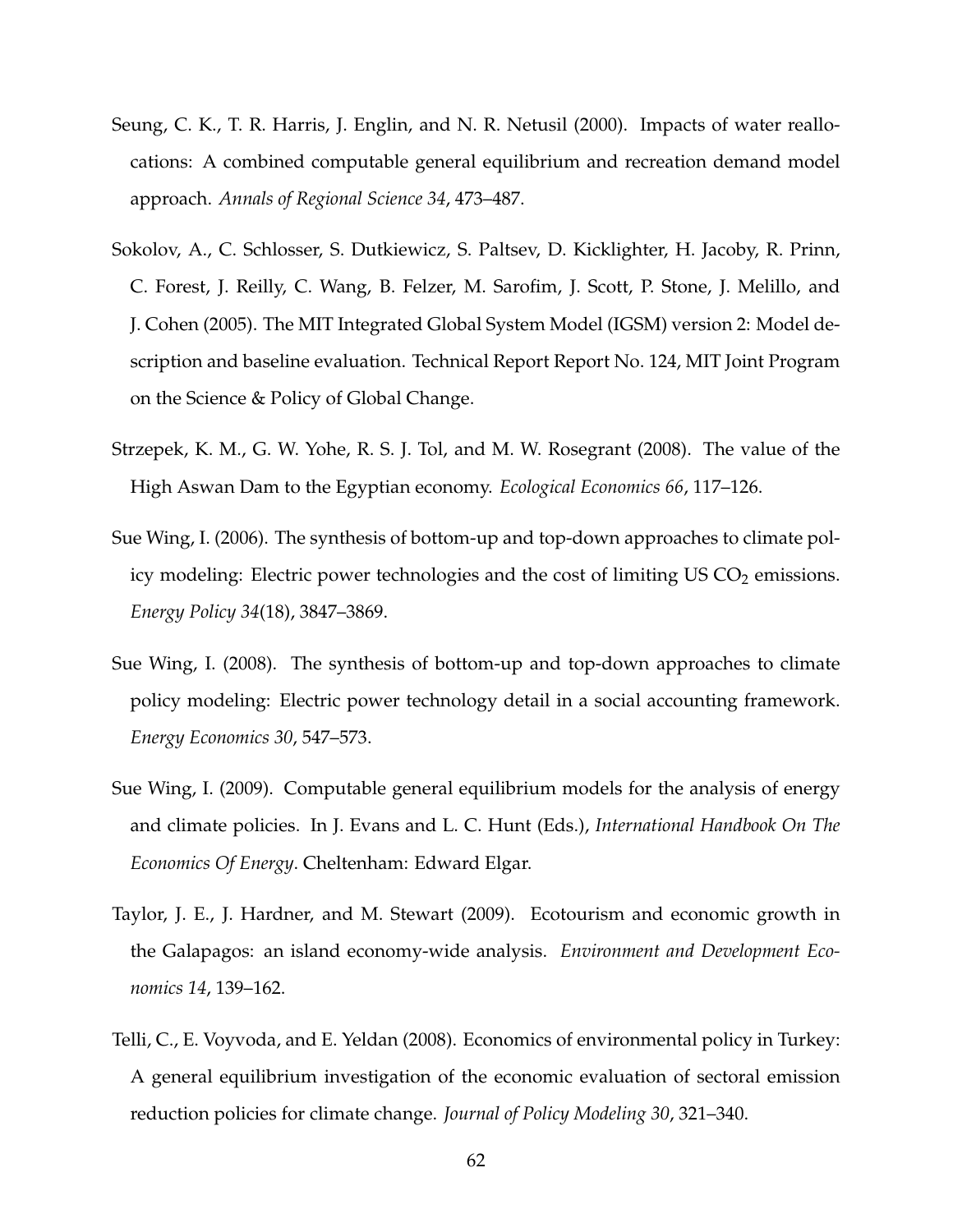- <span id="page-61-1"></span>Seung, C. K., T. R. Harris, J. Englin, and N. R. Netusil (2000). Impacts of water reallocations: A combined computable general equilibrium and recreation demand model approach. *Annals of Regional Science 34*, 473–487.
- <span id="page-61-4"></span>Sokolov, A., C. Schlosser, S. Dutkiewicz, S. Paltsev, D. Kicklighter, H. Jacoby, R. Prinn, C. Forest, J. Reilly, C. Wang, B. Felzer, M. Sarofim, J. Scott, P. Stone, J. Melillo, and J. Cohen (2005). The MIT Integrated Global System Model (IGSM) version 2: Model description and baseline evaluation. Technical Report Report No. 124, MIT Joint Program on the Science & Policy of Global Change.
- <span id="page-61-2"></span>Strzepek, K. M., G. W. Yohe, R. S. J. Tol, and M. W. Rosegrant (2008). The value of the High Aswan Dam to the Egyptian economy. *Ecological Economics 66*, 117–126.
- <span id="page-61-6"></span>Sue Wing, I. (2006). The synthesis of bottom-up and top-down approaches to climate policy modeling: Electric power technologies and the cost of limiting  $US CO<sub>2</sub>$  emissions. *Energy Policy 34*(18), 3847–3869.
- <span id="page-61-7"></span>Sue Wing, I. (2008). The synthesis of bottom-up and top-down approaches to climate policy modeling: Electric power technology detail in a social accounting framework. *Energy Economics 30*, 547–573.
- <span id="page-61-5"></span>Sue Wing, I. (2009). Computable general equilibrium models for the analysis of energy and climate policies. In J. Evans and L. C. Hunt (Eds.), *International Handbook On The Economics Of Energy*. Cheltenham: Edward Elgar.
- <span id="page-61-0"></span>Taylor, J. E., J. Hardner, and M. Stewart (2009). Ecotourism and economic growth in the Galapagos: an island economy-wide analysis. *Environment and Development Economics 14*, 139–162.
- <span id="page-61-3"></span>Telli, C., E. Voyvoda, and E. Yeldan (2008). Economics of environmental policy in Turkey: A general equilibrium investigation of the economic evaluation of sectoral emission reduction policies for climate change. *Journal of Policy Modeling 30*, 321–340.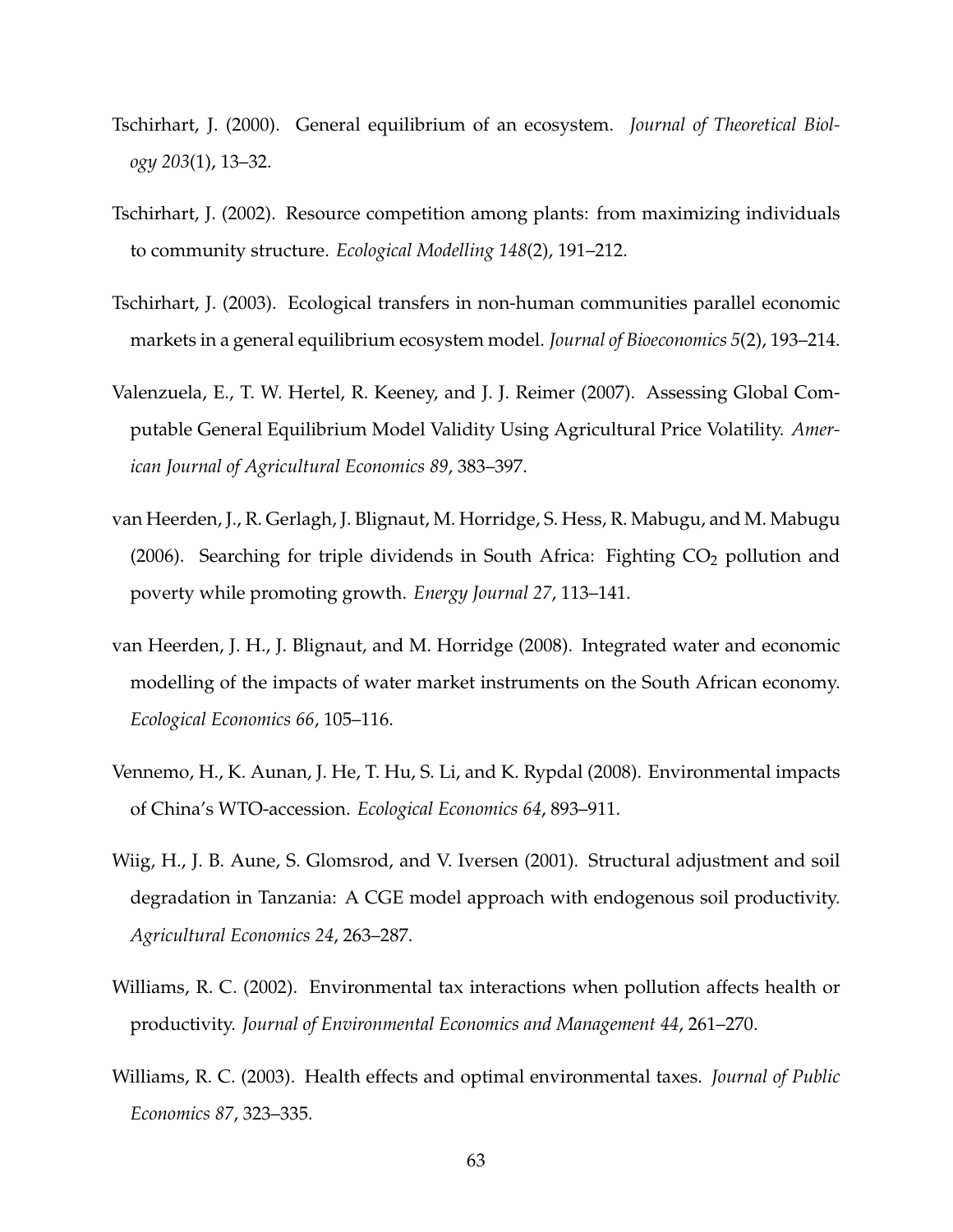- <span id="page-62-6"></span>Tschirhart, J. (2000). General equilibrium of an ecosystem. *Journal of Theoretical Biology 203*(1), 13–32.
- <span id="page-62-7"></span>Tschirhart, J. (2002). Resource competition among plants: from maximizing individuals to community structure. *Ecological Modelling 148*(2), 191–212.
- <span id="page-62-8"></span>Tschirhart, J. (2003). Ecological transfers in non-human communities parallel economic markets in a general equilibrium ecosystem model. *Journal of Bioeconomics 5*(2), 193–214.
- <span id="page-62-9"></span>Valenzuela, E., T. W. Hertel, R. Keeney, and J. J. Reimer (2007). Assessing Global Computable General Equilibrium Model Validity Using Agricultural Price Volatility. *American Journal of Agricultural Economics 89*, 383–397.
- <span id="page-62-3"></span>van Heerden, J., R. Gerlagh, J. Blignaut, M. Horridge, S. Hess, R. Mabugu, and M. Mabugu (2006). Searching for triple dividends in South Africa: Fighting  $CO<sub>2</sub>$  pollution and poverty while promoting growth. *Energy Journal 27*, 113–141.
- <span id="page-62-1"></span>van Heerden, J. H., J. Blignaut, and M. Horridge (2008). Integrated water and economic modelling of the impacts of water market instruments on the South African economy. *Ecological Economics 66*, 105–116.
- <span id="page-62-0"></span>Vennemo, H., K. Aunan, J. He, T. Hu, S. Li, and K. Rypdal (2008). Environmental impacts of China's WTO-accession. *Ecological Economics 64*, 893–911.
- <span id="page-62-2"></span>Wiig, H., J. B. Aune, S. Glomsrod, and V. Iversen (2001). Structural adjustment and soil degradation in Tanzania: A CGE model approach with endogenous soil productivity. *Agricultural Economics 24*, 263–287.
- <span id="page-62-4"></span>Williams, R. C. (2002). Environmental tax interactions when pollution affects health or productivity. *Journal of Environmental Economics and Management 44*, 261–270.
- <span id="page-62-5"></span>Williams, R. C. (2003). Health effects and optimal environmental taxes. *Journal of Public Economics 87*, 323–335.